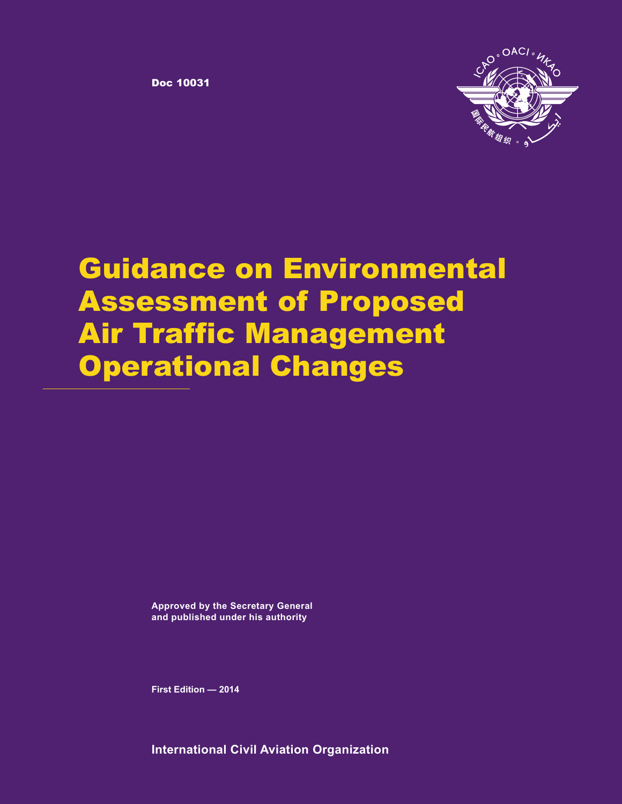Doc **10031**



# **Guidance on Environmental Assessment of Proposed Air Traffic Management Operational Changes**

**Approved by the Secretary General and published under his authority**

**First Edition — 2014**

**International Civil Aviation Organization**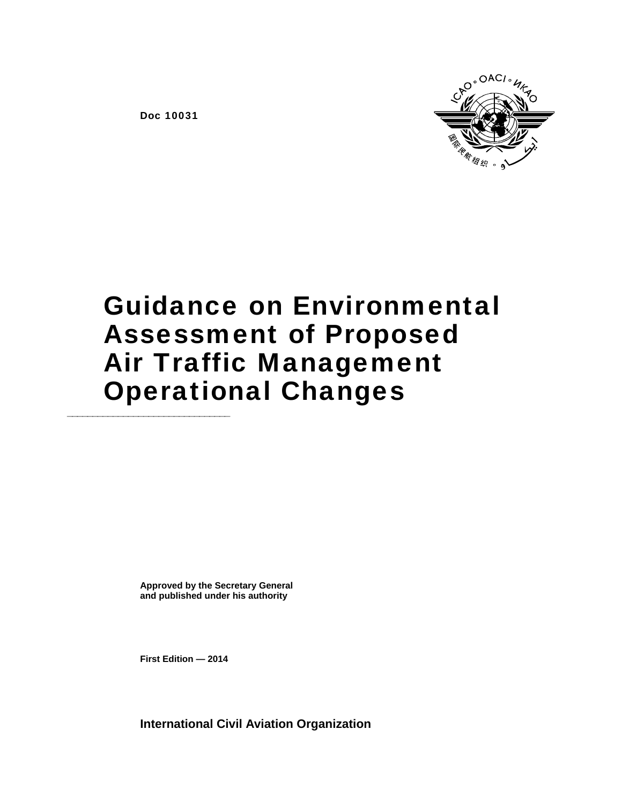O<sup>°</sup>OACI<sup>®</sup>

Doc 10031

# Guidance on Environmental Assessment of Proposed Air Traffic Management **Operational Changes**

**Approved by the Secretary General and published under his authority** 

**First Edition — 2014** 

**International Civil Aviation Organization**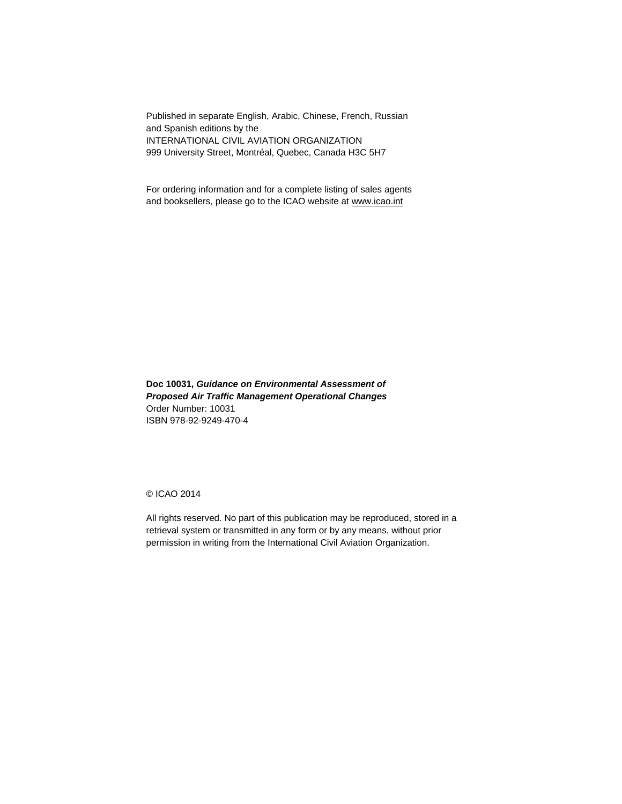Published in separate English, Arabic, Chinese, French, Russian and Spanish editions by the INTERNATIONAL CIVIL AVIATION ORGANIZATION 999 University Street, Montréal, Quebec, Canada H3C 5H7

For ordering information and for a complete listing of sales agents and booksellers, please go to the ICAO website at www.icao.int

**Doc 10031,** *Guidance on Environmental Assessment of Proposed Air Traffic Management Operational Changes*  Order Number: 10031 ISBN 978-92-9249-470-4

© ICAO 2014

All rights reserved. No part of this publication may be reproduced, stored in a retrieval system or transmitted in any form or by any means, without prior permission in writing from the International Civil Aviation Organization.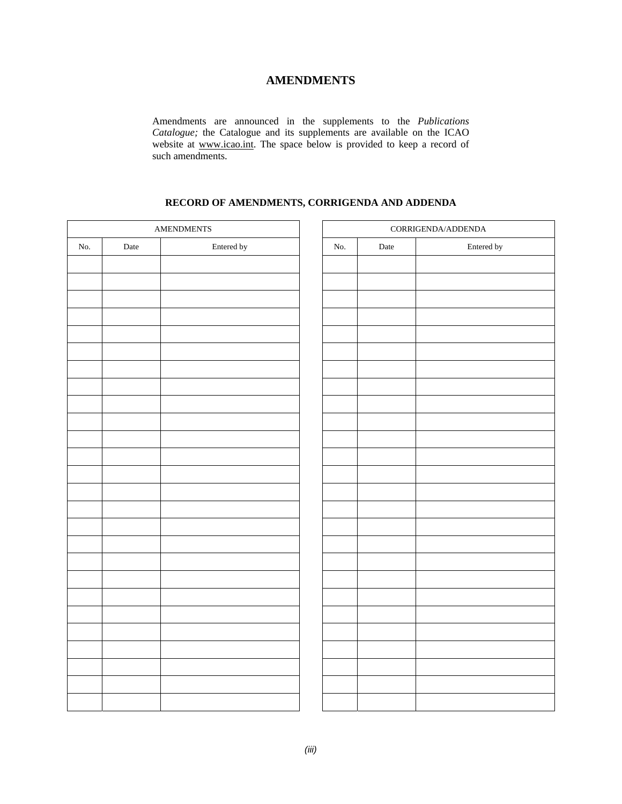## **AMENDMENTS**

Amendments are announced in the supplements to the *Publications Catalogue;* the Catalogue and its supplements are available on the ICAO website at www.icao.int. The space below is provided to keep a record of such amendments.

## **RECORD OF AMENDMENTS, CORRIGENDA AND ADDENDA**

| $\operatorname{AMENDMENTS}$ |             | $CORRIGENDA/ADDENDA$ |     |      |            |
|-----------------------------|-------------|----------------------|-----|------|------------|
| No.                         | $\rm{Date}$ | Entered by           | No. | Date | Entered by |
|                             |             |                      |     |      |            |
|                             |             |                      |     |      |            |
|                             |             |                      |     |      |            |
|                             |             |                      |     |      |            |
|                             |             |                      |     |      |            |
|                             |             |                      |     |      |            |
|                             |             |                      |     |      |            |
|                             |             |                      |     |      |            |
|                             |             |                      |     |      |            |
|                             |             |                      |     |      |            |
|                             |             |                      |     |      |            |
|                             |             |                      |     |      |            |
|                             |             |                      |     |      |            |
|                             |             |                      |     |      |            |
|                             |             |                      |     |      |            |
|                             |             |                      |     |      |            |
|                             |             |                      |     |      |            |
|                             |             |                      |     |      |            |
|                             |             |                      |     |      |            |
|                             |             |                      |     |      |            |
|                             |             |                      |     |      |            |
|                             |             |                      |     |      |            |
|                             |             |                      |     |      |            |
|                             |             |                      |     |      |            |
|                             |             |                      |     |      |            |
|                             |             |                      |     |      |            |
|                             |             |                      |     |      |            |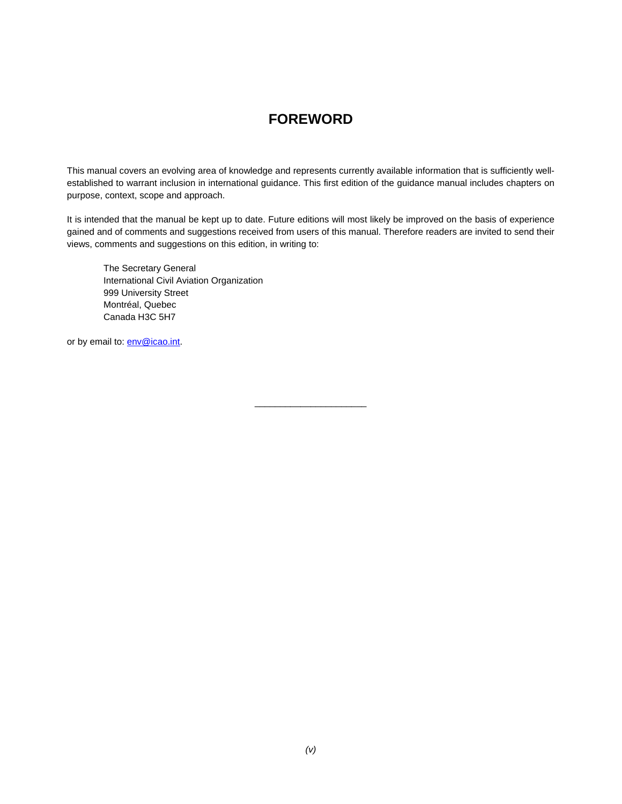## **FOREWORD**

This manual covers an evolving area of knowledge and represents currently available information that is sufficiently wellestablished to warrant inclusion in international guidance. This first edition of the guidance manual includes chapters on purpose, context, scope and approach.

It is intended that the manual be kept up to date. Future editions will most likely be improved on the basis of experience gained and of comments and suggestions received from users of this manual. Therefore readers are invited to send their views, comments and suggestions on this edition, in writing to:

\_\_\_\_\_\_\_\_\_\_\_\_\_\_\_\_\_\_\_\_\_\_

 The Secretary General International Civil Aviation Organization 999 University Street Montréal, Quebec Canada H3C 5H7

or by email to: **env@icao.int**.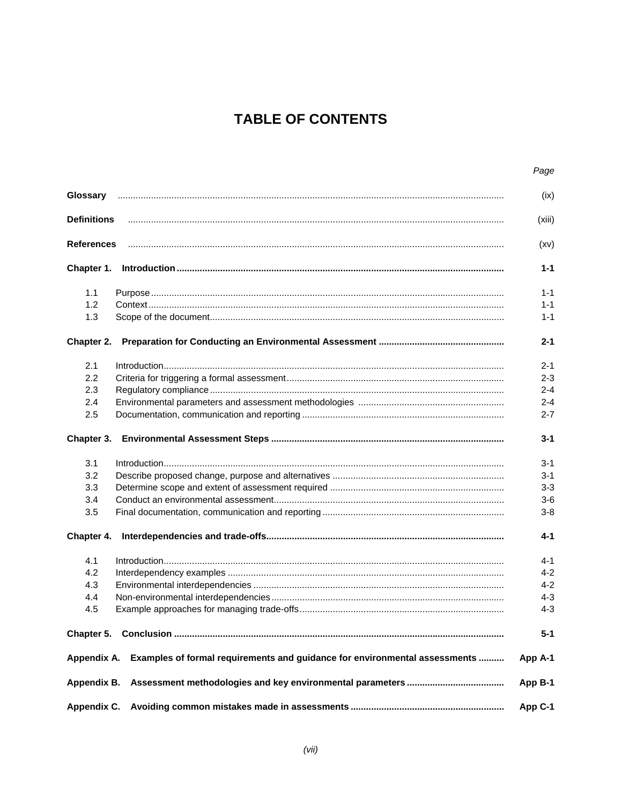# **TABLE OF CONTENTS**

|                    |                                                                                        | Page    |
|--------------------|----------------------------------------------------------------------------------------|---------|
| Glossary           |                                                                                        | (ix)    |
| <b>Definitions</b> |                                                                                        | (xiii)  |
| <b>References</b>  |                                                                                        | (xv)    |
| Chapter 1.         |                                                                                        | $1 - 1$ |
| 1.1                |                                                                                        | $1 - 1$ |
| 1.2                |                                                                                        | $1 - 1$ |
| 1.3                |                                                                                        | $1 - 1$ |
| Chapter 2.         |                                                                                        | $2 - 1$ |
| 2.1                |                                                                                        | $2 - 1$ |
| 2.2                |                                                                                        | $2 - 3$ |
| 2.3                |                                                                                        | $2 - 4$ |
|                    |                                                                                        | $2 - 4$ |
| 2.4                |                                                                                        |         |
| 2.5                |                                                                                        | $2 - 7$ |
| Chapter 3.         |                                                                                        | $3 - 1$ |
| 3.1                |                                                                                        | $3 - 1$ |
| 3.2                |                                                                                        | $3 - 1$ |
| 3.3                |                                                                                        | $3 - 3$ |
| 3.4                |                                                                                        | $3-6$   |
| 3.5                |                                                                                        | $3 - 8$ |
| Chapter 4.         |                                                                                        | $4 - 1$ |
| 4.1                |                                                                                        | $4 - 1$ |
| 4.2                |                                                                                        | $4 - 2$ |
| 4.3                |                                                                                        | $4 - 2$ |
| 4.4                |                                                                                        | $4 - 3$ |
| 4.5                |                                                                                        | $4 - 3$ |
|                    |                                                                                        | $5 - 1$ |
|                    | Appendix A. Examples of formal requirements and guidance for environmental assessments | App A-1 |
| Appendix B.        |                                                                                        | App B-1 |
|                    |                                                                                        | App C-1 |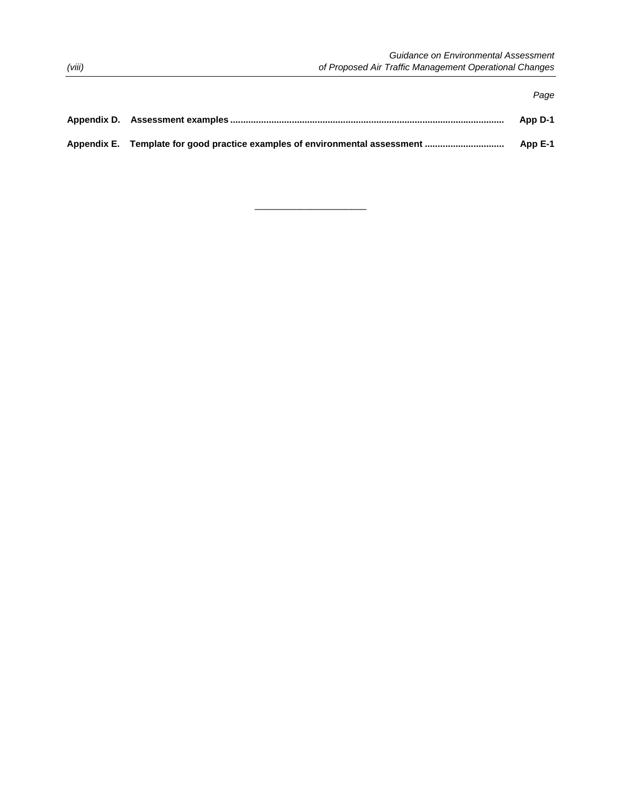|                                                                             | Paae    |
|-----------------------------------------------------------------------------|---------|
|                                                                             | App D-1 |
| Appendix E. Template for good practice examples of environmental assessment | App E-1 |

 $\overline{\phantom{a}}$  , and the set of the set of the set of the set of the set of the set of the set of the set of the set of the set of the set of the set of the set of the set of the set of the set of the set of the set of the s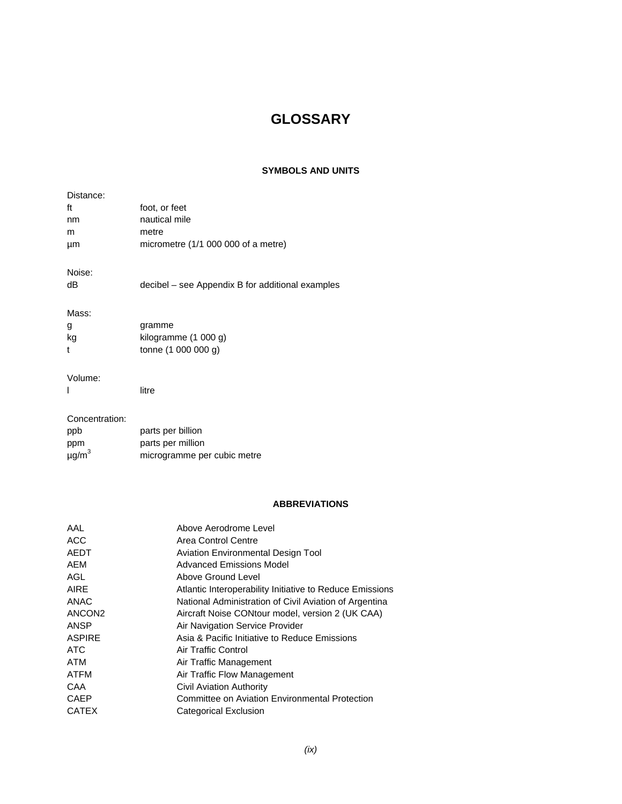# **GLOSSARY**

## **SYMBOLS AND UNITS**

| Distance:              |                                                  |
|------------------------|--------------------------------------------------|
| ft                     | foot, or feet                                    |
| nm                     | nautical mile                                    |
| m                      | metre                                            |
| μm                     | micrometre (1/1 000 000 of a metre)              |
| Noise:                 |                                                  |
| dB                     | decibel – see Appendix B for additional examples |
|                        |                                                  |
| Mass:                  |                                                  |
| g                      | gramme                                           |
| kg                     | kilogramme (1 000 g)                             |
| t                      | tonne (1 000 000 g)                              |
| Volume:                |                                                  |
|                        | litre                                            |
|                        |                                                  |
| Concentration:         |                                                  |
| ppb                    | parts per billion                                |
| ppm                    | parts per million                                |
| $\mu$ g/m <sup>3</sup> | microgramme per cubic metre                      |

## **ABBREVIATIONS**

| Above Aerodrome Level                                    |
|----------------------------------------------------------|
| Area Control Centre                                      |
| <b>Aviation Environmental Design Tool</b>                |
| <b>Advanced Emissions Model</b>                          |
| Above Ground Level                                       |
| Atlantic Interoperability Initiative to Reduce Emissions |
| National Administration of Civil Aviation of Argentina   |
| Aircraft Noise CONtour model, version 2 (UK CAA)         |
| Air Navigation Service Provider                          |
| Asia & Pacific Initiative to Reduce Emissions            |
| Air Traffic Control                                      |
| Air Traffic Management                                   |
| Air Traffic Flow Management                              |
| <b>Civil Aviation Authority</b>                          |
| Committee on Aviation Environmental Protection           |
| Categorical Exclusion                                    |
|                                                          |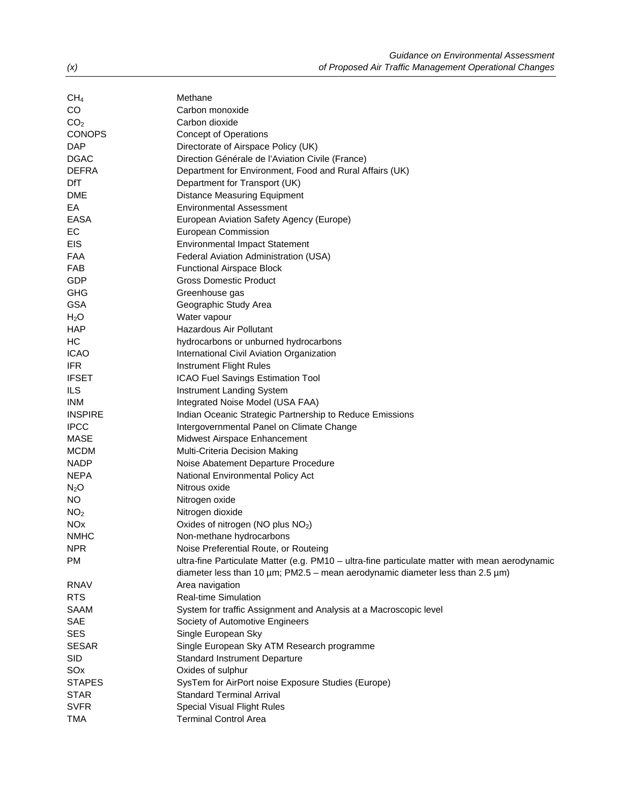| CH <sub>4</sub>       | Methane                                                                                        |
|-----------------------|------------------------------------------------------------------------------------------------|
| CO                    | Carbon monoxide                                                                                |
| CO <sub>2</sub>       | Carbon dioxide                                                                                 |
| <b>CONOPS</b>         | <b>Concept of Operations</b>                                                                   |
| <b>DAP</b>            | Directorate of Airspace Policy (UK)                                                            |
| <b>DGAC</b>           | Direction Générale de l'Aviation Civile (France)                                               |
| <b>DEFRA</b>          | Department for Environment, Food and Rural Affairs (UK)                                        |
| DfT                   | Department for Transport (UK)                                                                  |
| <b>DME</b>            | <b>Distance Measuring Equipment</b>                                                            |
| EA                    | <b>Environmental Assessment</b>                                                                |
| <b>EASA</b>           | European Aviation Safety Agency (Europe)                                                       |
| EC                    | European Commission                                                                            |
| <b>EIS</b>            | <b>Environmental Impact Statement</b>                                                          |
| <b>FAA</b>            | Federal Aviation Administration (USA)                                                          |
| <b>FAB</b>            | <b>Functional Airspace Block</b>                                                               |
| GDP                   | <b>Gross Domestic Product</b>                                                                  |
| <b>GHG</b>            | Greenhouse gas                                                                                 |
| <b>GSA</b>            | Geographic Study Area                                                                          |
| H <sub>2</sub> O      | Water vapour                                                                                   |
| <b>HAP</b>            | Hazardous Air Pollutant                                                                        |
| НC                    | hydrocarbons or unburned hydrocarbons                                                          |
| <b>ICAO</b>           | International Civil Aviation Organization                                                      |
| <b>IFR</b>            | Instrument Flight Rules                                                                        |
| <b>IFSET</b>          | ICAO Fuel Savings Estimation Tool                                                              |
| <b>ILS</b>            | Instrument Landing System                                                                      |
| <b>INM</b>            | Integrated Noise Model (USA FAA)                                                               |
| <b>INSPIRE</b>        | Indian Oceanic Strategic Partnership to Reduce Emissions                                       |
| <b>IPCC</b>           | Intergovernmental Panel on Climate Change                                                      |
| <b>MASE</b>           | Midwest Airspace Enhancement                                                                   |
| <b>MCDM</b>           | Multi-Criteria Decision Making                                                                 |
| <b>NADP</b>           | Noise Abatement Departure Procedure                                                            |
| <b>NEPA</b>           | National Environmental Policy Act                                                              |
| $N_2O$                | Nitrous oxide                                                                                  |
| NO.                   | Nitrogen oxide                                                                                 |
| NO <sub>2</sub>       | Nitrogen dioxide                                                                               |
| <b>NO<sub>x</sub></b> | Oxides of nitrogen (NO plus NO <sub>2</sub> )                                                  |
| <b>NMHC</b>           | Non-methane hydrocarbons                                                                       |
| <b>NPR</b>            | Noise Preferential Route, or Routeing                                                          |
| <b>PM</b>             | ultra-fine Particulate Matter (e.g. PM10 - ultra-fine particulate matter with mean aerodynamic |
|                       | diameter less than 10 $\mu$ m; PM2.5 – mean aerodynamic diameter less than 2.5 $\mu$ m)        |
| <b>RNAV</b>           | Area navigation                                                                                |
| <b>RTS</b>            | <b>Real-time Simulation</b>                                                                    |
| SAAM                  | System for traffic Assignment and Analysis at a Macroscopic level                              |
| <b>SAE</b>            | Society of Automotive Engineers                                                                |
| <b>SES</b>            | Single European Sky                                                                            |
| <b>SESAR</b>          | Single European Sky ATM Research programme                                                     |
| <b>SID</b>            | <b>Standard Instrument Departure</b>                                                           |
| SOx                   | Oxides of sulphur                                                                              |
| <b>STAPES</b>         | SysTem for AirPort noise Exposure Studies (Europe)                                             |
| <b>STAR</b>           | <b>Standard Terminal Arrival</b>                                                               |
| <b>SVFR</b>           | <b>Special Visual Flight Rules</b>                                                             |
| <b>TMA</b>            | <b>Terminal Control Area</b>                                                                   |
|                       |                                                                                                |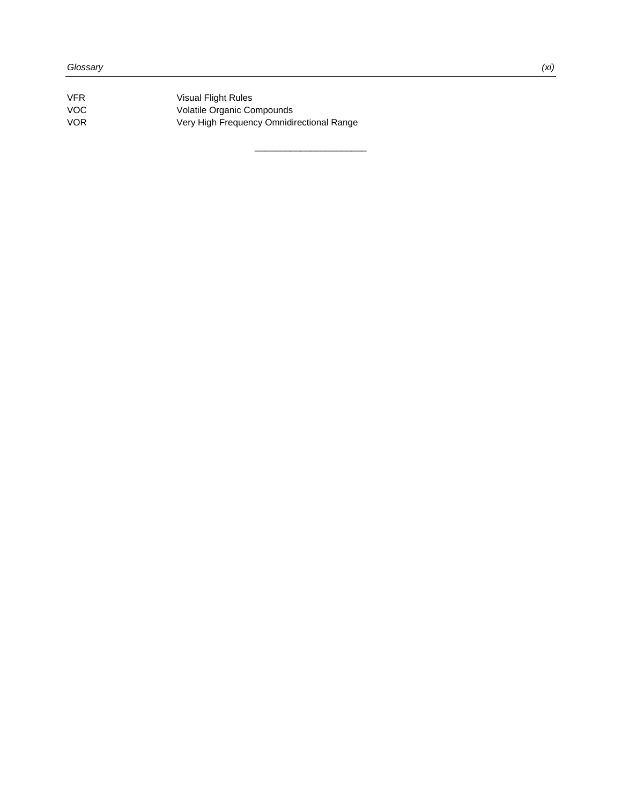| VFR. | <b>Visual Flight Rules</b>                |
|------|-------------------------------------------|
| VOC. | Volatile Organic Compounds                |
| VOR. | Very High Frequency Omnidirectional Range |

 $\overline{\phantom{a}}$  , and the set of the set of the set of the set of the set of the set of the set of the set of the set of the set of the set of the set of the set of the set of the set of the set of the set of the set of the s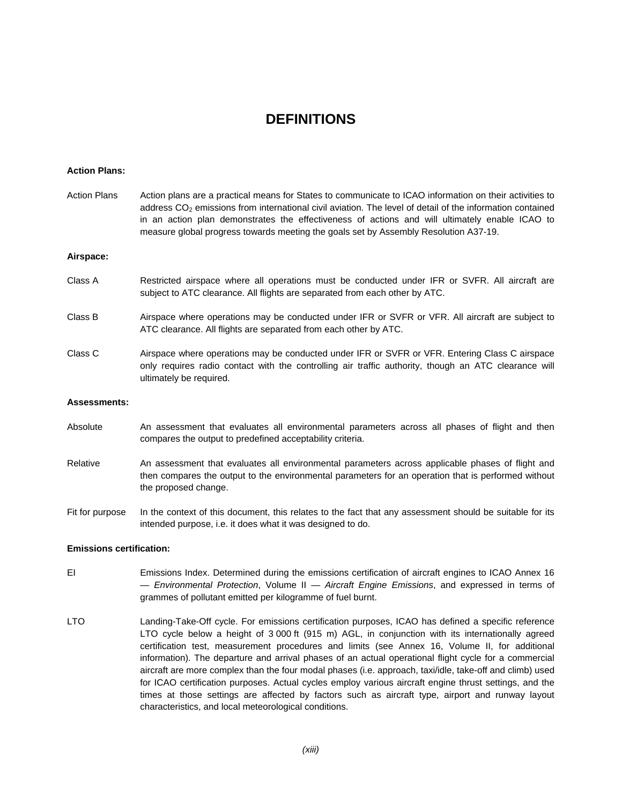## **DEFINITIONS**

#### **Action Plans:**

| Action Plans        | Action plans are a practical means for States to communicate to ICAO information on their activities to<br>address $CO2$ emissions from international civil aviation. The level of detail of the information contained<br>in an action plan demonstrates the effectiveness of actions and will ultimately enable ICAO to<br>measure global progress towards meeting the goals set by Assembly Resolution A37-19. |
|---------------------|------------------------------------------------------------------------------------------------------------------------------------------------------------------------------------------------------------------------------------------------------------------------------------------------------------------------------------------------------------------------------------------------------------------|
| Airspace:           |                                                                                                                                                                                                                                                                                                                                                                                                                  |
| Class A             | Restricted airspace where all operations must be conducted under IFR or SVFR. All aircraft are<br>subject to ATC clearance. All flights are separated from each other by ATC.                                                                                                                                                                                                                                    |
| Class B             | Airspace where operations may be conducted under IFR or SVFR or VFR. All aircraft are subject to<br>ATC clearance. All flights are separated from each other by ATC.                                                                                                                                                                                                                                             |
| Class C             | Airspace where operations may be conducted under IFR or SVFR or VFR. Entering Class C airspace<br>only requires radio contact with the controlling air traffic authority, though an ATC clearance will<br>ultimately be required.                                                                                                                                                                                |
| <b>Assessments:</b> |                                                                                                                                                                                                                                                                                                                                                                                                                  |
| Absolute            | An assessment that evaluates all environmental parameters across all phases of flight and then<br>compares the output to predefined acceptability criteria.                                                                                                                                                                                                                                                      |

- Relative An assessment that evaluates all environmental parameters across applicable phases of flight and then compares the output to the environmental parameters for an operation that is performed without the proposed change.
- Fit for purpose In the context of this document, this relates to the fact that any assessment should be suitable for its intended purpose, i.e. it does what it was designed to do.

#### **Emissions certification:**

- EI Emissions Index. Determined during the emissions certification of aircraft engines to ICAO Annex 16 — *Environmental Protection*, Volume II — *Aircraft Engine Emissions*, and expressed in terms of grammes of pollutant emitted per kilogramme of fuel burnt.
- LTO Landing-Take-Off cycle. For emissions certification purposes, ICAO has defined a specific reference LTO cycle below a height of 3 000 ft (915 m) AGL, in conjunction with its internationally agreed certification test, measurement procedures and limits (see Annex 16, Volume II, for additional information). The departure and arrival phases of an actual operational flight cycle for a commercial aircraft are more complex than the four modal phases (i.e. approach, taxi/idle, take-off and climb) used for ICAO certification purposes. Actual cycles employ various aircraft engine thrust settings, and the times at those settings are affected by factors such as aircraft type, airport and runway layout characteristics, and local meteorological conditions.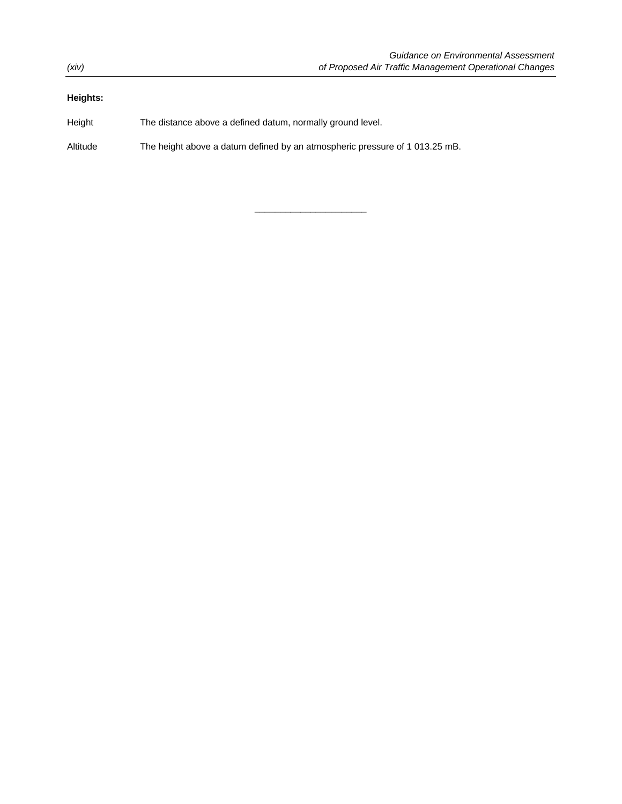### **Heights:**

Height The distance above a defined datum, normally ground level.

Altitude The height above a datum defined by an atmospheric pressure of 1 013.25 mB.

 $\overline{\phantom{a}}$  , and the set of the set of the set of the set of the set of the set of the set of the set of the set of the set of the set of the set of the set of the set of the set of the set of the set of the set of the s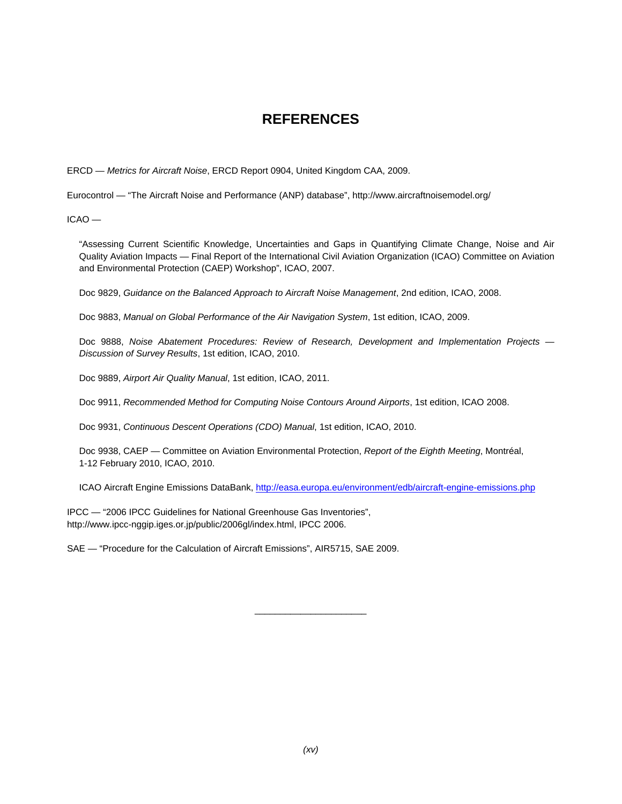## **REFERENCES**

ERCD — *Metrics for Aircraft Noise*, ERCD Report 0904, United Kingdom CAA, 2009.

Eurocontrol — "The Aircraft Noise and Performance (ANP) database", http://www.aircraftnoisemodel.org/

ICAO —

"Assessing Current Scientific Knowledge, Uncertainties and Gaps in Quantifying Climate Change, Noise and Air Quality Aviation Impacts — Final Report of the International Civil Aviation Organization (ICAO) Committee on Aviation and Environmental Protection (CAEP) Workshop", ICAO, 2007.

Doc 9829, *Guidance on the Balanced Approach to Aircraft Noise Management*, 2nd edition, ICAO, 2008.

Doc 9883, *Manual on Global Performance of the Air Navigation System*, 1st edition, ICAO, 2009.

Doc 9888, *Noise Abatement Procedures: Review of Research, Development and Implementation Projects — Discussion of Survey Results*, 1st edition, ICAO, 2010.

Doc 9889, *Airport Air Quality Manual*, 1st edition, ICAO, 2011.

Doc 9911, *Recommended Method for Computing Noise Contours Around Airports*, 1st edition, ICAO 2008.

Doc 9931, *Continuous Descent Operations (CDO) Manual*, 1st edition, ICAO, 2010.

Doc 9938, CAEP — Committee on Aviation Environmental Protection, *Report of the Eighth Meeting*, Montréal, 1-12 February 2010, ICAO, 2010.

ICAO Aircraft Engine Emissions DataBank, http://easa.europa.eu/environment/edb/aircraft-engine-emissions.php

 $\overline{\phantom{a}}$  , and the set of the set of the set of the set of the set of the set of the set of the set of the set of the set of the set of the set of the set of the set of the set of the set of the set of the set of the s

IPCC — "2006 IPCC Guidelines for National Greenhouse Gas Inventories", http://www.ipcc-nggip.iges.or.jp/public/2006gl/index.html, IPCC 2006.

SAE — "Procedure for the Calculation of Aircraft Emissions", AIR5715, SAE 2009.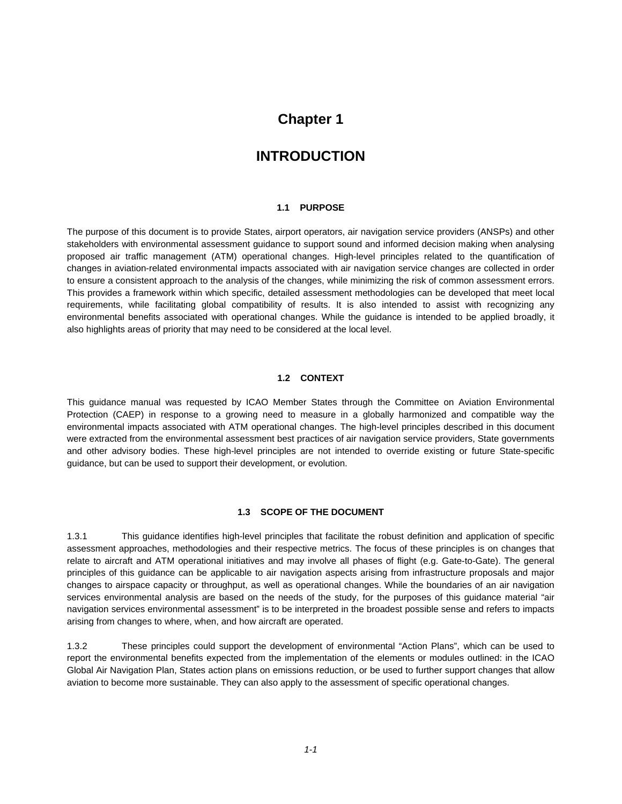## **Chapter 1**

## **INTRODUCTION**

#### **1.1 PURPOSE**

The purpose of this document is to provide States, airport operators, air navigation service providers (ANSPs) and other stakeholders with environmental assessment guidance to support sound and informed decision making when analysing proposed air traffic management (ATM) operational changes. High-level principles related to the quantification of changes in aviation-related environmental impacts associated with air navigation service changes are collected in order to ensure a consistent approach to the analysis of the changes, while minimizing the risk of common assessment errors. This provides a framework within which specific, detailed assessment methodologies can be developed that meet local requirements, while facilitating global compatibility of results. It is also intended to assist with recognizing any environmental benefits associated with operational changes. While the guidance is intended to be applied broadly, it also highlights areas of priority that may need to be considered at the local level.

#### **1.2 CONTEXT**

This guidance manual was requested by ICAO Member States through the Committee on Aviation Environmental Protection (CAEP) in response to a growing need to measure in a globally harmonized and compatible way the environmental impacts associated with ATM operational changes. The high-level principles described in this document were extracted from the environmental assessment best practices of air navigation service providers, State governments and other advisory bodies. These high-level principles are not intended to override existing or future State-specific guidance, but can be used to support their development, or evolution.

#### **1.3 SCOPE OF THE DOCUMENT**

1.3.1 This guidance identifies high-level principles that facilitate the robust definition and application of specific assessment approaches, methodologies and their respective metrics. The focus of these principles is on changes that relate to aircraft and ATM operational initiatives and may involve all phases of flight (e.g. Gate-to-Gate). The general principles of this guidance can be applicable to air navigation aspects arising from infrastructure proposals and major changes to airspace capacity or throughput, as well as operational changes. While the boundaries of an air navigation services environmental analysis are based on the needs of the study, for the purposes of this guidance material "air navigation services environmental assessment" is to be interpreted in the broadest possible sense and refers to impacts arising from changes to where, when, and how aircraft are operated.

1.3.2 These principles could support the development of environmental "Action Plans", which can be used to report the environmental benefits expected from the implementation of the elements or modules outlined: in the ICAO Global Air Navigation Plan, States action plans on emissions reduction, or be used to further support changes that allow aviation to become more sustainable. They can also apply to the assessment of specific operational changes.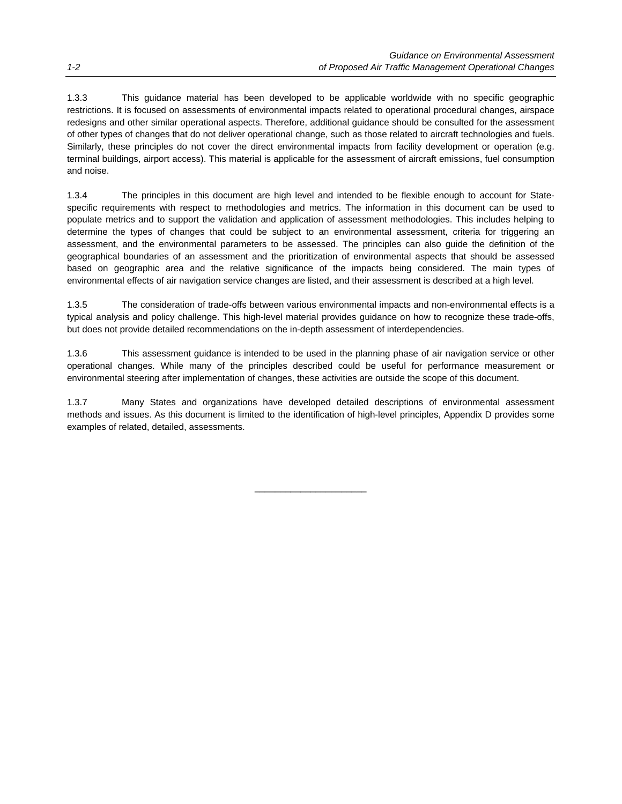1.3.3 This guidance material has been developed to be applicable worldwide with no specific geographic restrictions. It is focused on assessments of environmental impacts related to operational procedural changes, airspace redesigns and other similar operational aspects. Therefore, additional guidance should be consulted for the assessment of other types of changes that do not deliver operational change, such as those related to aircraft technologies and fuels. Similarly, these principles do not cover the direct environmental impacts from facility development or operation (e.g. terminal buildings, airport access). This material is applicable for the assessment of aircraft emissions, fuel consumption and noise.

1.3.4 The principles in this document are high level and intended to be flexible enough to account for Statespecific requirements with respect to methodologies and metrics. The information in this document can be used to populate metrics and to support the validation and application of assessment methodologies. This includes helping to determine the types of changes that could be subject to an environmental assessment, criteria for triggering an assessment, and the environmental parameters to be assessed. The principles can also guide the definition of the geographical boundaries of an assessment and the prioritization of environmental aspects that should be assessed based on geographic area and the relative significance of the impacts being considered. The main types of environmental effects of air navigation service changes are listed, and their assessment is described at a high level.

1.3.5 The consideration of trade-offs between various environmental impacts and non-environmental effects is a typical analysis and policy challenge. This high-level material provides guidance on how to recognize these trade-offs, but does not provide detailed recommendations on the in-depth assessment of interdependencies.

1.3.6 This assessment guidance is intended to be used in the planning phase of air navigation service or other operational changes. While many of the principles described could be useful for performance measurement or environmental steering after implementation of changes, these activities are outside the scope of this document.

1.3.7 Many States and organizations have developed detailed descriptions of environmental assessment methods and issues. As this document is limited to the identification of high-level principles, Appendix D provides some examples of related, detailed, assessments.

 $\overline{\phantom{a}}$  , and the set of the set of the set of the set of the set of the set of the set of the set of the set of the set of the set of the set of the set of the set of the set of the set of the set of the set of the s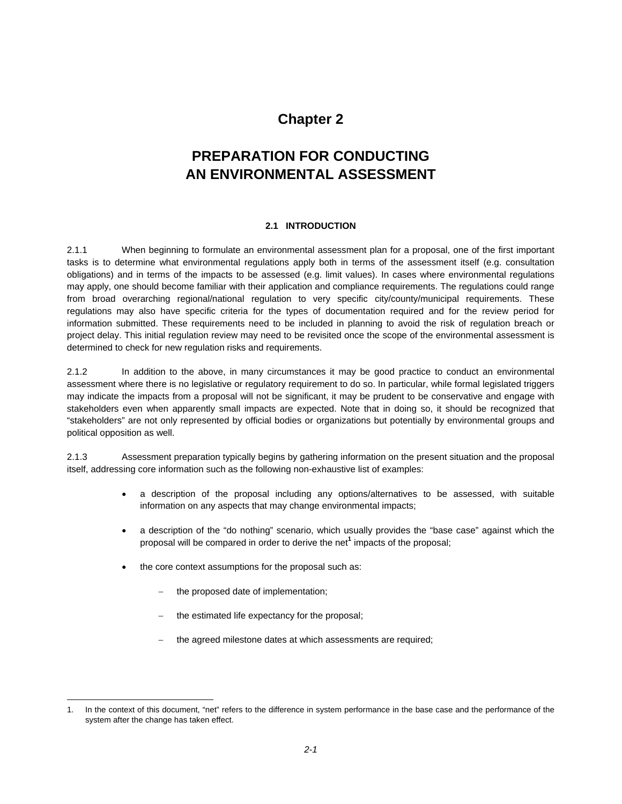## **Chapter 2**

# **PREPARATION FOR CONDUCTING AN ENVIRONMENTAL ASSESSMENT**

#### **2.1 INTRODUCTION**

2.1.1 When beginning to formulate an environmental assessment plan for a proposal, one of the first important tasks is to determine what environmental regulations apply both in terms of the assessment itself (e.g. consultation obligations) and in terms of the impacts to be assessed (e.g. limit values). In cases where environmental regulations may apply, one should become familiar with their application and compliance requirements. The regulations could range from broad overarching regional/national regulation to very specific city/county/municipal requirements. These regulations may also have specific criteria for the types of documentation required and for the review period for information submitted. These requirements need to be included in planning to avoid the risk of regulation breach or project delay. This initial regulation review may need to be revisited once the scope of the environmental assessment is determined to check for new regulation risks and requirements.

2.1.2 In addition to the above, in many circumstances it may be good practice to conduct an environmental assessment where there is no legislative or regulatory requirement to do so. In particular, while formal legislated triggers may indicate the impacts from a proposal will not be significant, it may be prudent to be conservative and engage with stakeholders even when apparently small impacts are expected. Note that in doing so, it should be recognized that "stakeholders" are not only represented by official bodies or organizations but potentially by environmental groups and political opposition as well.

2.1.3 Assessment preparation typically begins by gathering information on the present situation and the proposal itself, addressing core information such as the following non-exhaustive list of examples:

- a description of the proposal including any options/alternatives to be assessed, with suitable information on any aspects that may change environmental impacts;
- a description of the "do nothing" scenario, which usually provides the "base case" against which the proposal will be compared in order to derive the net**<sup>1</sup>** impacts of the proposal;
- the core context assumptions for the proposal such as:
	- the proposed date of implementation;

 $\overline{a}$ 

- the estimated life expectancy for the proposal;
- the agreed milestone dates at which assessments are required;

<sup>1.</sup> In the context of this document, "net" refers to the difference in system performance in the base case and the performance of the system after the change has taken effect.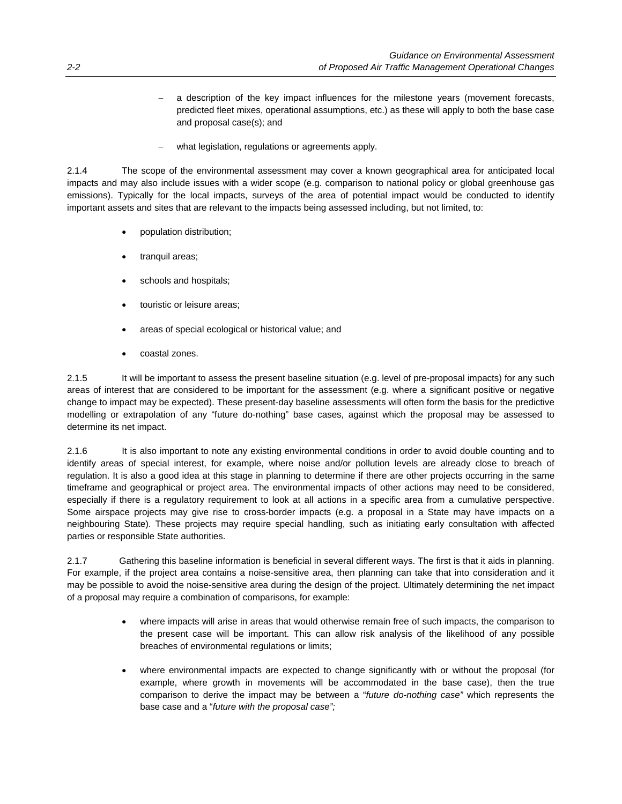- a description of the key impact influences for the milestone years (movement forecasts, predicted fleet mixes, operational assumptions, etc.) as these will apply to both the base case and proposal case(s); and
- what legislation, regulations or agreements apply.

2.1.4 The scope of the environmental assessment may cover a known geographical area for anticipated local impacts and may also include issues with a wider scope (e.g. comparison to national policy or global greenhouse gas emissions). Typically for the local impacts, surveys of the area of potential impact would be conducted to identify important assets and sites that are relevant to the impacts being assessed including, but not limited, to:

- population distribution;
- tranquil areas;
- schools and hospitals;
- touristic or leisure areas;
- areas of special ecological or historical value; and
- coastal zones.

2.1.5 It will be important to assess the present baseline situation (e.g. level of pre-proposal impacts) for any such areas of interest that are considered to be important for the assessment (e.g. where a significant positive or negative change to impact may be expected). These present-day baseline assessments will often form the basis for the predictive modelling or extrapolation of any "future do-nothing" base cases, against which the proposal may be assessed to determine its net impact.

2.1.6 It is also important to note any existing environmental conditions in order to avoid double counting and to identify areas of special interest, for example, where noise and/or pollution levels are already close to breach of regulation. It is also a good idea at this stage in planning to determine if there are other projects occurring in the same timeframe and geographical or project area. The environmental impacts of other actions may need to be considered, especially if there is a regulatory requirement to look at all actions in a specific area from a cumulative perspective. Some airspace projects may give rise to cross-border impacts (e.g. a proposal in a State may have impacts on a neighbouring State). These projects may require special handling, such as initiating early consultation with affected parties or responsible State authorities.

2.1.7 Gathering this baseline information is beneficial in several different ways. The first is that it aids in planning. For example, if the project area contains a noise-sensitive area, then planning can take that into consideration and it may be possible to avoid the noise-sensitive area during the design of the project. Ultimately determining the net impact of a proposal may require a combination of comparisons, for example:

- where impacts will arise in areas that would otherwise remain free of such impacts, the comparison to the present case will be important. This can allow risk analysis of the likelihood of any possible breaches of environmental regulations or limits;
- where environmental impacts are expected to change significantly with or without the proposal (for example, where growth in movements will be accommodated in the base case), then the true comparison to derive the impact may be between a "*future do-nothing case"* which represents the base case and a "*future with the proposal case";*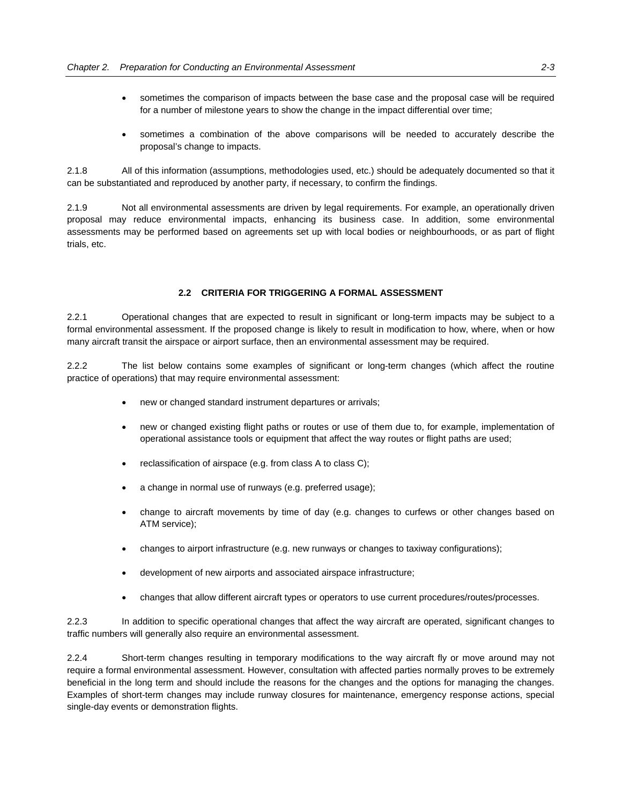- sometimes the comparison of impacts between the base case and the proposal case will be required for a number of milestone years to show the change in the impact differential over time;
- sometimes a combination of the above comparisons will be needed to accurately describe the proposal's change to impacts.

2.1.8 All of this information (assumptions, methodologies used, etc.) should be adequately documented so that it can be substantiated and reproduced by another party, if necessary, to confirm the findings.

2.1.9 Not all environmental assessments are driven by legal requirements. For example, an operationally driven proposal may reduce environmental impacts, enhancing its business case. In addition, some environmental assessments may be performed based on agreements set up with local bodies or neighbourhoods, or as part of flight trials, etc.

#### **2.2 CRITERIA FOR TRIGGERING A FORMAL ASSESSMENT**

2.2.1 Operational changes that are expected to result in significant or long-term impacts may be subject to a formal environmental assessment. If the proposed change is likely to result in modification to how, where, when or how many aircraft transit the airspace or airport surface, then an environmental assessment may be required.

2.2.2 The list below contains some examples of significant or long-term changes (which affect the routine practice of operations) that may require environmental assessment:

- new or changed standard instrument departures or arrivals;
- new or changed existing flight paths or routes or use of them due to, for example, implementation of operational assistance tools or equipment that affect the way routes or flight paths are used;
- reclassification of airspace (e.g. from class A to class C);
- a change in normal use of runways (e.g. preferred usage);
- change to aircraft movements by time of day (e.g. changes to curfews or other changes based on ATM service);
- changes to airport infrastructure (e.g. new runways or changes to taxiway configurations);
- development of new airports and associated airspace infrastructure;
- changes that allow different aircraft types or operators to use current procedures/routes/processes.

2.2.3 In addition to specific operational changes that affect the way aircraft are operated, significant changes to traffic numbers will generally also require an environmental assessment.

2.2.4 Short-term changes resulting in temporary modifications to the way aircraft fly or move around may not require a formal environmental assessment. However, consultation with affected parties normally proves to be extremely beneficial in the long term and should include the reasons for the changes and the options for managing the changes. Examples of short-term changes may include runway closures for maintenance, emergency response actions, special single-day events or demonstration flights.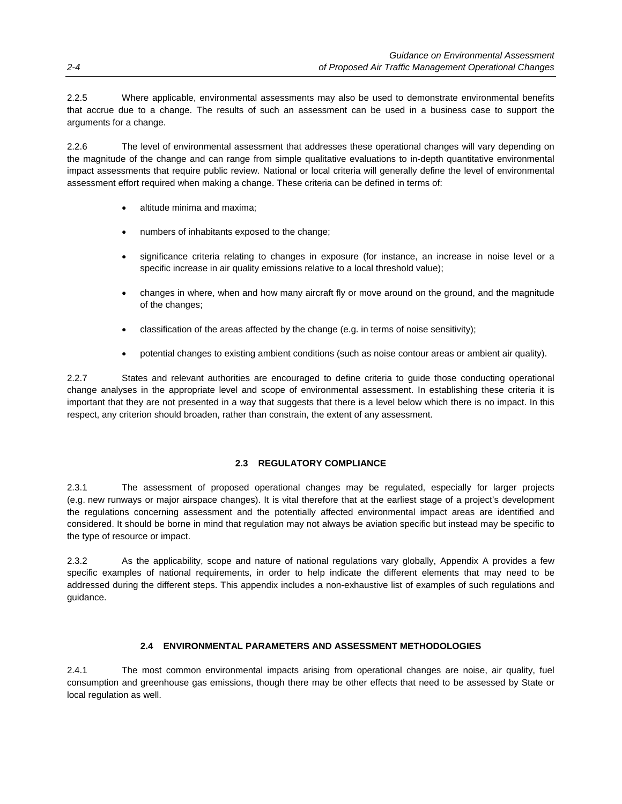2.2.5 Where applicable, environmental assessments may also be used to demonstrate environmental benefits that accrue due to a change. The results of such an assessment can be used in a business case to support the arguments for a change.

2.2.6 The level of environmental assessment that addresses these operational changes will vary depending on the magnitude of the change and can range from simple qualitative evaluations to in-depth quantitative environmental impact assessments that require public review. National or local criteria will generally define the level of environmental assessment effort required when making a change. These criteria can be defined in terms of:

- altitude minima and maxima;
- numbers of inhabitants exposed to the change;
- significance criteria relating to changes in exposure (for instance, an increase in noise level or a specific increase in air quality emissions relative to a local threshold value);
- changes in where, when and how many aircraft fly or move around on the ground, and the magnitude of the changes;
- classification of the areas affected by the change (e.g. in terms of noise sensitivity);
- potential changes to existing ambient conditions (such as noise contour areas or ambient air quality).

2.2.7 States and relevant authorities are encouraged to define criteria to guide those conducting operational change analyses in the appropriate level and scope of environmental assessment. In establishing these criteria it is important that they are not presented in a way that suggests that there is a level below which there is no impact. In this respect, any criterion should broaden, rather than constrain, the extent of any assessment.

#### **2.3 REGULATORY COMPLIANCE**

2.3.1 The assessment of proposed operational changes may be regulated, especially for larger projects (e.g. new runways or major airspace changes). It is vital therefore that at the earliest stage of a project's development the regulations concerning assessment and the potentially affected environmental impact areas are identified and considered. It should be borne in mind that regulation may not always be aviation specific but instead may be specific to the type of resource or impact.

2.3.2 As the applicability, scope and nature of national regulations vary globally, Appendix A provides a few specific examples of national requirements, in order to help indicate the different elements that may need to be addressed during the different steps. This appendix includes a non-exhaustive list of examples of such regulations and guidance.

#### **2.4 ENVIRONMENTAL PARAMETERS AND ASSESSMENT METHODOLOGIES**

2.4.1 The most common environmental impacts arising from operational changes are noise, air quality, fuel consumption and greenhouse gas emissions, though there may be other effects that need to be assessed by State or local regulation as well.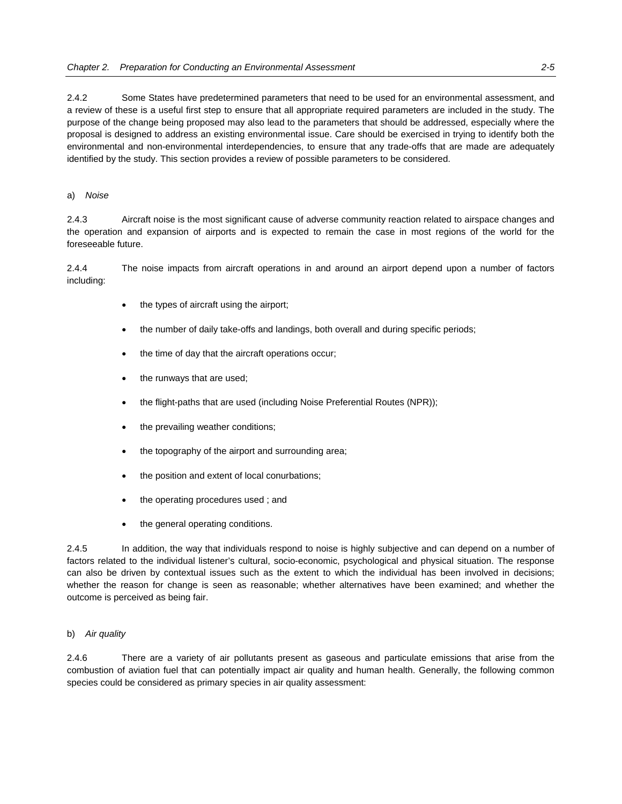2.4.2 Some States have predetermined parameters that need to be used for an environmental assessment, and a review of these is a useful first step to ensure that all appropriate required parameters are included in the study. The purpose of the change being proposed may also lead to the parameters that should be addressed, especially where the proposal is designed to address an existing environmental issue. Care should be exercised in trying to identify both the environmental and non-environmental interdependencies, to ensure that any trade-offs that are made are adequately identified by the study. This section provides a review of possible parameters to be considered.

#### a) *Noise*

2.4.3 Aircraft noise is the most significant cause of adverse community reaction related to airspace changes and the operation and expansion of airports and is expected to remain the case in most regions of the world for the foreseeable future.

2.4.4 The noise impacts from aircraft operations in and around an airport depend upon a number of factors including:

- the types of aircraft using the airport;
- the number of daily take-offs and landings, both overall and during specific periods;
- the time of day that the aircraft operations occur;
- the runways that are used;
- the flight-paths that are used (including Noise Preferential Routes (NPR));
- the prevailing weather conditions;
- the topography of the airport and surrounding area;
- the position and extent of local conurbations;
- the operating procedures used ; and
- the general operating conditions.

2.4.5 In addition, the way that individuals respond to noise is highly subjective and can depend on a number of factors related to the individual listener's cultural, socio-economic, psychological and physical situation. The response can also be driven by contextual issues such as the extent to which the individual has been involved in decisions; whether the reason for change is seen as reasonable; whether alternatives have been examined; and whether the outcome is perceived as being fair.

#### b) *Air quality*

2.4.6 There are a variety of air pollutants present as gaseous and particulate emissions that arise from the combustion of aviation fuel that can potentially impact air quality and human health. Generally, the following common species could be considered as primary species in air quality assessment: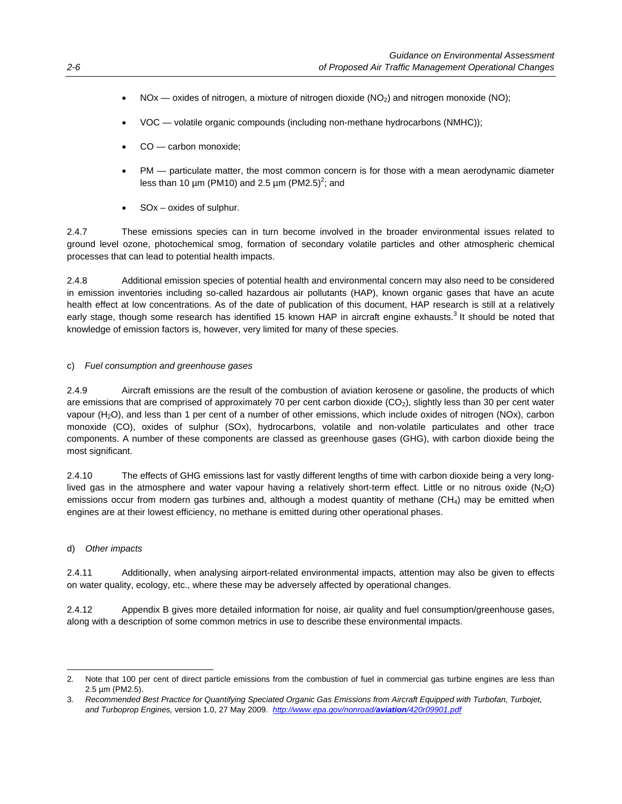- NOx oxides of nitrogen, a mixture of nitrogen dioxide (NO<sub>2</sub>) and nitrogen monoxide (NO);
- VOC volatile organic compounds (including non-methane hydrocarbons (NMHC));
- CO carbon monoxide;
- PM particulate matter, the most common concern is for those with a mean aerodynamic diameter less than 10  $\mu$ m (PM10) and 2.5  $\mu$ m (PM2.5)<sup>2</sup>; and
- SOx oxides of sulphur.

2.4.7 These emissions species can in turn become involved in the broader environmental issues related to ground level ozone, photochemical smog, formation of secondary volatile particles and other atmospheric chemical processes that can lead to potential health impacts.

2.4.8 Additional emission species of potential health and environmental concern may also need to be considered in emission inventories including so-called hazardous air pollutants (HAP), known organic gases that have an acute health effect at low concentrations. As of the date of publication of this document, HAP research is still at a relatively early stage, though some research has identified 15 known HAP in aircraft engine exhausts.<sup>3</sup> It should be noted that knowledge of emission factors is, however, very limited for many of these species.

#### c) *Fuel consumption and greenhouse gases*

2.4.9 Aircraft emissions are the result of the combustion of aviation kerosene or gasoline, the products of which are emissions that are comprised of approximately 70 per cent carbon dioxide ( $CO<sub>2</sub>$ ), slightly less than 30 per cent water vapour (H2O), and less than 1 per cent of a number of other emissions, which include oxides of nitrogen (NOx), carbon monoxide (CO), oxides of sulphur (SOx), hydrocarbons, volatile and non-volatile particulates and other trace components. A number of these components are classed as greenhouse gases (GHG), with carbon dioxide being the most significant.

2.4.10 The effects of GHG emissions last for vastly different lengths of time with carbon dioxide being a very longlived gas in the atmosphere and water vapour having a relatively short-term effect. Little or no nitrous oxide  $(N_2O)$ emissions occur from modern gas turbines and, although a modest quantity of methane (CH4) may be emitted when engines are at their lowest efficiency, no methane is emitted during other operational phases.

#### d) *Other impacts*

 $\overline{a}$ 

2.4.11 Additionally, when analysing airport-related environmental impacts, attention may also be given to effects on water quality, ecology, etc., where these may be adversely affected by operational changes.

2.4.12 Appendix B gives more detailed information for noise, air quality and fuel consumption/greenhouse gases, along with a description of some common metrics in use to describe these environmental impacts.

<sup>2.</sup> Note that 100 per cent of direct particle emissions from the combustion of fuel in commercial gas turbine engines are less than 2.5 µm (PM2.5).

<sup>3.</sup> *Recommended Best Practice for Quantifying Speciated Organic Gas Emissions from Aircraft Equipped with Turbofan, Turbojet, and Turboprop Engines,* version 1.0, 27 May 2009. *http://www.epa.gov/nonroad/aviation/420r09901.pdf*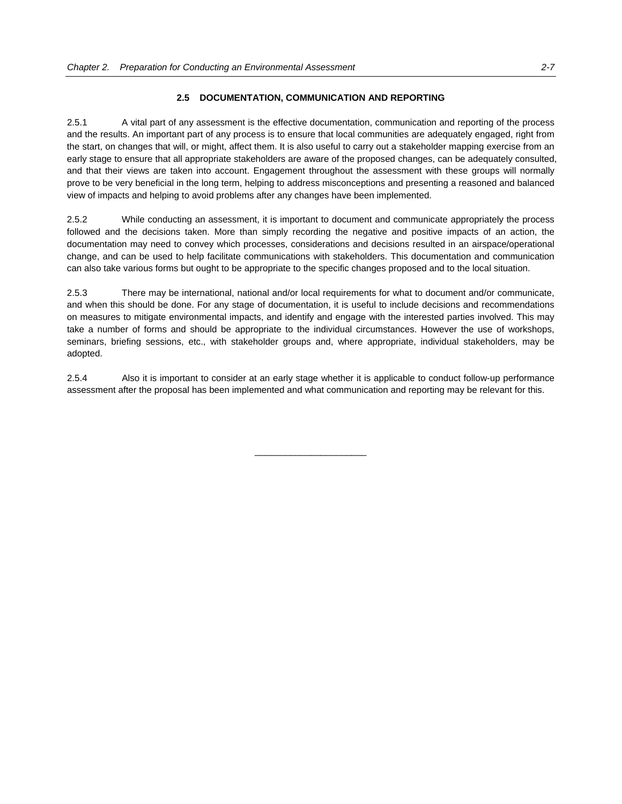#### **2.5 DOCUMENTATION, COMMUNICATION AND REPORTING**

2.5.1 A vital part of any assessment is the effective documentation, communication and reporting of the process and the results. An important part of any process is to ensure that local communities are adequately engaged, right from the start, on changes that will, or might, affect them. It is also useful to carry out a stakeholder mapping exercise from an early stage to ensure that all appropriate stakeholders are aware of the proposed changes, can be adequately consulted, and that their views are taken into account. Engagement throughout the assessment with these groups will normally prove to be very beneficial in the long term, helping to address misconceptions and presenting a reasoned and balanced view of impacts and helping to avoid problems after any changes have been implemented.

2.5.2 While conducting an assessment, it is important to document and communicate appropriately the process followed and the decisions taken. More than simply recording the negative and positive impacts of an action, the documentation may need to convey which processes, considerations and decisions resulted in an airspace/operational change, and can be used to help facilitate communications with stakeholders. This documentation and communication can also take various forms but ought to be appropriate to the specific changes proposed and to the local situation.

2.5.3 There may be international, national and/or local requirements for what to document and/or communicate, and when this should be done. For any stage of documentation, it is useful to include decisions and recommendations on measures to mitigate environmental impacts, and identify and engage with the interested parties involved. This may take a number of forms and should be appropriate to the individual circumstances. However the use of workshops, seminars, briefing sessions, etc., with stakeholder groups and, where appropriate, individual stakeholders, may be adopted.

2.5.4 Also it is important to consider at an early stage whether it is applicable to conduct follow-up performance assessment after the proposal has been implemented and what communication and reporting may be relevant for this.

 $\overline{\phantom{a}}$  , and the set of the set of the set of the set of the set of the set of the set of the set of the set of the set of the set of the set of the set of the set of the set of the set of the set of the set of the s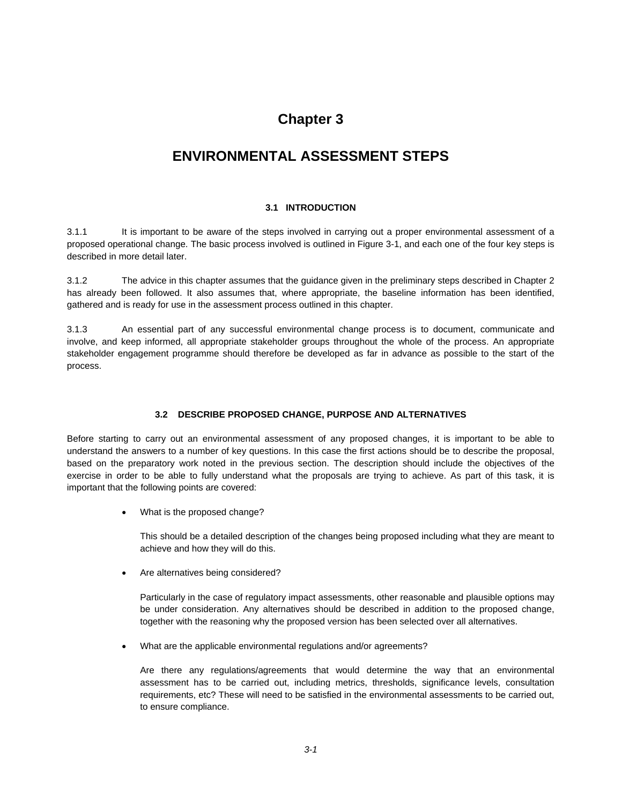## **Chapter 3**

# **ENVIRONMENTAL ASSESSMENT STEPS**

#### **3.1 INTRODUCTION**

3.1.1 It is important to be aware of the steps involved in carrying out a proper environmental assessment of a proposed operational change. The basic process involved is outlined in Figure 3-1, and each one of the four key steps is described in more detail later.

3.1.2 The advice in this chapter assumes that the guidance given in the preliminary steps described in Chapter 2 has already been followed. It also assumes that, where appropriate, the baseline information has been identified, gathered and is ready for use in the assessment process outlined in this chapter.

3.1.3 An essential part of any successful environmental change process is to document, communicate and involve, and keep informed, all appropriate stakeholder groups throughout the whole of the process. An appropriate stakeholder engagement programme should therefore be developed as far in advance as possible to the start of the process.

#### **3.2 DESCRIBE PROPOSED CHANGE, PURPOSE AND ALTERNATIVES**

Before starting to carry out an environmental assessment of any proposed changes, it is important to be able to understand the answers to a number of key questions. In this case the first actions should be to describe the proposal, based on the preparatory work noted in the previous section. The description should include the objectives of the exercise in order to be able to fully understand what the proposals are trying to achieve. As part of this task, it is important that the following points are covered:

What is the proposed change?

 This should be a detailed description of the changes being proposed including what they are meant to achieve and how they will do this.

Are alternatives being considered?

 Particularly in the case of regulatory impact assessments, other reasonable and plausible options may be under consideration. Any alternatives should be described in addition to the proposed change, together with the reasoning why the proposed version has been selected over all alternatives.

What are the applicable environmental regulations and/or agreements?

 Are there any regulations/agreements that would determine the way that an environmental assessment has to be carried out, including metrics, thresholds, significance levels, consultation requirements, etc? These will need to be satisfied in the environmental assessments to be carried out, to ensure compliance.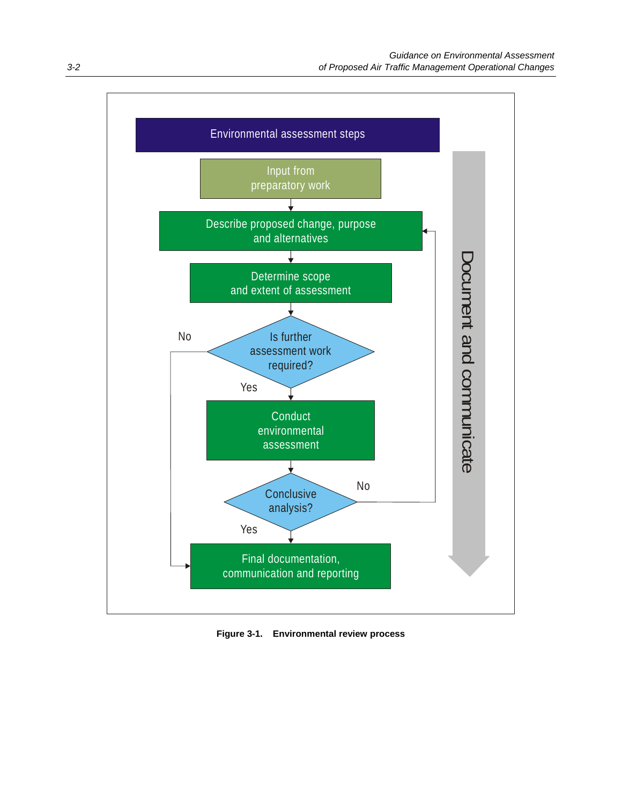

**Figure 3-1. Environmental review process**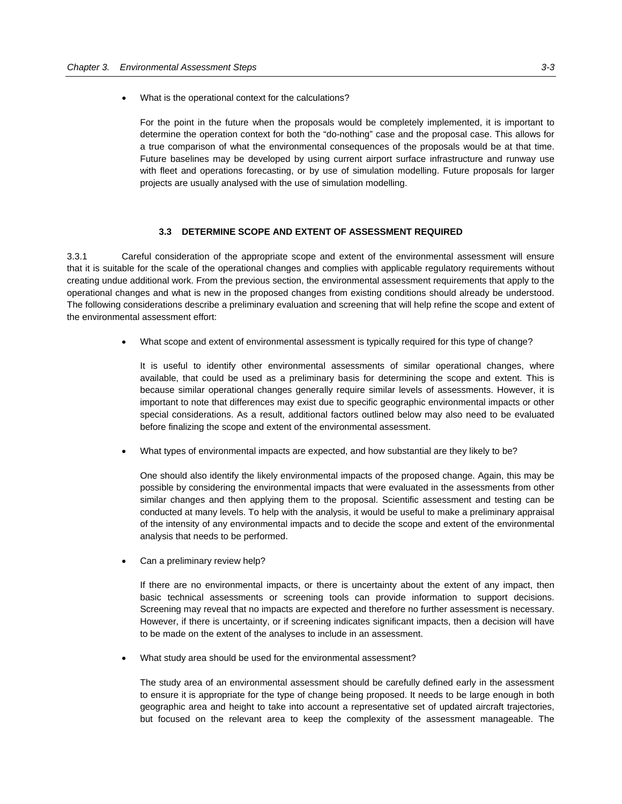What is the operational context for the calculations?

 For the point in the future when the proposals would be completely implemented, it is important to determine the operation context for both the "do-nothing" case and the proposal case. This allows for a true comparison of what the environmental consequences of the proposals would be at that time. Future baselines may be developed by using current airport surface infrastructure and runway use with fleet and operations forecasting, or by use of simulation modelling. Future proposals for larger projects are usually analysed with the use of simulation modelling.

#### **3.3 DETERMINE SCOPE AND EXTENT OF ASSESSMENT REQUIRED**

3.3.1 Careful consideration of the appropriate scope and extent of the environmental assessment will ensure that it is suitable for the scale of the operational changes and complies with applicable regulatory requirements without creating undue additional work. From the previous section, the environmental assessment requirements that apply to the operational changes and what is new in the proposed changes from existing conditions should already be understood. The following considerations describe a preliminary evaluation and screening that will help refine the scope and extent of the environmental assessment effort:

What scope and extent of environmental assessment is typically required for this type of change?

 It is useful to identify other environmental assessments of similar operational changes, where available, that could be used as a preliminary basis for determining the scope and extent. This is because similar operational changes generally require similar levels of assessments. However, it is important to note that differences may exist due to specific geographic environmental impacts or other special considerations. As a result, additional factors outlined below may also need to be evaluated before finalizing the scope and extent of the environmental assessment.

What types of environmental impacts are expected, and how substantial are they likely to be?

 One should also identify the likely environmental impacts of the proposed change. Again, this may be possible by considering the environmental impacts that were evaluated in the assessments from other similar changes and then applying them to the proposal. Scientific assessment and testing can be conducted at many levels. To help with the analysis, it would be useful to make a preliminary appraisal of the intensity of any environmental impacts and to decide the scope and extent of the environmental analysis that needs to be performed.

Can a preliminary review help?

 If there are no environmental impacts, or there is uncertainty about the extent of any impact, then basic technical assessments or screening tools can provide information to support decisions. Screening may reveal that no impacts are expected and therefore no further assessment is necessary. However, if there is uncertainty, or if screening indicates significant impacts, then a decision will have to be made on the extent of the analyses to include in an assessment.

What study area should be used for the environmental assessment?

 The study area of an environmental assessment should be carefully defined early in the assessment to ensure it is appropriate for the type of change being proposed. It needs to be large enough in both geographic area and height to take into account a representative set of updated aircraft trajectories, but focused on the relevant area to keep the complexity of the assessment manageable. The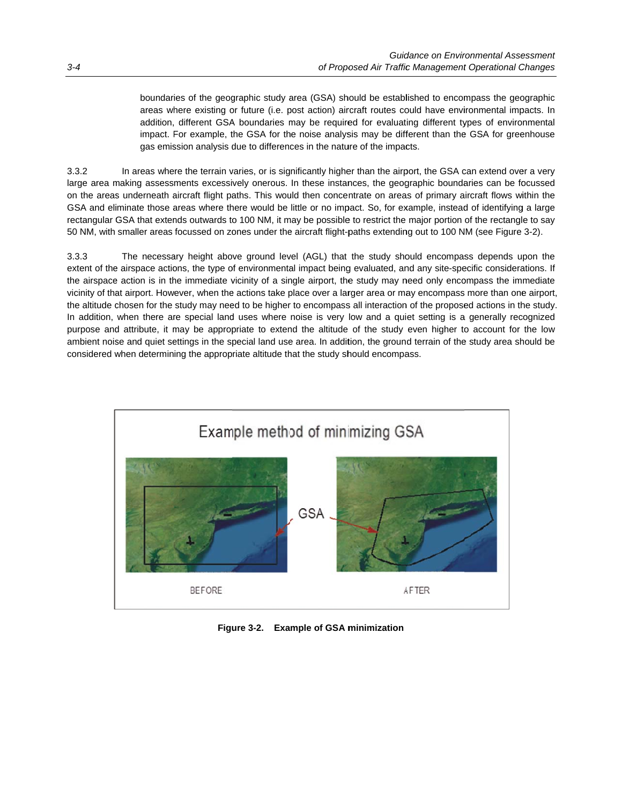boundaries of the geographic study area (GSA) should be established to encompass the geographic areas where existing or future (i.e. post action) aircraft routes could have environmental impacts. In addition, different GSA boundaries may be required for evaluating different types of environmental impact. For example, the GSA for the noise analysis may be different than the GSA for greenhouse gas emission analysis due to differences in the nature of the impacts.

3.3.2 large area making assessments excessively onerous. In these instances, the geographic boundaries can be focussed on the areas underneath aircraft flight paths. This would then concentrate on areas of primary aircraft flows within the GSA and eliminate those areas where there would be little or no impact. So, for example, instead of identifying a large rectangular GSA that extends outwards to 100 NM, it may be possible to restrict the major portion of the rectangle to say 50 NM, with smaller areas focussed on zones under the aircraft flight-paths extending out to 100 NM (see Figure 3-2). In areas where the terrain varies, or is significantly higher than the airport, the GSA can extend over a very

3.3.3 extent of the airspace actions, the type of environmental impact being evaluated, and any site-specific considerations. If the airspace action is in the immediate vicinity of a single airport, the study may need only encompass the immediate vicinity of that airport. However, when the actions take place over a larger area or may encompass more than one airport, the altitude chosen for the study may need to be higher to encompass all interaction of the proposed actions in the study. In addition, when there are special land uses where noise is very low and a quiet setting is a generally recognized purpose and attribute, it may be appropriate to extend the altitude of the study even higher to account for the low ambient noise and quiet settings in the special land use area. In addition, the ground terrain of the study area should be considered when determining the appropriate altitude that the study should encompass. The necessary height above ground level (AGL) that the study should encompass depends upon the



**Figure 3-2. Example of GSA minimization**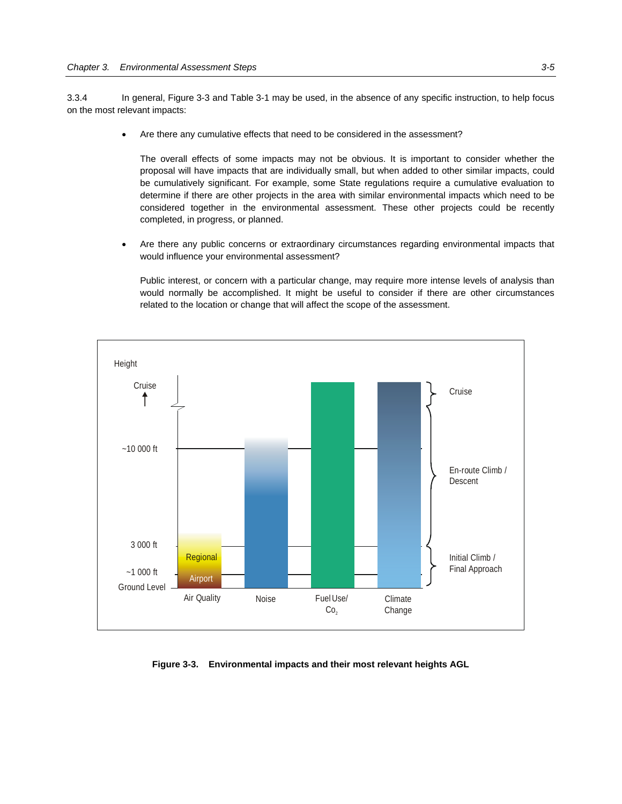3.3.4 In general, Figure 3-3 and Table 3-1 may be used, in the absence of any specific instruction, to help focus on the most relevant impacts:

Are there any cumulative effects that need to be considered in the assessment?

 The overall effects of some impacts may not be obvious. It is important to consider whether the proposal will have impacts that are individually small, but when added to other similar impacts, could be cumulatively significant. For example, some State regulations require a cumulative evaluation to determine if there are other projects in the area with similar environmental impacts which need to be considered together in the environmental assessment. These other projects could be recently completed, in progress, or planned.

 Are there any public concerns or extraordinary circumstances regarding environmental impacts that would influence your environmental assessment?

 Public interest, or concern with a particular change, may require more intense levels of analysis than would normally be accomplished. It might be useful to consider if there are other circumstances related to the location or change that will affect the scope of the assessment.



**Figure 3-3. Environmental impacts and their most relevant heights AGL**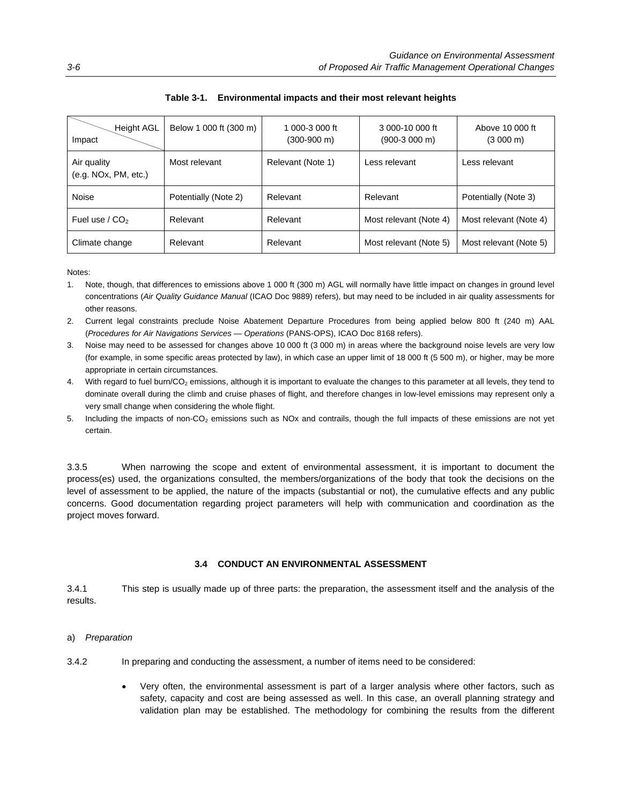| Height AGL<br>Impact                | Below 1 000 ft (300 m) | 1 000-3 000 ft<br>$(300-900 \text{ m})$ | 3 000-10 000 ft<br>$(900-3000)$ m) | Above 10 000 ft<br>$(3000 \text{ m})$ |
|-------------------------------------|------------------------|-----------------------------------------|------------------------------------|---------------------------------------|
| Air quality<br>(e.g. NOx, PM, etc.) | Most relevant          | Relevant (Note 1)                       | Less relevant                      | Less relevant                         |
| Noise                               | Potentially (Note 2)   | Relevant                                | Relevant                           | Potentially (Note 3)                  |
| Fuel use $/$ CO <sub>2</sub>        | Relevant               | Relevant                                | Most relevant (Note 4)             | Most relevant (Note 4)                |
| Climate change                      | Relevant               | Relevant                                | Most relevant (Note 5)             | Most relevant (Note 5)                |

### **Table 3-1. Environmental impacts and their most relevant heights**

Notes:

- 1. Note, though, that differences to emissions above 1 000 ft (300 m) AGL will normally have little impact on changes in ground level concentrations (*Air Quality Guidance Manual* (ICAO Doc 9889) refers), but may need to be included in air quality assessments for other reasons.
- 2. Current legal constraints preclude Noise Abatement Departure Procedures from being applied below 800 ft (240 m) AAL (*Procedures for Air Navigations Services — Operations* (PANS-OPS), ICAO Doc 8168 refers).
- 3. Noise may need to be assessed for changes above 10 000 ft (3 000 m) in areas where the background noise levels are very low (for example, in some specific areas protected by law), in which case an upper limit of 18 000 ft (5 500 m), or higher, may be more appropriate in certain circumstances.
- 4. With regard to fuel burn/CO<sub>2</sub> emissions, although it is important to evaluate the changes to this parameter at all levels, they tend to dominate overall during the climb and cruise phases of flight, and therefore changes in low-level emissions may represent only a very small change when considering the whole flight.
- 5. Including the impacts of non-CO<sub>2</sub> emissions such as NOx and contrails, though the full impacts of these emissions are not yet certain.

3.3.5 When narrowing the scope and extent of environmental assessment, it is important to document the process(es) used, the organizations consulted, the members/organizations of the body that took the decisions on the level of assessment to be applied, the nature of the impacts (substantial or not), the cumulative effects and any public concerns. Good documentation regarding project parameters will help with communication and coordination as the project moves forward.

#### **3.4 CONDUCT AN ENVIRONMENTAL ASSESSMENT**

3.4.1 This step is usually made up of three parts: the preparation, the assessment itself and the analysis of the results.

- a) *Preparation*
- 3.4.2 In preparing and conducting the assessment, a number of items need to be considered:
	- Very often, the environmental assessment is part of a larger analysis where other factors, such as safety, capacity and cost are being assessed as well. In this case, an overall planning strategy and validation plan may be established. The methodology for combining the results from the different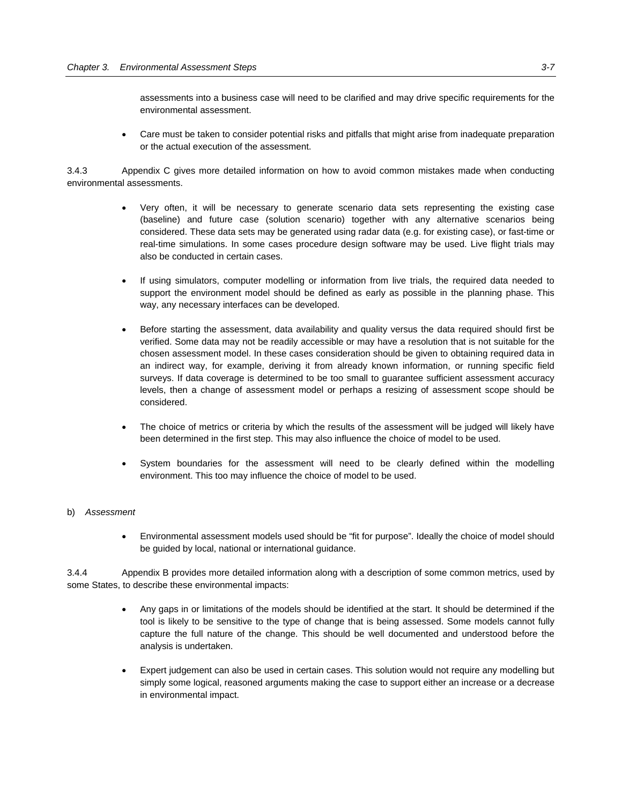assessments into a business case will need to be clarified and may drive specific requirements for the environmental assessment.

 Care must be taken to consider potential risks and pitfalls that might arise from inadequate preparation or the actual execution of the assessment.

3.4.3 Appendix C gives more detailed information on how to avoid common mistakes made when conducting environmental assessments.

- Very often, it will be necessary to generate scenario data sets representing the existing case (baseline) and future case (solution scenario) together with any alternative scenarios being considered. These data sets may be generated using radar data (e.g. for existing case), or fast-time or real-time simulations. In some cases procedure design software may be used. Live flight trials may also be conducted in certain cases.
- If using simulators, computer modelling or information from live trials, the required data needed to support the environment model should be defined as early as possible in the planning phase. This way, any necessary interfaces can be developed.
- Before starting the assessment, data availability and quality versus the data required should first be verified. Some data may not be readily accessible or may have a resolution that is not suitable for the chosen assessment model. In these cases consideration should be given to obtaining required data in an indirect way, for example, deriving it from already known information, or running specific field surveys. If data coverage is determined to be too small to guarantee sufficient assessment accuracy levels, then a change of assessment model or perhaps a resizing of assessment scope should be considered.
- The choice of metrics or criteria by which the results of the assessment will be judged will likely have been determined in the first step. This may also influence the choice of model to be used.
- System boundaries for the assessment will need to be clearly defined within the modelling environment. This too may influence the choice of model to be used.

#### b) *Assessment*

 Environmental assessment models used should be "fit for purpose". Ideally the choice of model should be guided by local, national or international guidance.

3.4.4 Appendix B provides more detailed information along with a description of some common metrics, used by some States, to describe these environmental impacts:

- Any gaps in or limitations of the models should be identified at the start. It should be determined if the tool is likely to be sensitive to the type of change that is being assessed. Some models cannot fully capture the full nature of the change. This should be well documented and understood before the analysis is undertaken.
- Expert judgement can also be used in certain cases. This solution would not require any modelling but simply some logical, reasoned arguments making the case to support either an increase or a decrease in environmental impact.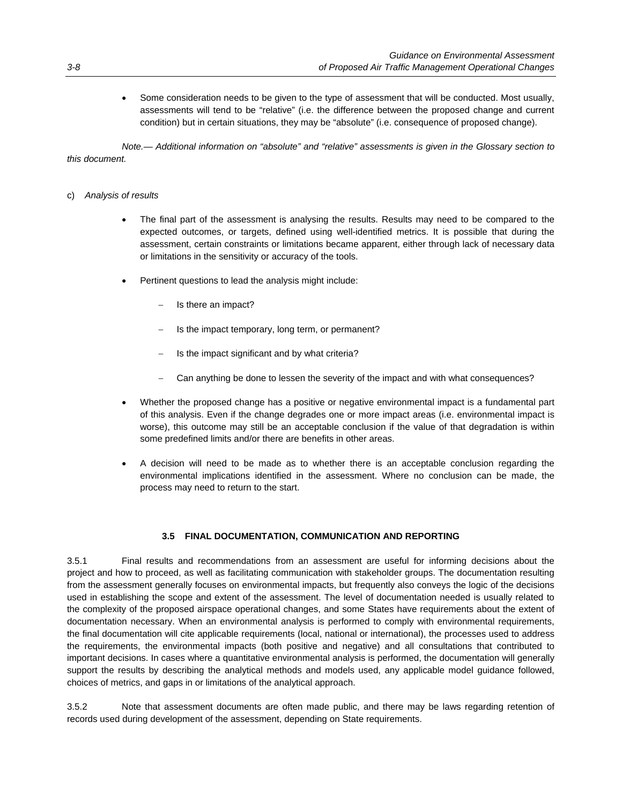Some consideration needs to be given to the type of assessment that will be conducted. Most usually, assessments will tend to be "relative" (i.e. the difference between the proposed change and current condition) but in certain situations, they may be "absolute" (i.e. consequence of proposed change).

 *Note.— Additional information on "absolute" and "relative" assessments is given in the Glossary section to this document.* 

#### c) *Analysis of results*

- The final part of the assessment is analysing the results. Results may need to be compared to the expected outcomes, or targets, defined using well-identified metrics. It is possible that during the assessment, certain constraints or limitations became apparent, either through lack of necessary data or limitations in the sensitivity or accuracy of the tools.
- Pertinent questions to lead the analysis might include:
	- Is there an impact?
	- Is the impact temporary, long term, or permanent?
	- Is the impact significant and by what criteria?
	- Can anything be done to lessen the severity of the impact and with what consequences?
- Whether the proposed change has a positive or negative environmental impact is a fundamental part of this analysis. Even if the change degrades one or more impact areas (i.e. environmental impact is worse), this outcome may still be an acceptable conclusion if the value of that degradation is within some predefined limits and/or there are benefits in other areas.
- A decision will need to be made as to whether there is an acceptable conclusion regarding the environmental implications identified in the assessment. Where no conclusion can be made, the process may need to return to the start.

#### **3.5 FINAL DOCUMENTATION, COMMUNICATION AND REPORTING**

3.5.1 Final results and recommendations from an assessment are useful for informing decisions about the project and how to proceed, as well as facilitating communication with stakeholder groups. The documentation resulting from the assessment generally focuses on environmental impacts, but frequently also conveys the logic of the decisions used in establishing the scope and extent of the assessment. The level of documentation needed is usually related to the complexity of the proposed airspace operational changes, and some States have requirements about the extent of documentation necessary. When an environmental analysis is performed to comply with environmental requirements, the final documentation will cite applicable requirements (local, national or international), the processes used to address the requirements, the environmental impacts (both positive and negative) and all consultations that contributed to important decisions. In cases where a quantitative environmental analysis is performed, the documentation will generally support the results by describing the analytical methods and models used, any applicable model guidance followed, choices of metrics, and gaps in or limitations of the analytical approach.

3.5.2 Note that assessment documents are often made public, and there may be laws regarding retention of records used during development of the assessment, depending on State requirements.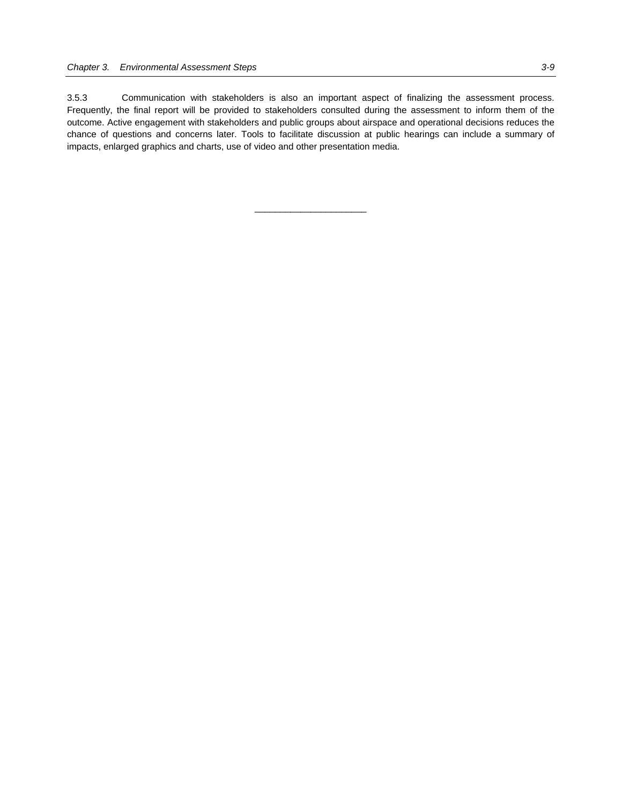3.5.3 Communication with stakeholders is also an important aspect of finalizing the assessment process. Frequently, the final report will be provided to stakeholders consulted during the assessment to inform them of the outcome. Active engagement with stakeholders and public groups about airspace and operational decisions reduces the chance of questions and concerns later. Tools to facilitate discussion at public hearings can include a summary of impacts, enlarged graphics and charts, use of video and other presentation media.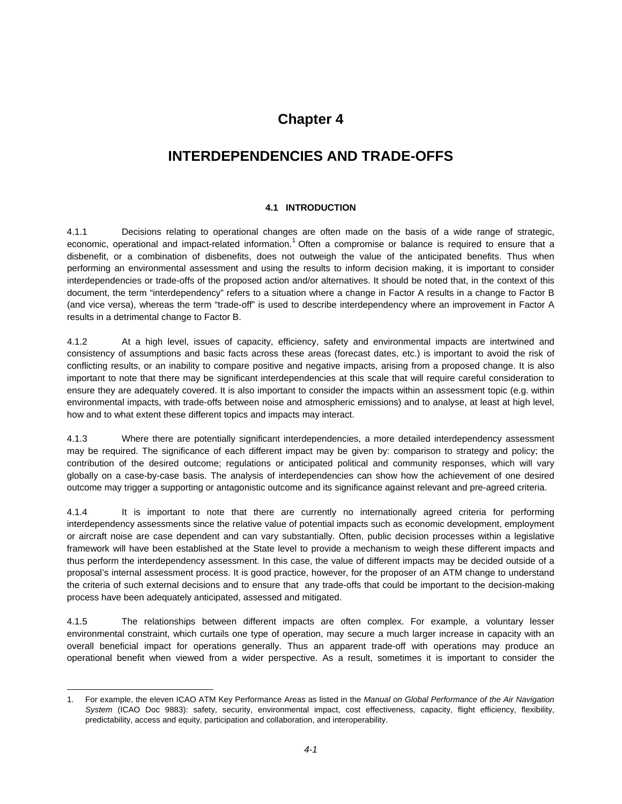### **Chapter 4**

### **INTERDEPENDENCIES AND TRADE-OFFS**

### **4.1 INTRODUCTION**

4.1.1 Decisions relating to operational changes are often made on the basis of a wide range of strategic, economic, operational and impact-related information.<sup>1</sup> Often a compromise or balance is required to ensure that a disbenefit, or a combination of disbenefits, does not outweigh the value of the anticipated benefits. Thus when performing an environmental assessment and using the results to inform decision making, it is important to consider interdependencies or trade-offs of the proposed action and/or alternatives. It should be noted that, in the context of this document, the term "interdependency" refers to a situation where a change in Factor A results in a change to Factor B (and vice versa), whereas the term "trade-off" is used to describe interdependency where an improvement in Factor A results in a detrimental change to Factor B.

4.1.2 At a high level, issues of capacity, efficiency, safety and environmental impacts are intertwined and consistency of assumptions and basic facts across these areas (forecast dates, etc.) is important to avoid the risk of conflicting results, or an inability to compare positive and negative impacts, arising from a proposed change. It is also important to note that there may be significant interdependencies at this scale that will require careful consideration to ensure they are adequately covered. It is also important to consider the impacts within an assessment topic (e.g. within environmental impacts, with trade-offs between noise and atmospheric emissions) and to analyse, at least at high level, how and to what extent these different topics and impacts may interact.

4.1.3 Where there are potentially significant interdependencies, a more detailed interdependency assessment may be required. The significance of each different impact may be given by: comparison to strategy and policy; the contribution of the desired outcome; regulations or anticipated political and community responses, which will vary globally on a case-by-case basis. The analysis of interdependencies can show how the achievement of one desired outcome may trigger a supporting or antagonistic outcome and its significance against relevant and pre-agreed criteria.

4.1.4 It is important to note that there are currently no internationally agreed criteria for performing interdependency assessments since the relative value of potential impacts such as economic development, employment or aircraft noise are case dependent and can vary substantially. Often, public decision processes within a legislative framework will have been established at the State level to provide a mechanism to weigh these different impacts and thus perform the interdependency assessment. In this case, the value of different impacts may be decided outside of a proposal's internal assessment process. It is good practice, however, for the proposer of an ATM change to understand the criteria of such external decisions and to ensure that any trade-offs that could be important to the decision-making process have been adequately anticipated, assessed and mitigated.

4.1.5 The relationships between different impacts are often complex. For example, a voluntary lesser environmental constraint, which curtails one type of operation, may secure a much larger increase in capacity with an overall beneficial impact for operations generally. Thus an apparent trade-off with operations may produce an operational benefit when viewed from a wider perspective. As a result, sometimes it is important to consider the

 $\overline{a}$ 

<sup>1.</sup> For example, the eleven ICAO ATM Key Performance Areas as listed in the *Manual on Global Performance of the Air Navigation System* (ICAO Doc 9883): safety, security, environmental impact, cost effectiveness, capacity, flight efficiency, flexibility, predictability, access and equity, participation and collaboration, and interoperability.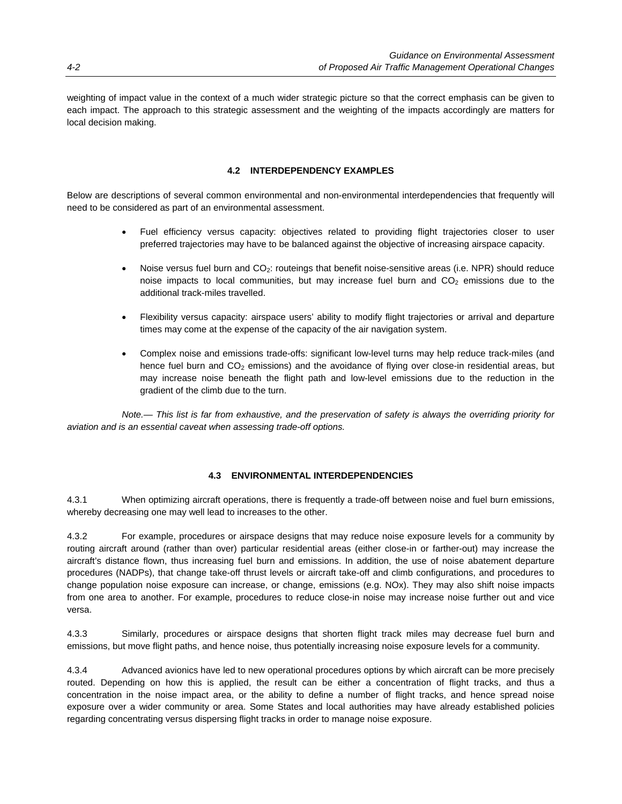weighting of impact value in the context of a much wider strategic picture so that the correct emphasis can be given to each impact. The approach to this strategic assessment and the weighting of the impacts accordingly are matters for local decision making.

### **4.2 INTERDEPENDENCY EXAMPLES**

Below are descriptions of several common environmental and non-environmental interdependencies that frequently will need to be considered as part of an environmental assessment.

- Fuel efficiency versus capacity: objectives related to providing flight trajectories closer to user preferred trajectories may have to be balanced against the objective of increasing airspace capacity.
- Noise versus fuel burn and CO<sub>2</sub>: routeings that benefit noise-sensitive areas (i.e. NPR) should reduce noise impacts to local communities, but may increase fuel burn and  $CO<sub>2</sub>$  emissions due to the additional track-miles travelled.
- Flexibility versus capacity: airspace users' ability to modify flight trajectories or arrival and departure times may come at the expense of the capacity of the air navigation system.
- Complex noise and emissions trade-offs: significant low-level turns may help reduce track-miles (and hence fuel burn and  $CO<sub>2</sub>$  emissions) and the avoidance of flying over close-in residential areas, but may increase noise beneath the flight path and low-level emissions due to the reduction in the gradient of the climb due to the turn.

 *Note.— This list is far from exhaustive, and the preservation of safety is always the overriding priority for aviation and is an essential caveat when assessing trade-off options.* 

### **4.3 ENVIRONMENTAL INTERDEPENDENCIES**

4.3.1 When optimizing aircraft operations, there is frequently a trade-off between noise and fuel burn emissions, whereby decreasing one may well lead to increases to the other.

4.3.2 For example, procedures or airspace designs that may reduce noise exposure levels for a community by routing aircraft around (rather than over) particular residential areas (either close-in or farther-out) may increase the aircraft's distance flown, thus increasing fuel burn and emissions. In addition, the use of noise abatement departure procedures (NADPs), that change take-off thrust levels or aircraft take-off and climb configurations, and procedures to change population noise exposure can increase, or change, emissions (e.g. NOx). They may also shift noise impacts from one area to another. For example, procedures to reduce close-in noise may increase noise further out and vice versa.

4.3.3 Similarly, procedures or airspace designs that shorten flight track miles may decrease fuel burn and emissions, but move flight paths, and hence noise, thus potentially increasing noise exposure levels for a community.

4.3.4 Advanced avionics have led to new operational procedures options by which aircraft can be more precisely routed. Depending on how this is applied, the result can be either a concentration of flight tracks, and thus a concentration in the noise impact area, or the ability to define a number of flight tracks, and hence spread noise exposure over a wider community or area. Some States and local authorities may have already established policies regarding concentrating versus dispersing flight tracks in order to manage noise exposure.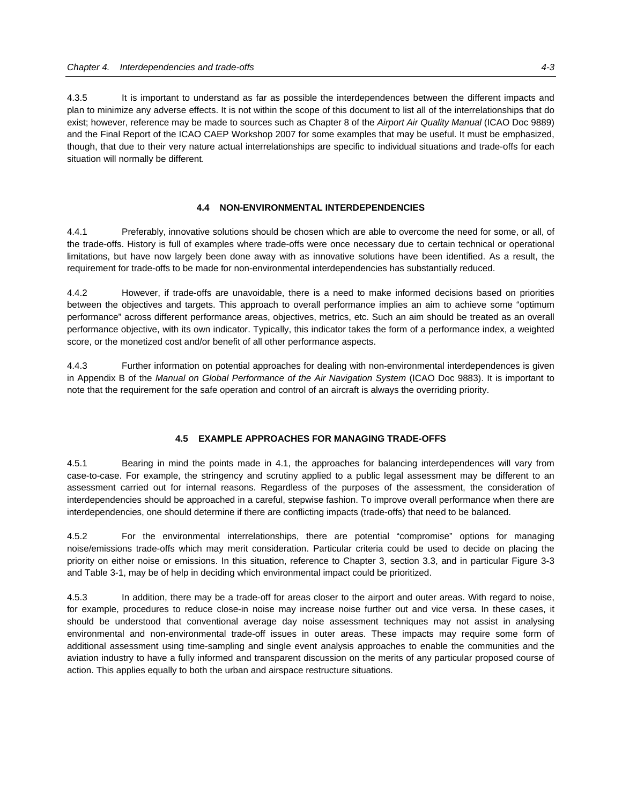4.3.5 It is important to understand as far as possible the interdependences between the different impacts and plan to minimize any adverse effects. It is not within the scope of this document to list all of the interrelationships that do exist; however, reference may be made to sources such as Chapter 8 of the *Airport Air Quality Manual* (ICAO Doc 9889) and the Final Report of the ICAO CAEP Workshop 2007 for some examples that may be useful. It must be emphasized, though, that due to their very nature actual interrelationships are specific to individual situations and trade-offs for each situation will normally be different.

### **4.4 NON-ENVIRONMENTAL INTERDEPENDENCIES**

4.4.1 Preferably, innovative solutions should be chosen which are able to overcome the need for some, or all, of the trade-offs. History is full of examples where trade-offs were once necessary due to certain technical or operational limitations, but have now largely been done away with as innovative solutions have been identified. As a result, the requirement for trade-offs to be made for non-environmental interdependencies has substantially reduced.

4.4.2 However, if trade-offs are unavoidable, there is a need to make informed decisions based on priorities between the objectives and targets. This approach to overall performance implies an aim to achieve some "optimum performance" across different performance areas, objectives, metrics, etc. Such an aim should be treated as an overall performance objective, with its own indicator. Typically, this indicator takes the form of a performance index, a weighted score, or the monetized cost and/or benefit of all other performance aspects.

4.4.3 Further information on potential approaches for dealing with non-environmental interdependences is given in Appendix B of the *Manual on Global Performance of the Air Navigation System* (ICAO Doc 9883). It is important to note that the requirement for the safe operation and control of an aircraft is always the overriding priority.

#### **4.5 EXAMPLE APPROACHES FOR MANAGING TRADE-OFFS**

4.5.1 Bearing in mind the points made in 4.1, the approaches for balancing interdependences will vary from case-to-case. For example, the stringency and scrutiny applied to a public legal assessment may be different to an assessment carried out for internal reasons. Regardless of the purposes of the assessment, the consideration of interdependencies should be approached in a careful, stepwise fashion. To improve overall performance when there are interdependencies, one should determine if there are conflicting impacts (trade-offs) that need to be balanced.

4.5.2 For the environmental interrelationships, there are potential "compromise" options for managing noise/emissions trade-offs which may merit consideration. Particular criteria could be used to decide on placing the priority on either noise or emissions. In this situation, reference to Chapter 3, section 3.3, and in particular Figure 3-3 and Table 3-1, may be of help in deciding which environmental impact could be prioritized.

4.5.3 In addition, there may be a trade-off for areas closer to the airport and outer areas. With regard to noise, for example, procedures to reduce close-in noise may increase noise further out and vice versa. In these cases, it should be understood that conventional average day noise assessment techniques may not assist in analysing environmental and non-environmental trade-off issues in outer areas. These impacts may require some form of additional assessment using time-sampling and single event analysis approaches to enable the communities and the aviation industry to have a fully informed and transparent discussion on the merits of any particular proposed course of action. This applies equally to both the urban and airspace restructure situations.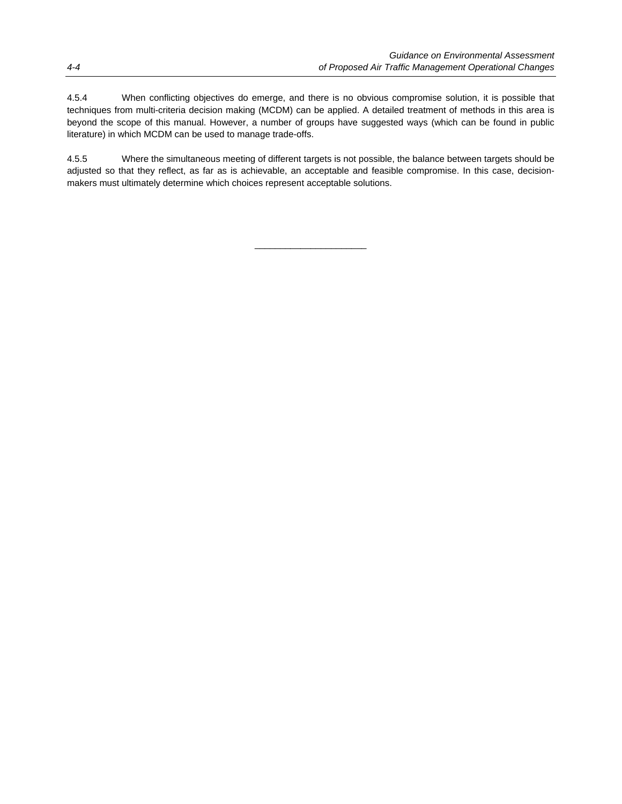4.5.4 When conflicting objectives do emerge, and there is no obvious compromise solution, it is possible that techniques from multi-criteria decision making (MCDM) can be applied. A detailed treatment of methods in this area is beyond the scope of this manual. However, a number of groups have suggested ways (which can be found in public literature) in which MCDM can be used to manage trade-offs.

4.5.5 Where the simultaneous meeting of different targets is not possible, the balance between targets should be adjusted so that they reflect, as far as is achievable, an acceptable and feasible compromise. In this case, decisionmakers must ultimately determine which choices represent acceptable solutions.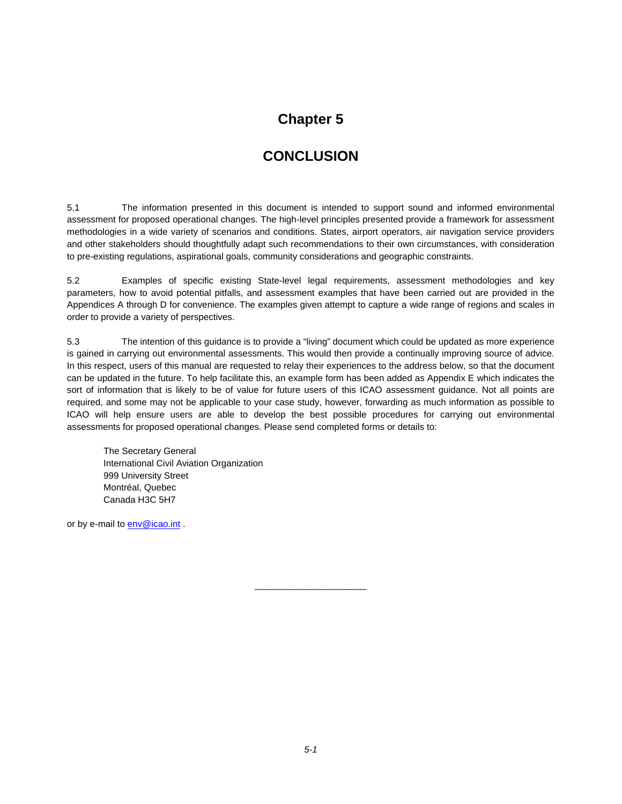### **Chapter 5**

### **CONCLUSION**

5.1 The information presented in this document is intended to support sound and informed environmental assessment for proposed operational changes. The high-level principles presented provide a framework for assessment methodologies in a wide variety of scenarios and conditions. States, airport operators, air navigation service providers and other stakeholders should thoughtfully adapt such recommendations to their own circumstances, with consideration to pre-existing regulations, aspirational goals, community considerations and geographic constraints.

5.2 Examples of specific existing State-level legal requirements, assessment methodologies and key parameters, how to avoid potential pitfalls, and assessment examples that have been carried out are provided in the Appendices A through D for convenience. The examples given attempt to capture a wide range of regions and scales in order to provide a variety of perspectives.

5.3 The intention of this guidance is to provide a "living" document which could be updated as more experience is gained in carrying out environmental assessments. This would then provide a continually improving source of advice. In this respect, users of this manual are requested to relay their experiences to the address below, so that the document can be updated in the future. To help facilitate this, an example form has been added as Appendix E which indicates the sort of information that is likely to be of value for future users of this ICAO assessment guidance. Not all points are required, and some may not be applicable to your case study, however, forwarding as much information as possible to ICAO will help ensure users are able to develop the best possible procedures for carrying out environmental assessments for proposed operational changes. Please send completed forms or details to:

 The Secretary General International Civil Aviation Organization 999 University Street Montréal, Quebec Canada H3C 5H7

or by e-mail to **env@icao.int**.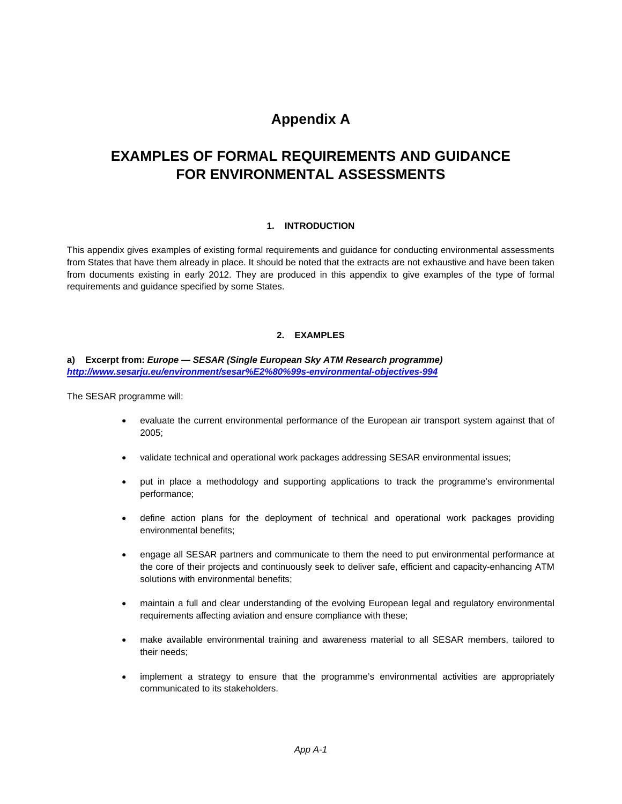### **Appendix A**

### **EXAMPLES OF FORMAL REQUIREMENTS AND GUIDANCE FOR ENVIRONMENTAL ASSESSMENTS**

### **1. INTRODUCTION**

This appendix gives examples of existing formal requirements and guidance for conducting environmental assessments from States that have them already in place. It should be noted that the extracts are not exhaustive and have been taken from documents existing in early 2012. They are produced in this appendix to give examples of the type of formal requirements and guidance specified by some States.

### **2. EXAMPLES**

### **a) Excerpt from:** *Europe — SESAR (Single European Sky ATM Research programme) http://www.sesarju.eu/environment/sesar%E2%80%99s-environmental-objectives-994*

The SESAR programme will:

- evaluate the current environmental performance of the European air transport system against that of 2005;
- validate technical and operational work packages addressing SESAR environmental issues;
- put in place a methodology and supporting applications to track the programme's environmental performance;
- define action plans for the deployment of technical and operational work packages providing environmental benefits;
- engage all SESAR partners and communicate to them the need to put environmental performance at the core of their projects and continuously seek to deliver safe, efficient and capacity-enhancing ATM solutions with environmental benefits;
- maintain a full and clear understanding of the evolving European legal and regulatory environmental requirements affecting aviation and ensure compliance with these;
- make available environmental training and awareness material to all SESAR members, tailored to their needs;
- implement a strategy to ensure that the programme's environmental activities are appropriately communicated to its stakeholders.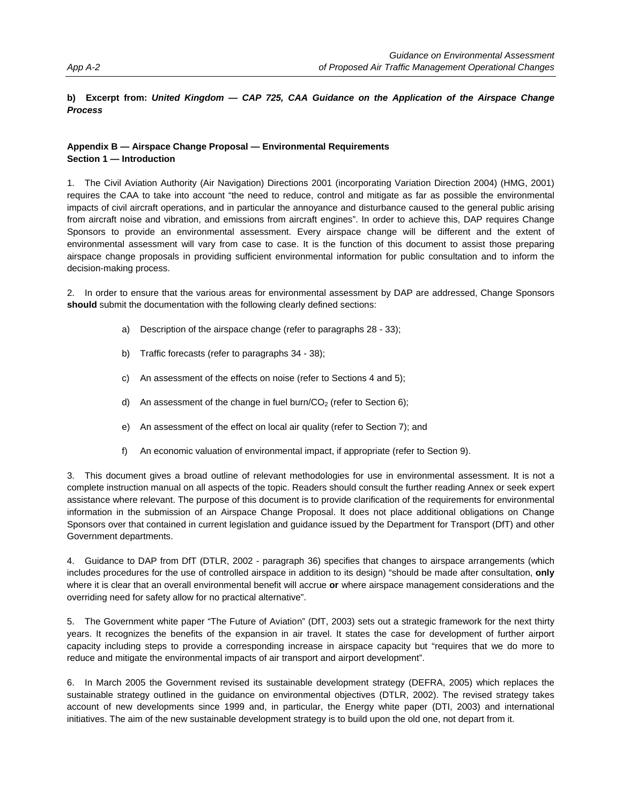### **b) Excerpt from:** *United Kingdom — CAP 725, CAA Guidance on the Application of the Airspace Change Process*

### **Appendix B — Airspace Change Proposal — Environmental Requirements Section 1 — Introduction**

1. The Civil Aviation Authority (Air Navigation) Directions 2001 (incorporating Variation Direction 2004) (HMG, 2001) requires the CAA to take into account "the need to reduce, control and mitigate as far as possible the environmental impacts of civil aircraft operations, and in particular the annoyance and disturbance caused to the general public arising from aircraft noise and vibration, and emissions from aircraft engines". In order to achieve this, DAP requires Change Sponsors to provide an environmental assessment. Every airspace change will be different and the extent of environmental assessment will vary from case to case. It is the function of this document to assist those preparing airspace change proposals in providing sufficient environmental information for public consultation and to inform the decision-making process.

2. In order to ensure that the various areas for environmental assessment by DAP are addressed, Change Sponsors **should** submit the documentation with the following clearly defined sections:

- a) Description of the airspace change (refer to paragraphs 28 33);
- b) Traffic forecasts (refer to paragraphs 34 38);
- c) An assessment of the effects on noise (refer to Sections 4 and 5);
- d) An assessment of the change in fuel burn/ $CO<sub>2</sub>$  (refer to Section 6);
- e) An assessment of the effect on local air quality (refer to Section 7); and
- f) An economic valuation of environmental impact, if appropriate (refer to Section 9).

3. This document gives a broad outline of relevant methodologies for use in environmental assessment. It is not a complete instruction manual on all aspects of the topic. Readers should consult the further reading Annex or seek expert assistance where relevant. The purpose of this document is to provide clarification of the requirements for environmental information in the submission of an Airspace Change Proposal. It does not place additional obligations on Change Sponsors over that contained in current legislation and guidance issued by the Department for Transport (DfT) and other Government departments.

4. Guidance to DAP from DfT (DTLR, 2002 - paragraph 36) specifies that changes to airspace arrangements (which includes procedures for the use of controlled airspace in addition to its design) "should be made after consultation, **only**  where it is clear that an overall environmental benefit will accrue **or** where airspace management considerations and the overriding need for safety allow for no practical alternative".

5. The Government white paper "The Future of Aviation" (DfT, 2003) sets out a strategic framework for the next thirty years. It recognizes the benefits of the expansion in air travel. It states the case for development of further airport capacity including steps to provide a corresponding increase in airspace capacity but "requires that we do more to reduce and mitigate the environmental impacts of air transport and airport development".

6. In March 2005 the Government revised its sustainable development strategy (DEFRA, 2005) which replaces the sustainable strategy outlined in the guidance on environmental objectives (DTLR, 2002). The revised strategy takes account of new developments since 1999 and, in particular, the Energy white paper (DTI, 2003) and international initiatives. The aim of the new sustainable development strategy is to build upon the old one, not depart from it.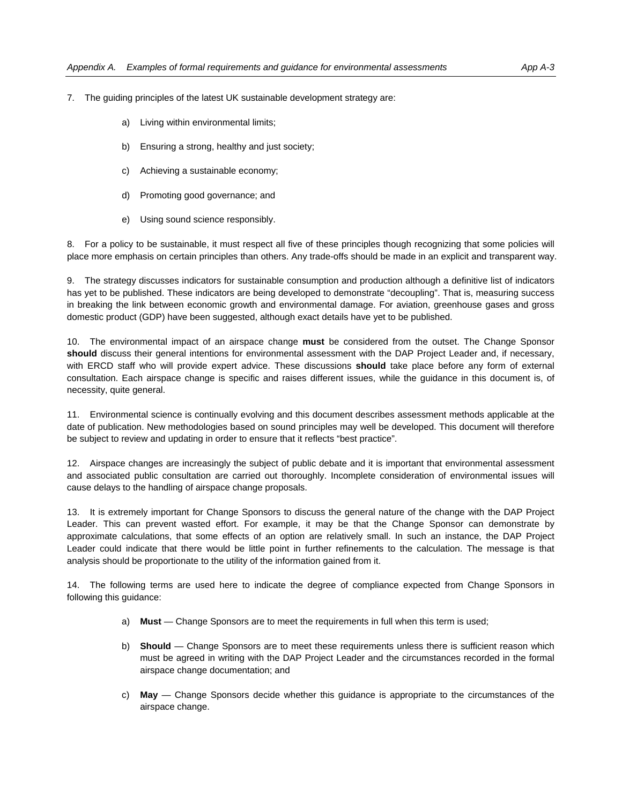- 7. The guiding principles of the latest UK sustainable development strategy are:
	- a) Living within environmental limits;
	- b) Ensuring a strong, healthy and just society;
	- c) Achieving a sustainable economy;
	- d) Promoting good governance; and
	- e) Using sound science responsibly.

8. For a policy to be sustainable, it must respect all five of these principles though recognizing that some policies will place more emphasis on certain principles than others. Any trade-offs should be made in an explicit and transparent way.

9. The strategy discusses indicators for sustainable consumption and production although a definitive list of indicators has yet to be published. These indicators are being developed to demonstrate "decoupling". That is, measuring success in breaking the link between economic growth and environmental damage. For aviation, greenhouse gases and gross domestic product (GDP) have been suggested, although exact details have yet to be published.

10. The environmental impact of an airspace change **must** be considered from the outset. The Change Sponsor **should** discuss their general intentions for environmental assessment with the DAP Project Leader and, if necessary, with ERCD staff who will provide expert advice. These discussions **should** take place before any form of external consultation. Each airspace change is specific and raises different issues, while the guidance in this document is, of necessity, quite general.

11. Environmental science is continually evolving and this document describes assessment methods applicable at the date of publication. New methodologies based on sound principles may well be developed. This document will therefore be subject to review and updating in order to ensure that it reflects "best practice".

12. Airspace changes are increasingly the subject of public debate and it is important that environmental assessment and associated public consultation are carried out thoroughly. Incomplete consideration of environmental issues will cause delays to the handling of airspace change proposals.

13. It is extremely important for Change Sponsors to discuss the general nature of the change with the DAP Project Leader. This can prevent wasted effort. For example, it may be that the Change Sponsor can demonstrate by approximate calculations, that some effects of an option are relatively small. In such an instance, the DAP Project Leader could indicate that there would be little point in further refinements to the calculation. The message is that analysis should be proportionate to the utility of the information gained from it.

14. The following terms are used here to indicate the degree of compliance expected from Change Sponsors in following this guidance:

- a) **Must** Change Sponsors are to meet the requirements in full when this term is used;
- b) **Should** Change Sponsors are to meet these requirements unless there is sufficient reason which must be agreed in writing with the DAP Project Leader and the circumstances recorded in the formal airspace change documentation; and
- c) **May** Change Sponsors decide whether this guidance is appropriate to the circumstances of the airspace change.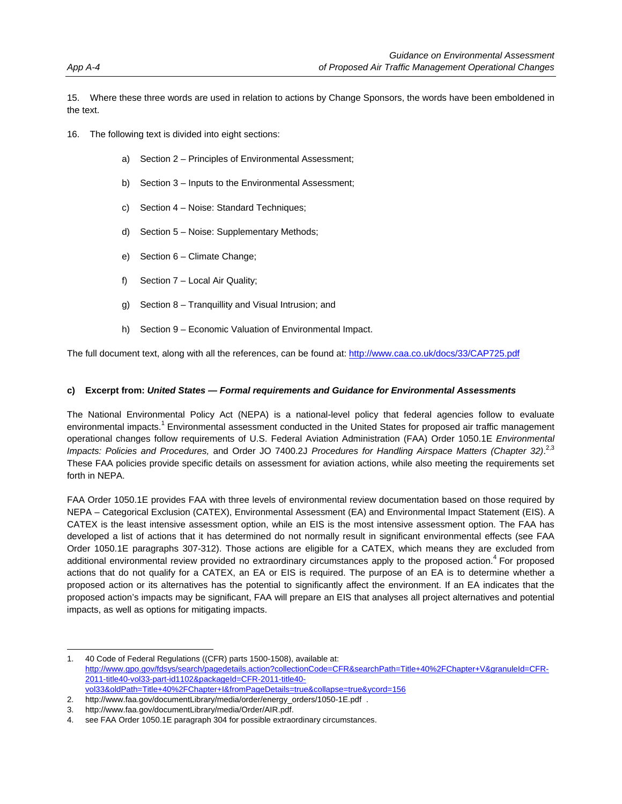15. Where these three words are used in relation to actions by Change Sponsors, the words have been emboldened in the text.

- 16. The following text is divided into eight sections:
	- a) Section 2 Principles of Environmental Assessment;
	- b) Section 3 Inputs to the Environmental Assessment;
	- c) Section 4 Noise: Standard Techniques;
	- d) Section 5 Noise: Supplementary Methods;
	- e) Section 6 Climate Change;
	- f) Section 7 Local Air Quality;
	- g) Section 8 Tranquillity and Visual Intrusion; and
	- h) Section 9 Economic Valuation of Environmental Impact.

The full document text, along with all the references, can be found at: http://www.caa.co.uk/docs/33/CAP725.pdf

#### **c) Excerpt from:** *United States — Formal requirements and Guidance for Environmental Assessments*

The National Environmental Policy Act (NEPA) is a national-level policy that federal agencies follow to evaluate environmental impacts.<sup>1</sup> Environmental assessment conducted in the United States for proposed air traffic management operational changes follow requirements of U.S. Federal Aviation Administration (FAA) Order 1050.1E *Environmental Impacts: Policies and Procedures,* and Order JO 7400.2J *Procedures for Handling Airspace Matters (Chapter 32)*. 2,3 These FAA policies provide specific details on assessment for aviation actions, while also meeting the requirements set forth in NEPA.

FAA Order 1050.1E provides FAA with three levels of environmental review documentation based on those required by NEPA – Categorical Exclusion (CATEX), Environmental Assessment (EA) and Environmental Impact Statement (EIS). A CATEX is the least intensive assessment option, while an EIS is the most intensive assessment option. The FAA has developed a list of actions that it has determined do not normally result in significant environmental effects (see FAA Order 1050.1E paragraphs 307-312). Those actions are eligible for a CATEX, which means they are excluded from additional environmental review provided no extraordinary circumstances apply to the proposed action.<sup>4</sup> For proposed actions that do not qualify for a CATEX, an EA or EIS is required. The purpose of an EA is to determine whether a proposed action or its alternatives has the potential to significantly affect the environment. If an EA indicates that the proposed action's impacts may be significant, FAA will prepare an EIS that analyses all project alternatives and potential impacts, as well as options for mitigating impacts.

-

<sup>1. 40</sup> Code of Federal Regulations ((CFR) parts 1500-1508), available at: http://www.gpo.gov/fdsys/search/pagedetails.action?collectionCode=CFR&searchPath=Title+40%2FChapter+V&granuleId=CFR-2011-title40-vol33-part-id1102&packageId=CFR-2011-title40 vol33&oldPath=Title+40%2FChapter+I&fromPageDetails=true&collapse=true&ycord=156

<sup>2.</sup> http://www.faa.gov/documentLibrary/media/order/energy\_orders/1050-1E.pdf .

<sup>3.</sup> http://www.faa.gov/documentLibrary/media/Order/AIR.pdf.

<sup>4.</sup> see FAA Order 1050.1E paragraph 304 for possible extraordinary circumstances.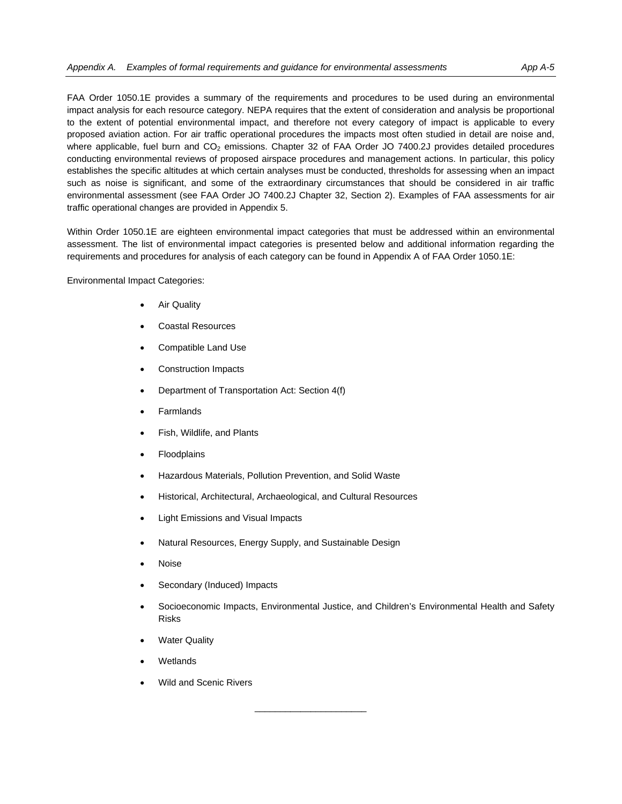FAA Order 1050.1E provides a summary of the requirements and procedures to be used during an environmental impact analysis for each resource category. NEPA requires that the extent of consideration and analysis be proportional to the extent of potential environmental impact, and therefore not every category of impact is applicable to every proposed aviation action. For air traffic operational procedures the impacts most often studied in detail are noise and, where applicable, fuel burn and  $CO<sub>2</sub>$  emissions. Chapter 32 of FAA Order JO 7400.2J provides detailed procedures conducting environmental reviews of proposed airspace procedures and management actions. In particular, this policy establishes the specific altitudes at which certain analyses must be conducted, thresholds for assessing when an impact such as noise is significant, and some of the extraordinary circumstances that should be considered in air traffic environmental assessment (see FAA Order JO 7400.2J Chapter 32, Section 2). Examples of FAA assessments for air traffic operational changes are provided in Appendix 5.

Within Order 1050.1E are eighteen environmental impact categories that must be addressed within an environmental assessment. The list of environmental impact categories is presented below and additional information regarding the requirements and procedures for analysis of each category can be found in Appendix A of FAA Order 1050.1E:

Environmental Impact Categories:

- Air Quality
- Coastal Resources
- Compatible Land Use
- Construction Impacts
- Department of Transportation Act: Section 4(f)
- Farmlands
- Fish, Wildlife, and Plants
- Floodplains
- Hazardous Materials, Pollution Prevention, and Solid Waste
- Historical, Architectural, Archaeological, and Cultural Resources
- Light Emissions and Visual Impacts
- Natural Resources, Energy Supply, and Sustainable Design
- Noise
- Secondary (Induced) Impacts
- Socioeconomic Impacts, Environmental Justice, and Children's Environmental Health and Safety Risks

- Water Quality
- Wetlands
- Wild and Scenic Rivers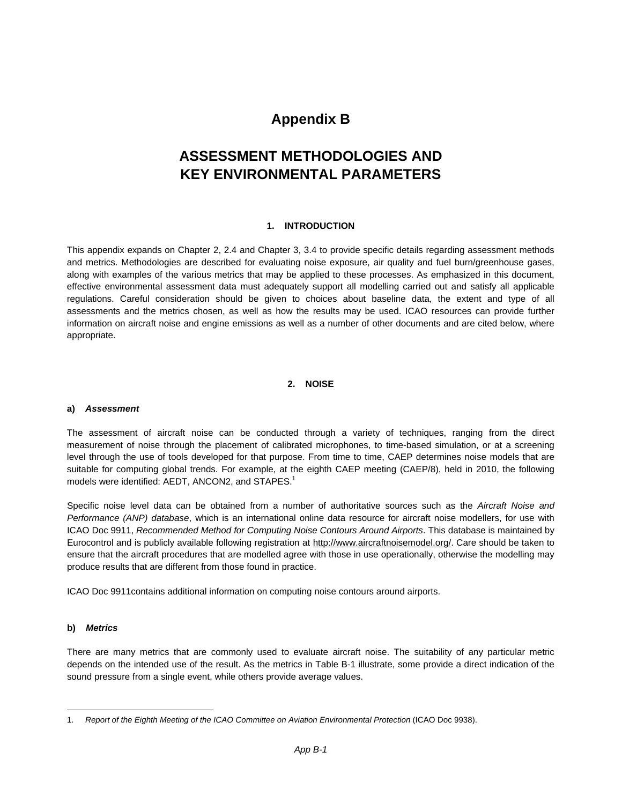### **Appendix B**

### **ASSESSMENT METHODOLOGIES AND KEY ENVIRONMENTAL PARAMETERS**

### **1. INTRODUCTION**

This appendix expands on Chapter 2, 2.4 and Chapter 3, 3.4 to provide specific details regarding assessment methods and metrics. Methodologies are described for evaluating noise exposure, air quality and fuel burn/greenhouse gases, along with examples of the various metrics that may be applied to these processes. As emphasized in this document, effective environmental assessment data must adequately support all modelling carried out and satisfy all applicable regulations. Careful consideration should be given to choices about baseline data, the extent and type of all assessments and the metrics chosen, as well as how the results may be used. ICAO resources can provide further information on aircraft noise and engine emissions as well as a number of other documents and are cited below, where appropriate.

### **2. NOISE**

### **a)** *Assessment*

The assessment of aircraft noise can be conducted through a variety of techniques, ranging from the direct measurement of noise through the placement of calibrated microphones, to time-based simulation, or at a screening level through the use of tools developed for that purpose. From time to time, CAEP determines noise models that are suitable for computing global trends. For example, at the eighth CAEP meeting (CAEP/8), held in 2010, the following models were identified: AEDT, ANCON2, and STAPES.<sup>1</sup>

Specific noise level data can be obtained from a number of authoritative sources such as the *Aircraft Noise and Performance (ANP) database*, which is an international online data resource for aircraft noise modellers, for use with ICAO Doc 9911, *Recommended Method for Computing Noise Contours Around Airports*. This database is maintained by Eurocontrol and is publicly available following registration at http://www.aircraftnoisemodel.org/. Care should be taken to ensure that the aircraft procedures that are modelled agree with those in use operationally, otherwise the modelling may produce results that are different from those found in practice.

ICAO Doc 9911contains additional information on computing noise contours around airports.

### **b)** *Metrics*

 $\overline{a}$ 

There are many metrics that are commonly used to evaluate aircraft noise. The suitability of any particular metric depends on the intended use of the result. As the metrics in Table B-1 illustrate, some provide a direct indication of the sound pressure from a single event, while others provide average values.

<sup>1.</sup> *Report of the Eighth Meeting of the ICAO Committee on Aviation Environmental Protection* (ICAO Doc 9938).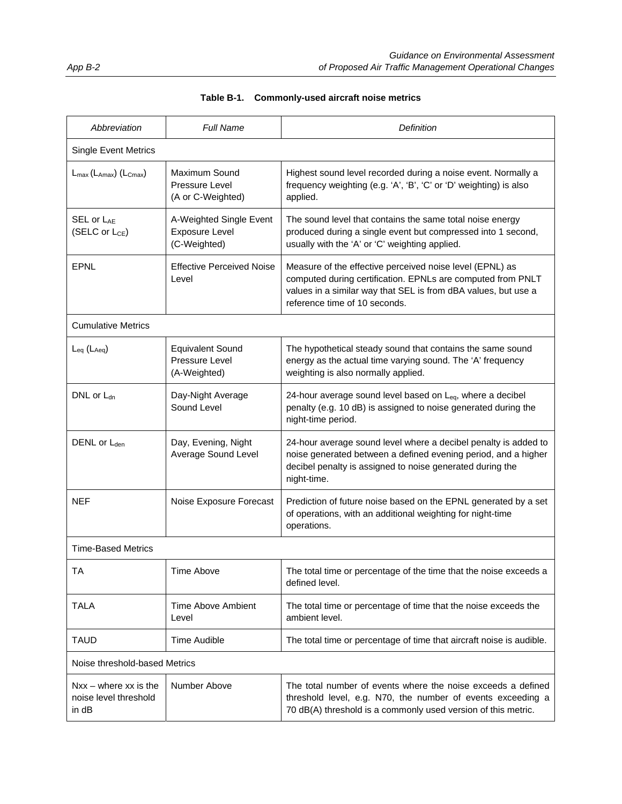| Abbreviation                                              | Full Name                                                        | Definition                                                                                                                                                                                                                 |  |  |
|-----------------------------------------------------------|------------------------------------------------------------------|----------------------------------------------------------------------------------------------------------------------------------------------------------------------------------------------------------------------------|--|--|
| <b>Single Event Metrics</b>                               |                                                                  |                                                                                                                                                                                                                            |  |  |
| $L_{\text{max}}(L_{\text{Amax}})(L_{\text{Cmax}})$        | Maximum Sound<br>Pressure Level<br>(A or C-Weighted)             | Highest sound level recorded during a noise event. Normally a<br>frequency weighting (e.g. 'A', 'B', 'C' or 'D' weighting) is also<br>applied.                                                                             |  |  |
| <b>SEL or LAF</b><br>(SELC or L <sub>CE</sub> )           | A-Weighted Single Event<br><b>Exposure Level</b><br>(C-Weighted) | The sound level that contains the same total noise energy<br>produced during a single event but compressed into 1 second,<br>usually with the 'A' or 'C' weighting applied.                                                |  |  |
| <b>EPNL</b>                                               | <b>Effective Perceived Noise</b><br>Level                        | Measure of the effective perceived noise level (EPNL) as<br>computed during certification. EPNLs are computed from PNLT<br>values in a similar way that SEL is from dBA values, but use a<br>reference time of 10 seconds. |  |  |
| <b>Cumulative Metrics</b>                                 |                                                                  |                                                                                                                                                                                                                            |  |  |
| $L_{eq}$ ( $L_{Aeq}$ )                                    | <b>Equivalent Sound</b><br>Pressure Level<br>(A-Weighted)        | The hypothetical steady sound that contains the same sound<br>energy as the actual time varying sound. The 'A' frequency<br>weighting is also normally applied.                                                            |  |  |
| DNL or $L_{dn}$                                           | Day-Night Average<br>Sound Level                                 | 24-hour average sound level based on $L_{eq}$ , where a decibel<br>penalty (e.g. 10 dB) is assigned to noise generated during the<br>night-time period.                                                                    |  |  |
| DENL or L <sub>den</sub>                                  | Day, Evening, Night<br>Average Sound Level                       | 24-hour average sound level where a decibel penalty is added to<br>noise generated between a defined evening period, and a higher<br>decibel penalty is assigned to noise generated during the<br>night-time.              |  |  |
| <b>NEF</b>                                                | Noise Exposure Forecast                                          | Prediction of future noise based on the EPNL generated by a set<br>of operations, with an additional weighting for night-time<br>operations.                                                                               |  |  |
| <b>Time-Based Metrics</b>                                 |                                                                  |                                                                                                                                                                                                                            |  |  |
| ТA                                                        | <b>Time Above</b>                                                | The total time or percentage of the time that the noise exceeds a<br>defined level.                                                                                                                                        |  |  |
| <b>TALA</b>                                               | <b>Time Above Ambient</b><br>Level                               | The total time or percentage of time that the noise exceeds the<br>ambient level.                                                                                                                                          |  |  |
| <b>TAUD</b>                                               | <b>Time Audible</b>                                              | The total time or percentage of time that aircraft noise is audible.                                                                                                                                                       |  |  |
|                                                           | Noise threshold-based Metrics                                    |                                                                                                                                                                                                                            |  |  |
| $Nxx - where xx$ is the<br>noise level threshold<br>in dB | Number Above                                                     | The total number of events where the noise exceeds a defined<br>threshold level, e.g. N70, the number of events exceeding a<br>70 dB(A) threshold is a commonly used version of this metric.                               |  |  |

### **Table B-1. Commonly-used aircraft noise metrics**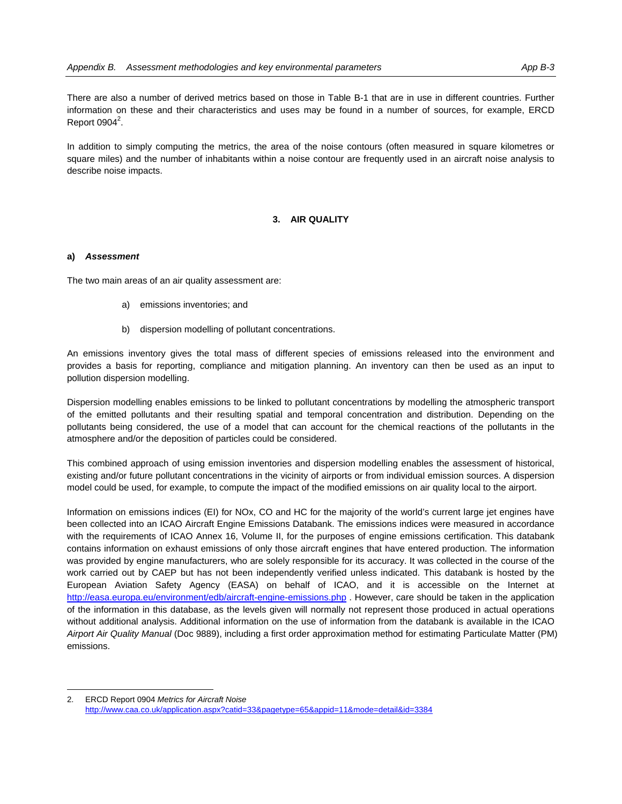There are also a number of derived metrics based on those in Table B-1 that are in use in different countries. Further information on these and their characteristics and uses may be found in a number of sources, for example, ERCD Report 0904 $2$ .

In addition to simply computing the metrics, the area of the noise contours (often measured in square kilometres or square miles) and the number of inhabitants within a noise contour are frequently used in an aircraft noise analysis to describe noise impacts.

#### **3. AIR QUALITY**

#### **a)** *Assessment*

 $\overline{a}$ 

The two main areas of an air quality assessment are:

- a) emissions inventories; and
- b) dispersion modelling of pollutant concentrations.

An emissions inventory gives the total mass of different species of emissions released into the environment and provides a basis for reporting, compliance and mitigation planning. An inventory can then be used as an input to pollution dispersion modelling.

Dispersion modelling enables emissions to be linked to pollutant concentrations by modelling the atmospheric transport of the emitted pollutants and their resulting spatial and temporal concentration and distribution. Depending on the pollutants being considered, the use of a model that can account for the chemical reactions of the pollutants in the atmosphere and/or the deposition of particles could be considered.

This combined approach of using emission inventories and dispersion modelling enables the assessment of historical, existing and/or future pollutant concentrations in the vicinity of airports or from individual emission sources. A dispersion model could be used, for example, to compute the impact of the modified emissions on air quality local to the airport.

Information on emissions indices (EI) for NOx, CO and HC for the majority of the world's current large jet engines have been collected into an ICAO Aircraft Engine Emissions Databank. The emissions indices were measured in accordance with the requirements of ICAO Annex 16, Volume II, for the purposes of engine emissions certification. This databank contains information on exhaust emissions of only those aircraft engines that have entered production. The information was provided by engine manufacturers, who are solely responsible for its accuracy. It was collected in the course of the work carried out by CAEP but has not been independently verified unless indicated. This databank is hosted by the European Aviation Safety Agency (EASA) on behalf of ICAO, and it is accessible on the Internet at http://easa.europa.eu/environment/edb/aircraft-engine-emissions.php . However, care should be taken in the application of the information in this database, as the levels given will normally not represent those produced in actual operations without additional analysis. Additional information on the use of information from the databank is available in the ICAO *Airport Air Quality Manual* (Doc 9889), including a first order approximation method for estimating Particulate Matter (PM) emissions.

<sup>2.</sup> ERCD Report 0904 *Metrics for Aircraft Noise* http://www.caa.co.uk/application.aspx?catid=33&pagetype=65&appid=11&mode=detail&id=3384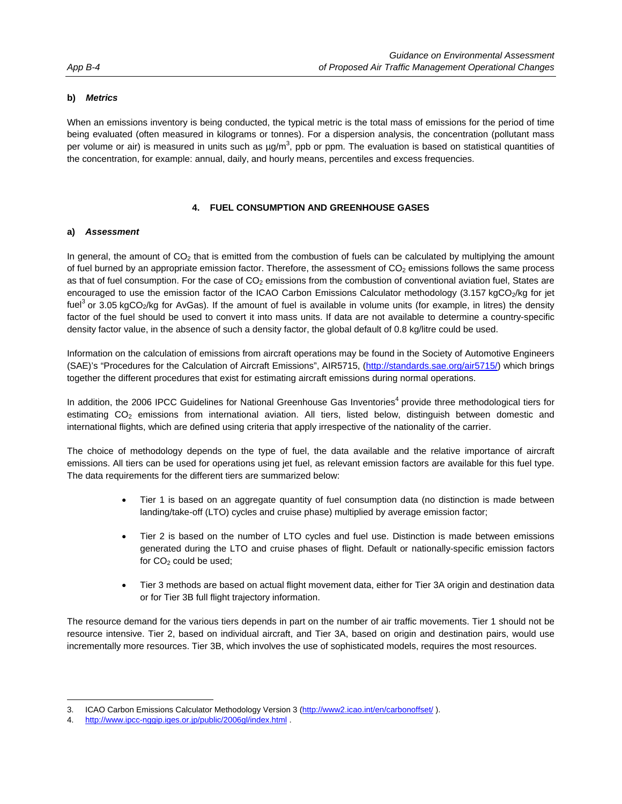### **b)** *Metrics*

When an emissions inventory is being conducted, the typical metric is the total mass of emissions for the period of time being evaluated (often measured in kilograms or tonnes). For a dispersion analysis, the concentration (pollutant mass per volume or air) is measured in units such as  $\mu g/m^3$ , ppb or ppm. The evaluation is based on statistical quantities of the concentration, for example: annual, daily, and hourly means, percentiles and excess frequencies.

### **4. FUEL CONSUMPTION AND GREENHOUSE GASES**

### **a)** *Assessment*

In general, the amount of  $CO<sub>2</sub>$  that is emitted from the combustion of fuels can be calculated by multiplying the amount of fuel burned by an appropriate emission factor. Therefore, the assessment of  $CO<sub>2</sub>$  emissions follows the same process as that of fuel consumption. For the case of  $CO<sub>2</sub>$  emissions from the combustion of conventional aviation fuel, States are encouraged to use the emission factor of the ICAO Carbon Emissions Calculator methodology (3.157 kgCO<sub>2</sub>/kg for jet fuel<sup>3</sup> or 3.05 kgCO<sub>2</sub>/kg for AvGas). If the amount of fuel is available in volume units (for example, in litres) the density factor of the fuel should be used to convert it into mass units. If data are not available to determine a country-specific density factor value, in the absence of such a density factor, the global default of 0.8 kg/litre could be used.

Information on the calculation of emissions from aircraft operations may be found in the Society of Automotive Engineers (SAE)'s "Procedures for the Calculation of Aircraft Emissions", AIR5715, (http://standards.sae.org/air5715/) which brings together the different procedures that exist for estimating aircraft emissions during normal operations.

In addition, the 2006 IPCC Guidelines for National Greenhouse Gas Inventories<sup>4</sup> provide three methodological tiers for estimating CO<sub>2</sub> emissions from international aviation. All tiers, listed below, distinguish between domestic and international flights, which are defined using criteria that apply irrespective of the nationality of the carrier.

The choice of methodology depends on the type of fuel, the data available and the relative importance of aircraft emissions. All tiers can be used for operations using jet fuel, as relevant emission factors are available for this fuel type. The data requirements for the different tiers are summarized below:

- Tier 1 is based on an aggregate quantity of fuel consumption data (no distinction is made between landing/take-off (LTO) cycles and cruise phase) multiplied by average emission factor;
- Tier 2 is based on the number of LTO cycles and fuel use. Distinction is made between emissions generated during the LTO and cruise phases of flight. Default or nationally-specific emission factors for CO<sub>2</sub> could be used;
- Tier 3 methods are based on actual flight movement data, either for Tier 3A origin and destination data or for Tier 3B full flight trajectory information.

The resource demand for the various tiers depends in part on the number of air traffic movements. Tier 1 should not be resource intensive. Tier 2, based on individual aircraft, and Tier 3A, based on origin and destination pairs, would use incrementally more resources. Tier 3B, which involves the use of sophisticated models, requires the most resources.

 $\overline{a}$ 

<sup>3.</sup> ICAO Carbon Emissions Calculator Methodology Version 3 (http://www2.icao.int/en/carbonoffset/ ).

<sup>4.</sup> http://www.ipcc-nggip.iges.or.jp/public/2006gl/index.html .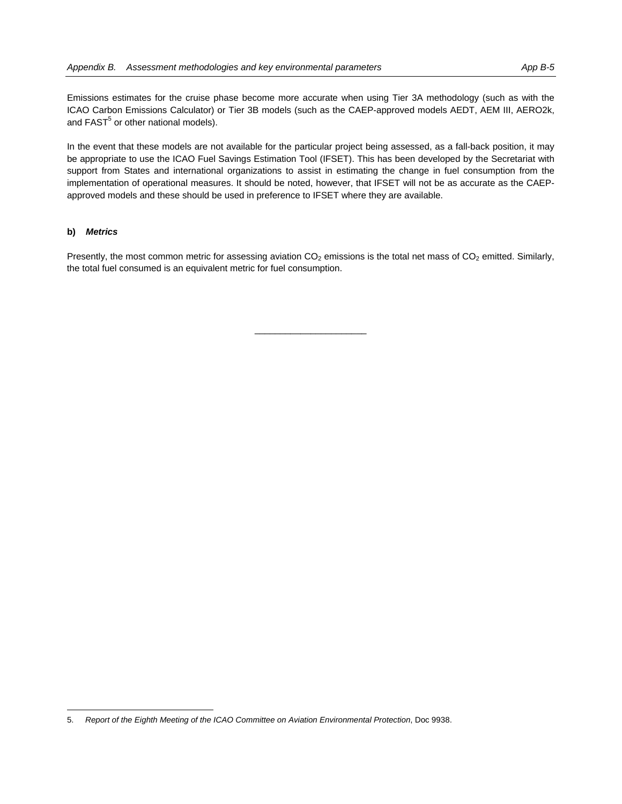Emissions estimates for the cruise phase become more accurate when using Tier 3A methodology (such as with the ICAO Carbon Emissions Calculator) or Tier 3B models (such as the CAEP-approved models AEDT, AEM III, AERO2k, and  $\mathsf{FAST}^5$  or other national models).

In the event that these models are not available for the particular project being assessed, as a fall-back position, it may be appropriate to use the ICAO Fuel Savings Estimation Tool (IFSET). This has been developed by the Secretariat with support from States and international organizations to assist in estimating the change in fuel consumption from the implementation of operational measures. It should be noted, however, that IFSET will not be as accurate as the CAEPapproved models and these should be used in preference to IFSET where they are available.

#### **b)** *Metrics*

 $\overline{a}$ 

Presently, the most common metric for assessing aviation  $CO<sub>2</sub>$  emissions is the total net mass of  $CO<sub>2</sub>$  emitted. Similarly, the total fuel consumed is an equivalent metric for fuel consumption.

<sup>5.</sup> *Report of the Eighth Meeting of the ICAO Committee on Aviation Environmental Protection*, Doc 9938.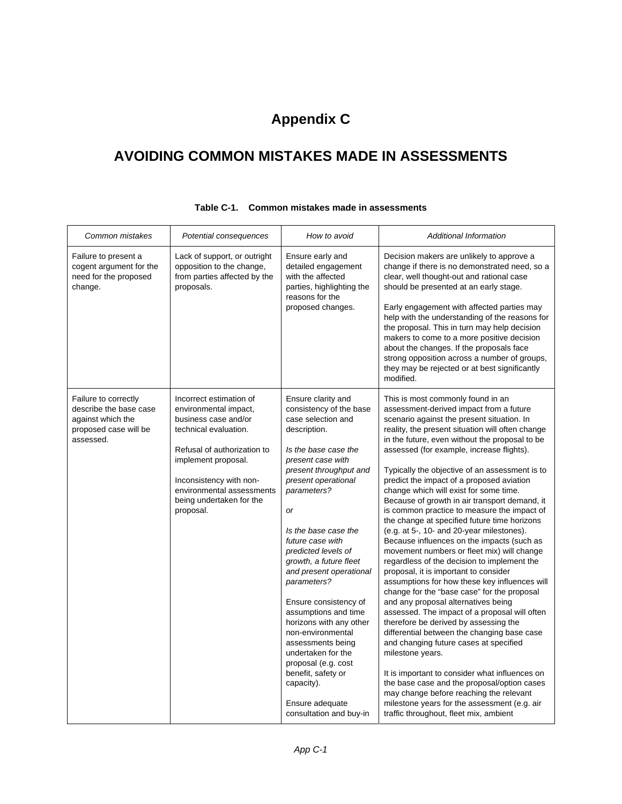# **Appendix C**

## **AVOIDING COMMON MISTAKES MADE IN ASSESSMENTS**

| Common mistakes                                                                                           | Potential consequences                                                                                                                                                                                                                                   | How to avoid                                                                                                                                                                                                                                                                                                                                                                                                                                                                                                                                                                                              | <b>Additional Information</b>                                                                                                                                                                                                                                                                                                                                                                                                                                                                                                                                                                                                                                                                                                                                                                                                                                                                                                                                                                                                                                                                                                                                                                                                                                                                                                                                                               |
|-----------------------------------------------------------------------------------------------------------|----------------------------------------------------------------------------------------------------------------------------------------------------------------------------------------------------------------------------------------------------------|-----------------------------------------------------------------------------------------------------------------------------------------------------------------------------------------------------------------------------------------------------------------------------------------------------------------------------------------------------------------------------------------------------------------------------------------------------------------------------------------------------------------------------------------------------------------------------------------------------------|---------------------------------------------------------------------------------------------------------------------------------------------------------------------------------------------------------------------------------------------------------------------------------------------------------------------------------------------------------------------------------------------------------------------------------------------------------------------------------------------------------------------------------------------------------------------------------------------------------------------------------------------------------------------------------------------------------------------------------------------------------------------------------------------------------------------------------------------------------------------------------------------------------------------------------------------------------------------------------------------------------------------------------------------------------------------------------------------------------------------------------------------------------------------------------------------------------------------------------------------------------------------------------------------------------------------------------------------------------------------------------------------|
| Failure to present a<br>cogent argument for the<br>need for the proposed<br>change.                       | Lack of support, or outright<br>opposition to the change,<br>from parties affected by the<br>proposals.                                                                                                                                                  | Ensure early and<br>detailed engagement<br>with the affected<br>parties, highlighting the<br>reasons for the<br>proposed changes.                                                                                                                                                                                                                                                                                                                                                                                                                                                                         | Decision makers are unlikely to approve a<br>change if there is no demonstrated need, so a<br>clear, well thought-out and rational case<br>should be presented at an early stage.<br>Early engagement with affected parties may<br>help with the understanding of the reasons for<br>the proposal. This in turn may help decision<br>makers to come to a more positive decision<br>about the changes. If the proposals face<br>strong opposition across a number of groups,<br>they may be rejected or at best significantly<br>modified.                                                                                                                                                                                                                                                                                                                                                                                                                                                                                                                                                                                                                                                                                                                                                                                                                                                   |
| Failure to correctly<br>describe the base case<br>against which the<br>proposed case will be<br>assessed. | Incorrect estimation of<br>environmental impact,<br>business case and/or<br>technical evaluation.<br>Refusal of authorization to<br>implement proposal.<br>Inconsistency with non-<br>environmental assessments<br>being undertaken for the<br>proposal. | Ensure clarity and<br>consistency of the base<br>case selection and<br>description.<br>Is the base case the<br>present case with<br>present throughput and<br>present operational<br>parameters?<br><b>or</b><br>Is the base case the<br>future case with<br>predicted levels of<br>growth, a future fleet<br>and present operational<br>parameters?<br>Ensure consistency of<br>assumptions and time<br>horizons with any other<br>non-environmental<br>assessments being<br>undertaken for the<br>proposal (e.g. cost<br>benefit, safety or<br>capacity).<br>Ensure adequate<br>consultation and buy-in | This is most commonly found in an<br>assessment-derived impact from a future<br>scenario against the present situation. In<br>reality, the present situation will often change<br>in the future, even without the proposal to be<br>assessed (for example, increase flights).<br>Typically the objective of an assessment is to<br>predict the impact of a proposed aviation<br>change which will exist for some time.<br>Because of growth in air transport demand, it<br>is common practice to measure the impact of<br>the change at specified future time horizons<br>(e.g. at 5-, 10- and 20-year milestones).<br>Because influences on the impacts (such as<br>movement numbers or fleet mix) will change<br>regardless of the decision to implement the<br>proposal, it is important to consider<br>assumptions for how these key influences will<br>change for the "base case" for the proposal<br>and any proposal alternatives being<br>assessed. The impact of a proposal will often<br>therefore be derived by assessing the<br>differential between the changing base case<br>and changing future cases at specified<br>milestone years.<br>It is important to consider what influences on<br>the base case and the proposal/option cases<br>may change before reaching the relevant<br>milestone years for the assessment (e.g. air<br>traffic throughout, fleet mix, ambient |

### **Table C-1. Common mistakes made in assessments**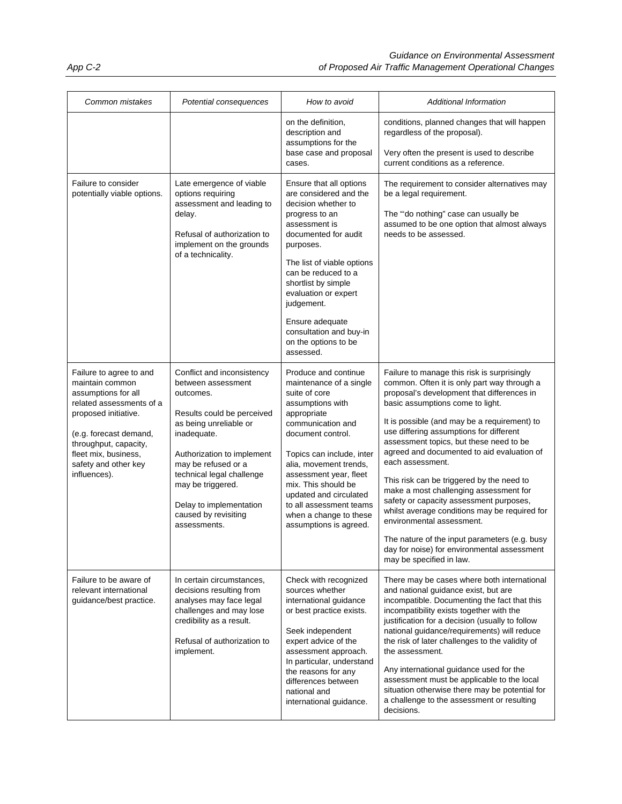| Common mistakes                                                                                                                                                                                                                          | Potential consequences                                                                                                                                                                                                                                                                                         | How to avoid                                                                                                                                                                                                                                                                                                                                                   | Additional Information                                                                                                                                                                                                                                                                                                                                                                                                                                                                                                                                                                                                                                                                                                           |  |
|------------------------------------------------------------------------------------------------------------------------------------------------------------------------------------------------------------------------------------------|----------------------------------------------------------------------------------------------------------------------------------------------------------------------------------------------------------------------------------------------------------------------------------------------------------------|----------------------------------------------------------------------------------------------------------------------------------------------------------------------------------------------------------------------------------------------------------------------------------------------------------------------------------------------------------------|----------------------------------------------------------------------------------------------------------------------------------------------------------------------------------------------------------------------------------------------------------------------------------------------------------------------------------------------------------------------------------------------------------------------------------------------------------------------------------------------------------------------------------------------------------------------------------------------------------------------------------------------------------------------------------------------------------------------------------|--|
|                                                                                                                                                                                                                                          |                                                                                                                                                                                                                                                                                                                | on the definition,<br>description and<br>assumptions for the<br>base case and proposal<br>cases.                                                                                                                                                                                                                                                               | conditions, planned changes that will happen<br>regardless of the proposal).<br>Very often the present is used to describe<br>current conditions as a reference.                                                                                                                                                                                                                                                                                                                                                                                                                                                                                                                                                                 |  |
| Failure to consider<br>potentially viable options.                                                                                                                                                                                       | Late emergence of viable<br>options requiring<br>assessment and leading to<br>delay.<br>Refusal of authorization to<br>implement on the grounds<br>of a technicality.                                                                                                                                          | Ensure that all options<br>are considered and the<br>decision whether to<br>progress to an<br>assessment is<br>documented for audit<br>purposes.<br>The list of viable options<br>can be reduced to a<br>shortlist by simple<br>evaluation or expert<br>judgement.<br>Ensure adequate<br>consultation and buy-in<br>on the options to be<br>assessed.          | The requirement to consider alternatives may<br>be a legal requirement.<br>The "do nothing" case can usually be<br>assumed to be one option that almost always<br>needs to be assessed.                                                                                                                                                                                                                                                                                                                                                                                                                                                                                                                                          |  |
| Failure to agree to and<br>maintain common<br>assumptions for all<br>related assessments of a<br>proposed initiative.<br>(e.g. forecast demand,<br>throughput, capacity,<br>fleet mix, business,<br>safety and other key<br>influences). | Conflict and inconsistency<br>between assessment<br>outcomes.<br>Results could be perceived<br>as being unreliable or<br>inadequate.<br>Authorization to implement<br>may be refused or a<br>technical legal challenge<br>may be triggered.<br>Delay to implementation<br>caused by revisiting<br>assessments. | Produce and continue<br>maintenance of a single<br>suite of core<br>assumptions with<br>appropriate<br>communication and<br>document control.<br>Topics can include, inter<br>alia, movement trends,<br>assessment year, fleet<br>mix. This should be<br>updated and circulated<br>to all assessment teams<br>when a change to these<br>assumptions is agreed. | Failure to manage this risk is surprisingly<br>common. Often it is only part way through a<br>proposal's development that differences in<br>basic assumptions come to light.<br>It is possible (and may be a requirement) to<br>use differing assumptions for different<br>assessment topics, but these need to be<br>agreed and documented to aid evaluation of<br>each assessment.<br>This risk can be triggered by the need to<br>make a most challenging assessment for<br>safety or capacity assessment purposes,<br>whilst average conditions may be required for<br>environmental assessment.<br>The nature of the input parameters (e.g. busy<br>day for noise) for environmental assessment<br>may be specified in law. |  |
| Failure to be aware of<br>relevant international<br>guidance/best practice.                                                                                                                                                              | In certain circumstances,<br>decisions resulting from<br>analyses may face legal<br>challenges and may lose<br>credibility as a result.<br>Refusal of authorization to<br>implement.                                                                                                                           | Check with recognized<br>sources whether<br>international guidance<br>or best practice exists.<br>Seek independent<br>expert advice of the<br>assessment approach.<br>In particular, understand<br>the reasons for any<br>differences between<br>national and<br>international guidance.                                                                       | There may be cases where both international<br>and national guidance exist, but are<br>incompatible. Documenting the fact that this<br>incompatibility exists together with the<br>justification for a decision (usually to follow<br>national guidance/requirements) will reduce<br>the risk of later challenges to the validity of<br>the assessment.<br>Any international guidance used for the<br>assessment must be applicable to the local<br>situation otherwise there may be potential for<br>a challenge to the assessment or resulting<br>decisions.                                                                                                                                                                   |  |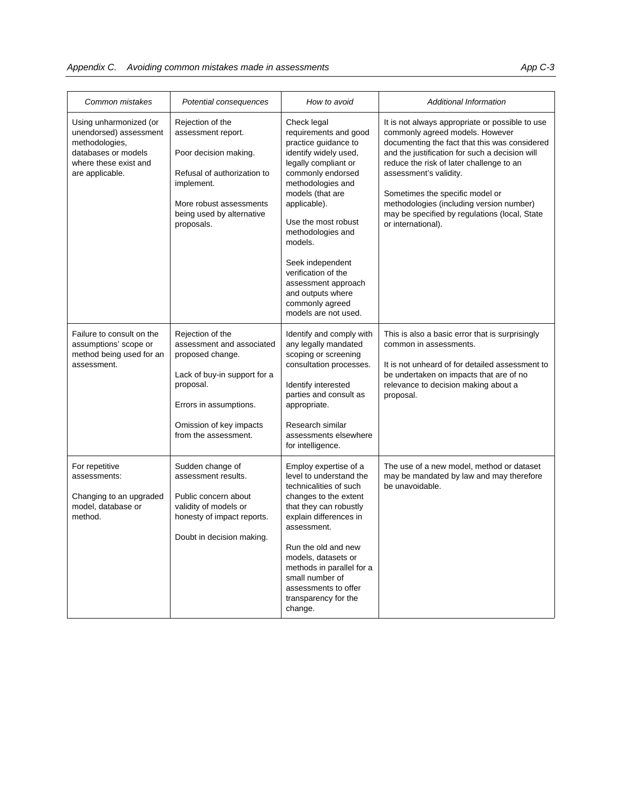| Common mistakes                                                                                                                       | Potential consequences                                                                                                                                                                      | How to avoid                                                                                                                                                                                                                                                                                                                                                                         | <b>Additional Information</b>                                                                                                                                                                                                                                                                                                                                                                                     |
|---------------------------------------------------------------------------------------------------------------------------------------|---------------------------------------------------------------------------------------------------------------------------------------------------------------------------------------------|--------------------------------------------------------------------------------------------------------------------------------------------------------------------------------------------------------------------------------------------------------------------------------------------------------------------------------------------------------------------------------------|-------------------------------------------------------------------------------------------------------------------------------------------------------------------------------------------------------------------------------------------------------------------------------------------------------------------------------------------------------------------------------------------------------------------|
| Using unharmonized (or<br>unendorsed) assessment<br>methodologies,<br>databases or models<br>where these exist and<br>are applicable. | Rejection of the<br>assessment report.<br>Poor decision making.<br>Refusal of authorization to<br>implement.<br>More robust assessments<br>being used by alternative<br>proposals.          | Check legal<br>requirements and good<br>practice guidance to<br>identify widely used,<br>legally compliant or<br>commonly endorsed<br>methodologies and<br>models (that are<br>applicable).<br>Use the most robust<br>methodologies and<br>models.<br>Seek independent<br>verification of the<br>assessment approach<br>and outputs where<br>commonly agreed<br>models are not used. | It is not always appropriate or possible to use<br>commonly agreed models. However<br>documenting the fact that this was considered<br>and the justification for such a decision will<br>reduce the risk of later challenge to an<br>assessment's validity.<br>Sometimes the specific model or<br>methodologies (including version number)<br>may be specified by regulations (local, State<br>or international). |
| Failure to consult on the<br>assumptions' scope or<br>method being used for an<br>assessment.                                         | Rejection of the<br>assessment and associated<br>proposed change.<br>Lack of buy-in support for a<br>proposal.<br>Errors in assumptions.<br>Omission of key impacts<br>from the assessment. | Identify and comply with<br>any legally mandated<br>scoping or screening<br>consultation processes.<br>Identify interested<br>parties and consult as<br>appropriate.<br>Research similar<br>assessments elsewhere<br>for intelligence.                                                                                                                                               | This is also a basic error that is surprisingly<br>common in assessments.<br>It is not unheard of for detailed assessment to<br>be undertaken on impacts that are of no<br>relevance to decision making about a<br>proposal.                                                                                                                                                                                      |
| For repetitive<br>assessments:<br>Changing to an upgraded<br>model, database or<br>method.                                            | Sudden change of<br>assessment results.<br>Public concern about<br>validity of models or<br>honesty of impact reports.<br>Doubt in decision making.                                         | Employ expertise of a<br>level to understand the<br>technicalities of such<br>changes to the extent<br>that they can robustly<br>explain differences in<br>assessment.<br>Run the old and new<br>models, datasets or<br>methods in parallel for a<br>small number of<br>assessments to offer<br>transparency for the<br>change.                                                      | The use of a new model, method or dataset<br>may be mandated by law and may therefore<br>be unavoidable.                                                                                                                                                                                                                                                                                                          |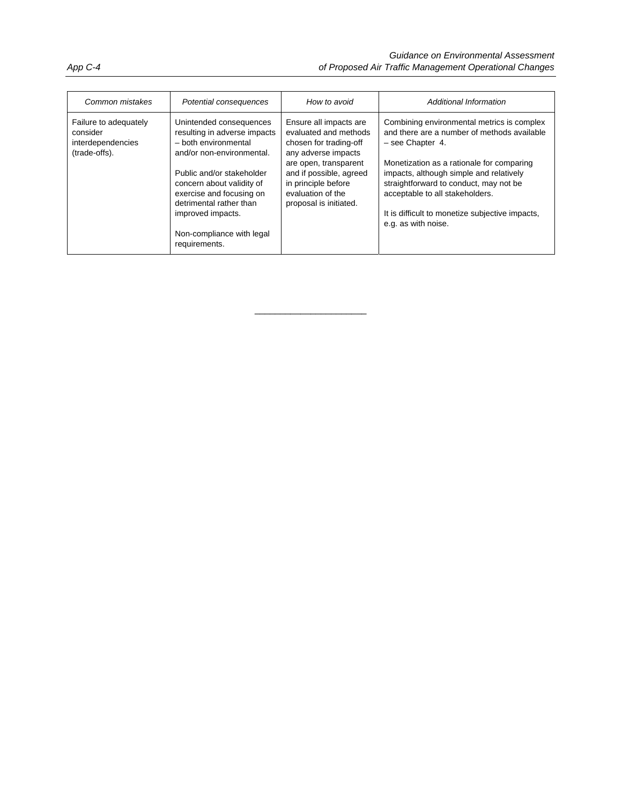| Common mistakes                                                         | Potential consequences                                                                                                                                                                                                                                                                           | How to avoid                                                                                                                                                                                                               | Additional Information                                                                                                                                                                                                                                                                                                                                         |
|-------------------------------------------------------------------------|--------------------------------------------------------------------------------------------------------------------------------------------------------------------------------------------------------------------------------------------------------------------------------------------------|----------------------------------------------------------------------------------------------------------------------------------------------------------------------------------------------------------------------------|----------------------------------------------------------------------------------------------------------------------------------------------------------------------------------------------------------------------------------------------------------------------------------------------------------------------------------------------------------------|
| Failure to adequately<br>consider<br>interdependencies<br>(trade-offs). | Unintended consequences<br>resulting in adverse impacts<br>- both environmental<br>and/or non-environmental.<br>Public and/or stakeholder<br>concern about validity of<br>exercise and focusing on<br>detrimental rather than<br>improved impacts.<br>Non-compliance with legal<br>requirements. | Ensure all impacts are<br>evaluated and methods<br>chosen for trading-off<br>any adverse impacts<br>are open, transparent<br>and if possible, agreed<br>in principle before<br>evaluation of the<br>proposal is initiated. | Combining environmental metrics is complex<br>and there are a number of methods available<br>$-$ see Chapter 4.<br>Monetization as a rationale for comparing<br>impacts, although simple and relatively<br>straightforward to conduct, may not be<br>acceptable to all stakeholders.<br>It is difficult to monetize subjective impacts,<br>e.g. as with noise. |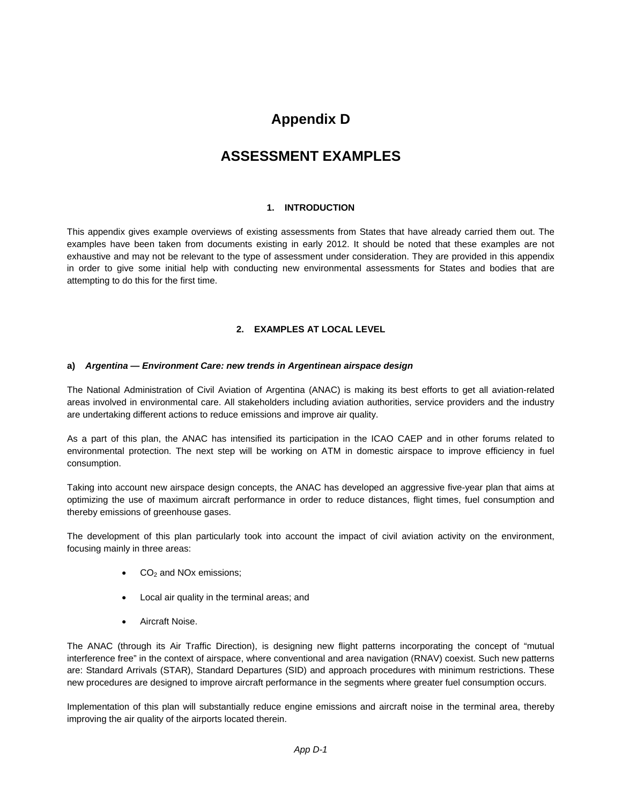### **Appendix D**

### **ASSESSMENT EXAMPLES**

### **1. INTRODUCTION**

This appendix gives example overviews of existing assessments from States that have already carried them out. The examples have been taken from documents existing in early 2012. It should be noted that these examples are not exhaustive and may not be relevant to the type of assessment under consideration. They are provided in this appendix in order to give some initial help with conducting new environmental assessments for States and bodies that are attempting to do this for the first time.

### **2. EXAMPLES AT LOCAL LEVEL**

### **a)** *Argentina — Environment Care: new trends in Argentinean airspace design*

The National Administration of Civil Aviation of Argentina (ANAC) is making its best efforts to get all aviation-related areas involved in environmental care. All stakeholders including aviation authorities, service providers and the industry are undertaking different actions to reduce emissions and improve air quality.

As a part of this plan, the ANAC has intensified its participation in the ICAO CAEP and in other forums related to environmental protection. The next step will be working on ATM in domestic airspace to improve efficiency in fuel consumption.

Taking into account new airspace design concepts, the ANAC has developed an aggressive five-year plan that aims at optimizing the use of maximum aircraft performance in order to reduce distances, flight times, fuel consumption and thereby emissions of greenhouse gases.

The development of this plan particularly took into account the impact of civil aviation activity on the environment, focusing mainly in three areas:

- $CO<sub>2</sub>$  and NOx emissions;
- Local air quality in the terminal areas; and
- Aircraft Noise.

The ANAC (through its Air Traffic Direction), is designing new flight patterns incorporating the concept of "mutual interference free" in the context of airspace, where conventional and area navigation (RNAV) coexist. Such new patterns are: Standard Arrivals (STAR), Standard Departures (SID) and approach procedures with minimum restrictions. These new procedures are designed to improve aircraft performance in the segments where greater fuel consumption occurs.

Implementation of this plan will substantially reduce engine emissions and aircraft noise in the terminal area, thereby improving the air quality of the airports located therein.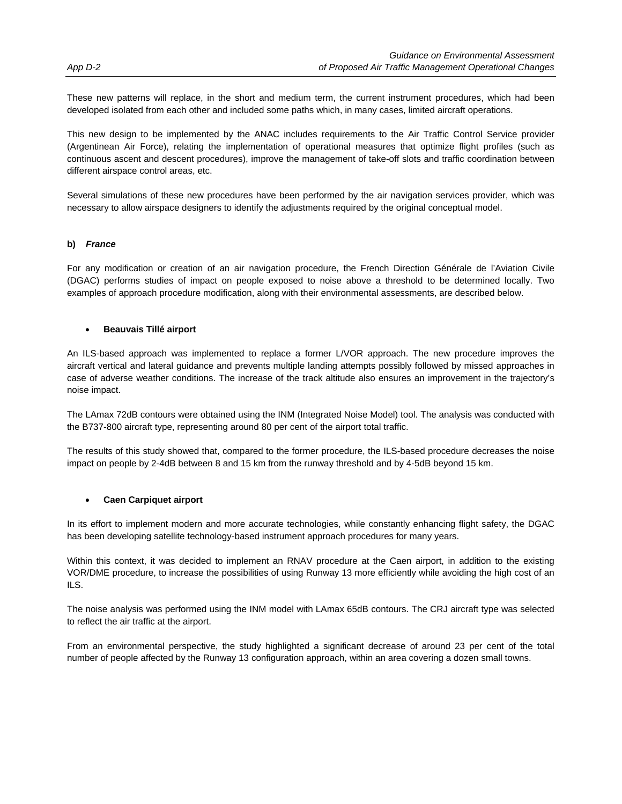These new patterns will replace, in the short and medium term, the current instrument procedures, which had been developed isolated from each other and included some paths which, in many cases, limited aircraft operations.

This new design to be implemented by the ANAC includes requirements to the Air Traffic Control Service provider (Argentinean Air Force), relating the implementation of operational measures that optimize flight profiles (such as continuous ascent and descent procedures), improve the management of take-off slots and traffic coordination between different airspace control areas, etc.

Several simulations of these new procedures have been performed by the air navigation services provider, which was necessary to allow airspace designers to identify the adjustments required by the original conceptual model.

### **b)** *France*

For any modification or creation of an air navigation procedure, the French Direction Générale de l'Aviation Civile (DGAC) performs studies of impact on people exposed to noise above a threshold to be determined locally. Two examples of approach procedure modification, along with their environmental assessments, are described below.

### **Beauvais Tillé airport**

An ILS-based approach was implemented to replace a former L/VOR approach. The new procedure improves the aircraft vertical and lateral guidance and prevents multiple landing attempts possibly followed by missed approaches in case of adverse weather conditions. The increase of the track altitude also ensures an improvement in the trajectory's noise impact.

The LAmax 72dB contours were obtained using the INM (Integrated Noise Model) tool. The analysis was conducted with the B737-800 aircraft type, representing around 80 per cent of the airport total traffic.

The results of this study showed that, compared to the former procedure, the ILS-based procedure decreases the noise impact on people by 2-4dB between 8 and 15 km from the runway threshold and by 4-5dB beyond 15 km.

### **Caen Carpiquet airport**

In its effort to implement modern and more accurate technologies, while constantly enhancing flight safety, the DGAC has been developing satellite technology-based instrument approach procedures for many years.

Within this context, it was decided to implement an RNAV procedure at the Caen airport, in addition to the existing VOR/DME procedure, to increase the possibilities of using Runway 13 more efficiently while avoiding the high cost of an ILS.

The noise analysis was performed using the INM model with LAmax 65dB contours. The CRJ aircraft type was selected to reflect the air traffic at the airport.

From an environmental perspective, the study highlighted a significant decrease of around 23 per cent of the total number of people affected by the Runway 13 configuration approach, within an area covering a dozen small towns.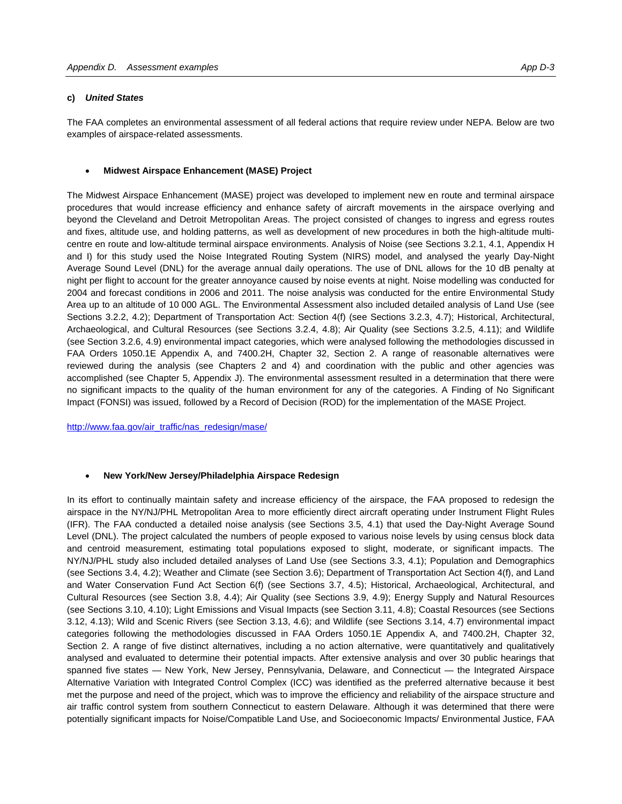#### **c)** *United States*

The FAA completes an environmental assessment of all federal actions that require review under NEPA. Below are two examples of airspace-related assessments.

#### **Midwest Airspace Enhancement (MASE) Project**

The Midwest Airspace Enhancement (MASE) project was developed to implement new en route and terminal airspace procedures that would increase efficiency and enhance safety of aircraft movements in the airspace overlying and beyond the Cleveland and Detroit Metropolitan Areas. The project consisted of changes to ingress and egress routes and fixes, altitude use, and holding patterns, as well as development of new procedures in both the high-altitude multicentre en route and low-altitude terminal airspace environments. Analysis of Noise (see Sections 3.2.1, 4.1, Appendix H and I) for this study used the Noise Integrated Routing System (NIRS) model, and analysed the yearly Day-Night Average Sound Level (DNL) for the average annual daily operations. The use of DNL allows for the 10 dB penalty at night per flight to account for the greater annoyance caused by noise events at night. Noise modelling was conducted for 2004 and forecast conditions in 2006 and 2011. The noise analysis was conducted for the entire Environmental Study Area up to an altitude of 10 000 AGL. The Environmental Assessment also included detailed analysis of Land Use (see Sections 3.2.2, 4.2); Department of Transportation Act: Section 4(f) (see Sections 3.2.3, 4.7); Historical, Architectural, Archaeological, and Cultural Resources (see Sections 3.2.4, 4.8); Air Quality (see Sections 3.2.5, 4.11); and Wildlife (see Section 3.2.6, 4.9) environmental impact categories, which were analysed following the methodologies discussed in FAA Orders 1050.1E Appendix A, and 7400.2H, Chapter 32, Section 2. A range of reasonable alternatives were reviewed during the analysis (see Chapters 2 and 4) and coordination with the public and other agencies was accomplished (see Chapter 5, Appendix J). The environmental assessment resulted in a determination that there were no significant impacts to the quality of the human environment for any of the categories. A Finding of No Significant Impact (FONSI) was issued, followed by a Record of Decision (ROD) for the implementation of the MASE Project.

http://www.faa.gov/air\_traffic/nas\_redesign/mase/

#### **New York/New Jersey/Philadelphia Airspace Redesign**

In its effort to continually maintain safety and increase efficiency of the airspace, the FAA proposed to redesign the airspace in the NY/NJ/PHL Metropolitan Area to more efficiently direct aircraft operating under Instrument Flight Rules (IFR). The FAA conducted a detailed noise analysis (see Sections 3.5, 4.1) that used the Day-Night Average Sound Level (DNL). The project calculated the numbers of people exposed to various noise levels by using census block data and centroid measurement, estimating total populations exposed to slight, moderate, or significant impacts. The NY/NJ/PHL study also included detailed analyses of Land Use (see Sections 3.3, 4.1); Population and Demographics (see Sections 3.4, 4.2); Weather and Climate (see Section 3.6); Department of Transportation Act Section 4(f), and Land and Water Conservation Fund Act Section 6(f) (see Sections 3.7, 4.5); Historical, Archaeological, Architectural, and Cultural Resources (see Section 3.8, 4.4); Air Quality (see Sections 3.9, 4.9); Energy Supply and Natural Resources (see Sections 3.10, 4.10); Light Emissions and Visual Impacts (see Section 3.11, 4.8); Coastal Resources (see Sections 3.12, 4.13); Wild and Scenic Rivers (see Section 3.13, 4.6); and Wildlife (see Sections 3.14, 4.7) environmental impact categories following the methodologies discussed in FAA Orders 1050.1E Appendix A, and 7400.2H, Chapter 32, Section 2. A range of five distinct alternatives, including a no action alternative, were quantitatively and qualitatively analysed and evaluated to determine their potential impacts. After extensive analysis and over 30 public hearings that spanned five states — New York, New Jersey, Pennsylvania, Delaware, and Connecticut — the Integrated Airspace Alternative Variation with Integrated Control Complex (ICC) was identified as the preferred alternative because it best met the purpose and need of the project, which was to improve the efficiency and reliability of the airspace structure and air traffic control system from southern Connecticut to eastern Delaware. Although it was determined that there were potentially significant impacts for Noise/Compatible Land Use, and Socioeconomic Impacts/ Environmental Justice, FAA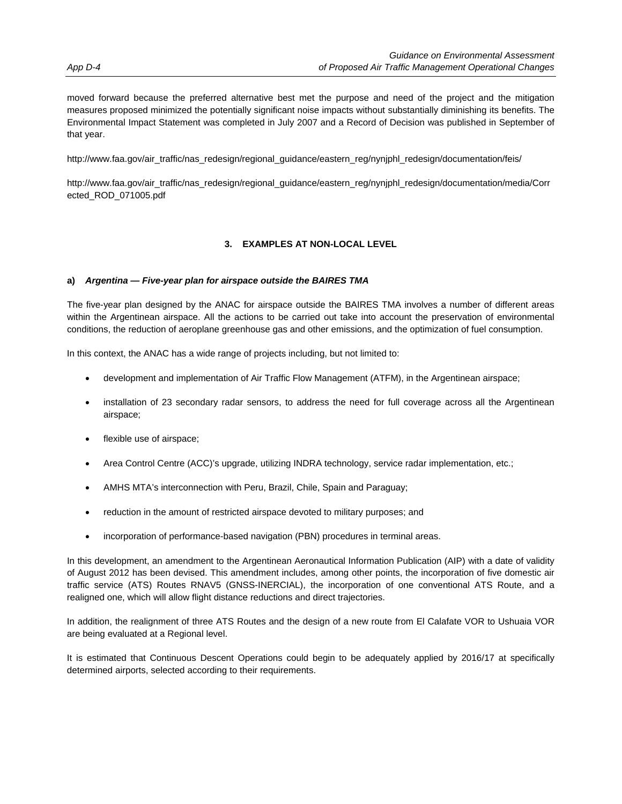moved forward because the preferred alternative best met the purpose and need of the project and the mitigation measures proposed minimized the potentially significant noise impacts without substantially diminishing its benefits. The Environmental Impact Statement was completed in July 2007 and a Record of Decision was published in September of that year.

http://www.faa.gov/air\_traffic/nas\_redesign/regional\_guidance/eastern\_reg/nynjphl\_redesign/documentation/feis/

http://www.faa.gov/air\_traffic/nas\_redesign/regional\_guidance/eastern\_reg/nynjphl\_redesign/documentation/media/Corr ected\_ROD\_071005.pdf

### **3. EXAMPLES AT NON-LOCAL LEVEL**

### **a)** *Argentina — Five-year plan for airspace outside the BAIRES TMA*

The five-year plan designed by the ANAC for airspace outside the BAIRES TMA involves a number of different areas within the Argentinean airspace. All the actions to be carried out take into account the preservation of environmental conditions, the reduction of aeroplane greenhouse gas and other emissions, and the optimization of fuel consumption.

In this context, the ANAC has a wide range of projects including, but not limited to:

- development and implementation of Air Traffic Flow Management (ATFM), in the Argentinean airspace;
- installation of 23 secondary radar sensors, to address the need for full coverage across all the Argentinean airspace;
- flexible use of airspace;
- Area Control Centre (ACC)'s upgrade, utilizing INDRA technology, service radar implementation, etc.;
- AMHS MTA's interconnection with Peru, Brazil, Chile, Spain and Paraguay;
- reduction in the amount of restricted airspace devoted to military purposes; and
- incorporation of performance-based navigation (PBN) procedures in terminal areas.

In this development, an amendment to the Argentinean Aeronautical Information Publication (AIP) with a date of validity of August 2012 has been devised. This amendment includes, among other points, the incorporation of five domestic air traffic service (ATS) Routes RNAV5 (GNSS-INERCIAL), the incorporation of one conventional ATS Route, and a realigned one, which will allow flight distance reductions and direct trajectories.

In addition, the realignment of three ATS Routes and the design of a new route from El Calafate VOR to Ushuaia VOR are being evaluated at a Regional level.

It is estimated that Continuous Descent Operations could begin to be adequately applied by 2016/17 at specifically determined airports, selected according to their requirements.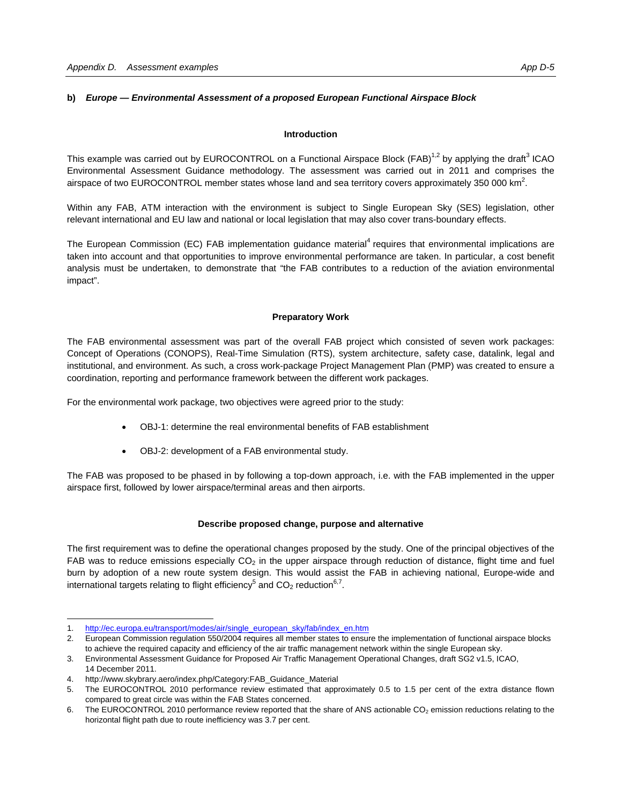### **b)** *Europe — Environmental Assessment of a proposed European Functional Airspace Block*

### **Introduction**

This example was carried out by EUROCONTROL on a Functional Airspace Block (FAB)<sup>1,2</sup> by applying the draft<sup>3</sup> ICAO Environmental Assessment Guidance methodology. The assessment was carried out in 2011 and comprises the airspace of two EUROCONTROL member states whose land and sea territory covers approximately 350 000 km<sup>2</sup>.

Within any FAB, ATM interaction with the environment is subject to Single European Sky (SES) legislation, other relevant international and EU law and national or local legislation that may also cover trans-boundary effects.

The European Commission (EC) FAB implementation guidance material<sup>4</sup> requires that environmental implications are taken into account and that opportunities to improve environmental performance are taken. In particular, a cost benefit analysis must be undertaken, to demonstrate that "the FAB contributes to a reduction of the aviation environmental impact".

### **Preparatory Work**

The FAB environmental assessment was part of the overall FAB project which consisted of seven work packages: Concept of Operations (CONOPS), Real-Time Simulation (RTS), system architecture, safety case, datalink, legal and institutional, and environment. As such, a cross work-package Project Management Plan (PMP) was created to ensure a coordination, reporting and performance framework between the different work packages.

For the environmental work package, two objectives were agreed prior to the study:

- OBJ-1: determine the real environmental benefits of FAB establishment
- OBJ-2: development of a FAB environmental study.

The FAB was proposed to be phased in by following a top-down approach, i.e. with the FAB implemented in the upper airspace first, followed by lower airspace/terminal areas and then airports.

### **Describe proposed change, purpose and alternative**

The first requirement was to define the operational changes proposed by the study. One of the principal objectives of the FAB was to reduce emissions especially  $CO<sub>2</sub>$  in the upper airspace through reduction of distance, flight time and fuel burn by adoption of a new route system design. This would assist the FAB in achieving national, Europe-wide and international targets relating to flight efficiency<sup>5</sup> and CO<sub>2</sub> reduction<sup>6,7</sup>.

 $\overline{a}$ 

<sup>1.</sup> http://ec.europa.eu/transport/modes/air/single\_european\_sky/fab/index\_en.htm

<sup>2.</sup> European Commission regulation 550/2004 requires all member states to ensure the implementation of functional airspace blocks to achieve the required capacity and efficiency of the air traffic management network within the single European sky.

<sup>3.</sup> Environmental Assessment Guidance for Proposed Air Traffic Management Operational Changes, draft SG2 v1.5, ICAO, 14 December 2011.

<sup>4.</sup> http://www.skybrary.aero/index.php/Category:FAB\_Guidance\_Material

<sup>5.</sup> The EUROCONTROL 2010 performance review estimated that approximately 0.5 to 1.5 per cent of the extra distance flown compared to great circle was within the FAB States concerned.

<sup>6.</sup> The EUROCONTROL 2010 performance review reported that the share of ANS actionable CO<sub>2</sub> emission reductions relating to the horizontal flight path due to route inefficiency was 3.7 per cent.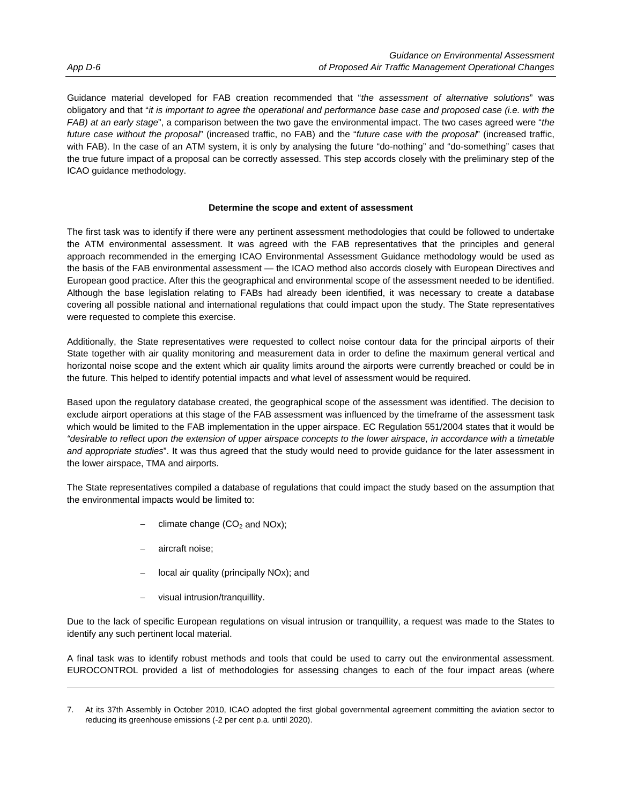Guidance material developed for FAB creation recommended that "*the assessment of alternative solutions*" was obligatory and that "*it is important to agree the operational and performance base case and proposed case (i.e. with the FAB) at an early stage*", a comparison between the two gave the environmental impact. The two cases agreed were "*the future case without the proposal*" (increased traffic, no FAB) and the "*future case with the proposal*" (increased traffic, with FAB). In the case of an ATM system, it is only by analysing the future "do-nothing" and "do-something" cases that the true future impact of a proposal can be correctly assessed. This step accords closely with the preliminary step of the ICAO guidance methodology.

### **Determine the scope and extent of assessment**

The first task was to identify if there were any pertinent assessment methodologies that could be followed to undertake the ATM environmental assessment. It was agreed with the FAB representatives that the principles and general approach recommended in the emerging ICAO Environmental Assessment Guidance methodology would be used as the basis of the FAB environmental assessment — the ICAO method also accords closely with European Directives and European good practice. After this the geographical and environmental scope of the assessment needed to be identified. Although the base legislation relating to FABs had already been identified, it was necessary to create a database covering all possible national and international regulations that could impact upon the study. The State representatives were requested to complete this exercise.

Additionally, the State representatives were requested to collect noise contour data for the principal airports of their State together with air quality monitoring and measurement data in order to define the maximum general vertical and horizontal noise scope and the extent which air quality limits around the airports were currently breached or could be in the future. This helped to identify potential impacts and what level of assessment would be required.

Based upon the regulatory database created, the geographical scope of the assessment was identified. The decision to exclude airport operations at this stage of the FAB assessment was influenced by the timeframe of the assessment task which would be limited to the FAB implementation in the upper airspace. EC Regulation 551/2004 states that it would be *"desirable to reflect upon the extension of upper airspace concepts to the lower airspace, in accordance with a timetable and appropriate studies*". It was thus agreed that the study would need to provide guidance for the later assessment in the lower airspace, TMA and airports.

The State representatives compiled a database of regulations that could impact the study based on the assumption that the environmental impacts would be limited to:

- climate change  $(CO<sub>2</sub>$  and NOx);
- aircraft noise;

l

- local air quality (principally NOx); and
- visual intrusion/tranquillity.

Due to the lack of specific European regulations on visual intrusion or tranquillity, a request was made to the States to identify any such pertinent local material.

A final task was to identify robust methods and tools that could be used to carry out the environmental assessment. EUROCONTROL provided a list of methodologies for assessing changes to each of the four impact areas (where

<sup>7.</sup> At its 37th Assembly in October 2010, ICAO adopted the first global governmental agreement committing the aviation sector to reducing its greenhouse emissions (-2 per cent p.a. until 2020).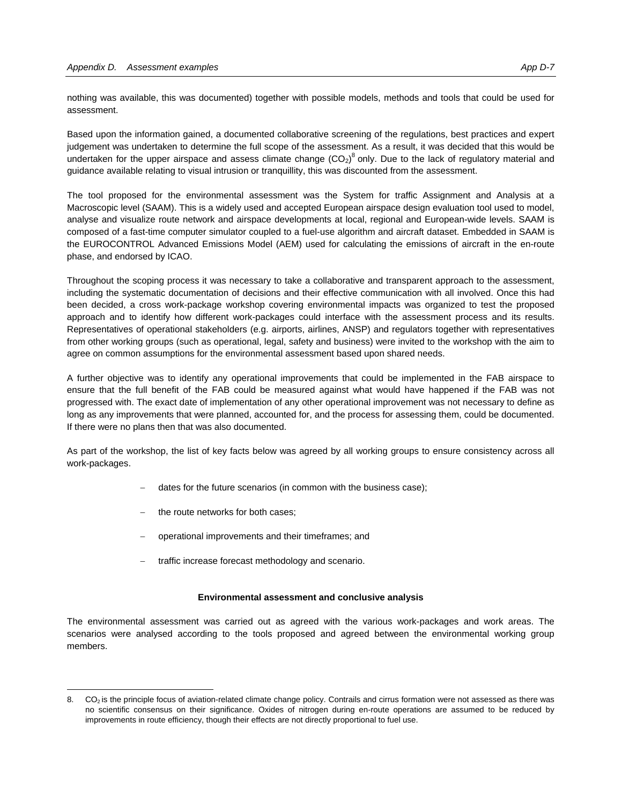nothing was available, this was documented) together with possible models, methods and tools that could be used for assessment.

Based upon the information gained, a documented collaborative screening of the regulations, best practices and expert judgement was undertaken to determine the full scope of the assessment. As a result, it was decided that this would be undertaken for the upper airspace and assess climate change  $(CO_2)^8$  only. Due to the lack of regulatory material and guidance available relating to visual intrusion or tranquillity, this was discounted from the assessment.

The tool proposed for the environmental assessment was the System for traffic Assignment and Analysis at a Macroscopic level (SAAM). This is a widely used and accepted European airspace design evaluation tool used to model, analyse and visualize route network and airspace developments at local, regional and European-wide levels. SAAM is composed of a fast-time computer simulator coupled to a fuel-use algorithm and aircraft dataset. Embedded in SAAM is the EUROCONTROL Advanced Emissions Model (AEM) used for calculating the emissions of aircraft in the en-route phase, and endorsed by ICAO.

Throughout the scoping process it was necessary to take a collaborative and transparent approach to the assessment, including the systematic documentation of decisions and their effective communication with all involved. Once this had been decided, a cross work-package workshop covering environmental impacts was organized to test the proposed approach and to identify how different work-packages could interface with the assessment process and its results. Representatives of operational stakeholders (e.g. airports, airlines, ANSP) and regulators together with representatives from other working groups (such as operational, legal, safety and business) were invited to the workshop with the aim to agree on common assumptions for the environmental assessment based upon shared needs.

A further objective was to identify any operational improvements that could be implemented in the FAB airspace to ensure that the full benefit of the FAB could be measured against what would have happened if the FAB was not progressed with. The exact date of implementation of any other operational improvement was not necessary to define as long as any improvements that were planned, accounted for, and the process for assessing them, could be documented. If there were no plans then that was also documented.

As part of the workshop, the list of key facts below was agreed by all working groups to ensure consistency across all work-packages.

- dates for the future scenarios (in common with the business case);
- the route networks for both cases;

 $\overline{a}$ 

- operational improvements and their timeframes; and
- traffic increase forecast methodology and scenario.

#### **Environmental assessment and conclusive analysis**

The environmental assessment was carried out as agreed with the various work-packages and work areas. The scenarios were analysed according to the tools proposed and agreed between the environmental working group members.

<sup>8.</sup> CO<sub>2</sub> is the principle focus of aviation-related climate change policy. Contrails and cirrus formation were not assessed as there was no scientific consensus on their significance. Oxides of nitrogen during en-route operations are assumed to be reduced by improvements in route efficiency, though their effects are not directly proportional to fuel use.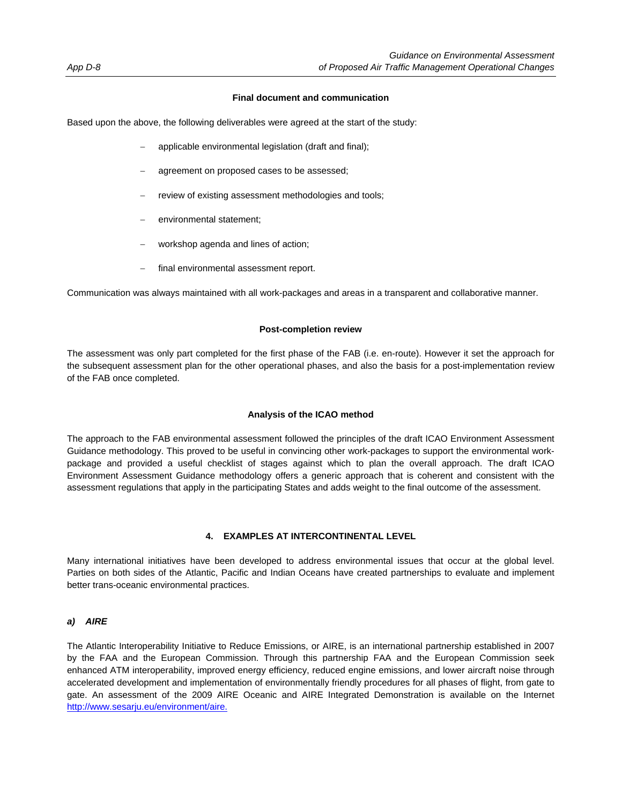### **Final document and communication**

Based upon the above, the following deliverables were agreed at the start of the study:

- applicable environmental legislation (draft and final);
- agreement on proposed cases to be assessed;
- review of existing assessment methodologies and tools;
- environmental statement;
- workshop agenda and lines of action;
- final environmental assessment report.

Communication was always maintained with all work-packages and areas in a transparent and collaborative manner.

### **Post-completion review**

The assessment was only part completed for the first phase of the FAB (i.e. en-route). However it set the approach for the subsequent assessment plan for the other operational phases, and also the basis for a post-implementation review of the FAB once completed.

### **Analysis of the ICAO method**

The approach to the FAB environmental assessment followed the principles of the draft ICAO Environment Assessment Guidance methodology. This proved to be useful in convincing other work-packages to support the environmental workpackage and provided a useful checklist of stages against which to plan the overall approach. The draft ICAO Environment Assessment Guidance methodology offers a generic approach that is coherent and consistent with the assessment regulations that apply in the participating States and adds weight to the final outcome of the assessment.

### **4. EXAMPLES AT INTERCONTINENTAL LEVEL**

Many international initiatives have been developed to address environmental issues that occur at the global level. Parties on both sides of the Atlantic, Pacific and Indian Oceans have created partnerships to evaluate and implement better trans-oceanic environmental practices.

### *a) AIRE*

The Atlantic Interoperability Initiative to Reduce Emissions, or AIRE, is an international partnership established in 2007 by the FAA and the European Commission. Through this partnership FAA and the European Commission seek enhanced ATM interoperability, improved energy efficiency, reduced engine emissions, and lower aircraft noise through accelerated development and implementation of environmentally friendly procedures for all phases of flight, from gate to gate. An assessment of the 2009 AIRE Oceanic and AIRE Integrated Demonstration is available on the Internet http://www.sesarju.eu/environment/aire.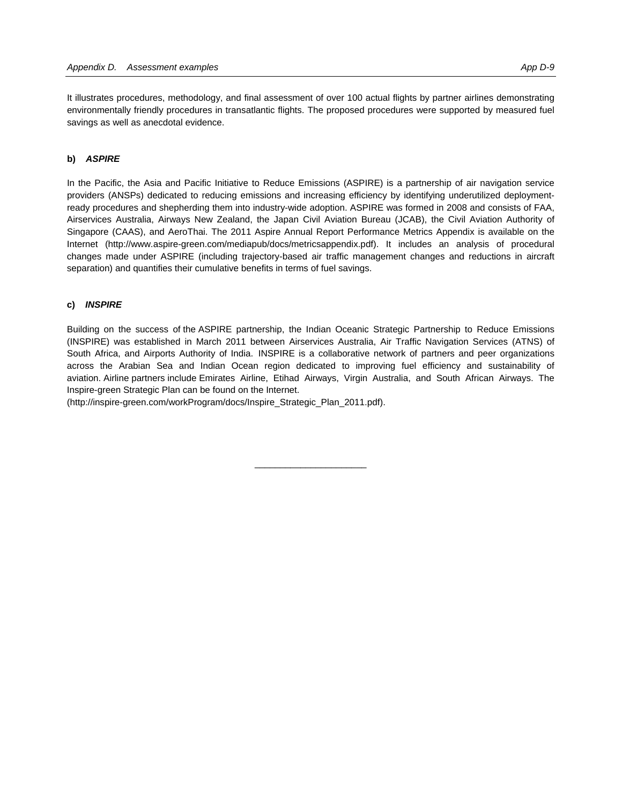It illustrates procedures, methodology, and final assessment of over 100 actual flights by partner airlines demonstrating environmentally friendly procedures in transatlantic flights. The proposed procedures were supported by measured fuel savings as well as anecdotal evidence.

### **b)** *ASPIRE*

In the Pacific, the Asia and Pacific Initiative to Reduce Emissions (ASPIRE) is a partnership of air navigation service providers (ANSPs) dedicated to reducing emissions and increasing efficiency by identifying underutilized deploymentready procedures and shepherding them into industry-wide adoption. ASPIRE was formed in 2008 and consists of FAA, Airservices Australia, Airways New Zealand, the Japan Civil Aviation Bureau (JCAB), the Civil Aviation Authority of Singapore (CAAS), and AeroThai. The 2011 Aspire Annual Report Performance Metrics Appendix is available on the Internet (http://www.aspire-green.com/mediapub/docs/metricsappendix.pdf). It includes an analysis of procedural changes made under ASPIRE (including trajectory-based air traffic management changes and reductions in aircraft separation) and quantifies their cumulative benefits in terms of fuel savings.

### **c)** *INSPIRE*

Building on the success of the ASPIRE partnership, the Indian Oceanic Strategic Partnership to Reduce Emissions (INSPIRE) was established in March 2011 between Airservices Australia, Air Traffic Navigation Services (ATNS) of South Africa, and Airports Authority of India. INSPIRE is a collaborative network of partners and peer organizations across the Arabian Sea and Indian Ocean region dedicated to improving fuel efficiency and sustainability of aviation. Airline partners include Emirates Airline, Etihad Airways, Virgin Australia, and South African Airways. The Inspire-green Strategic Plan can be found on the Internet.

 $\overline{\phantom{a}}$  , and the set of the set of the set of the set of the set of the set of the set of the set of the set of the set of the set of the set of the set of the set of the set of the set of the set of the set of the s

(http://inspire-green.com/workProgram/docs/Inspire\_Strategic\_Plan\_2011.pdf).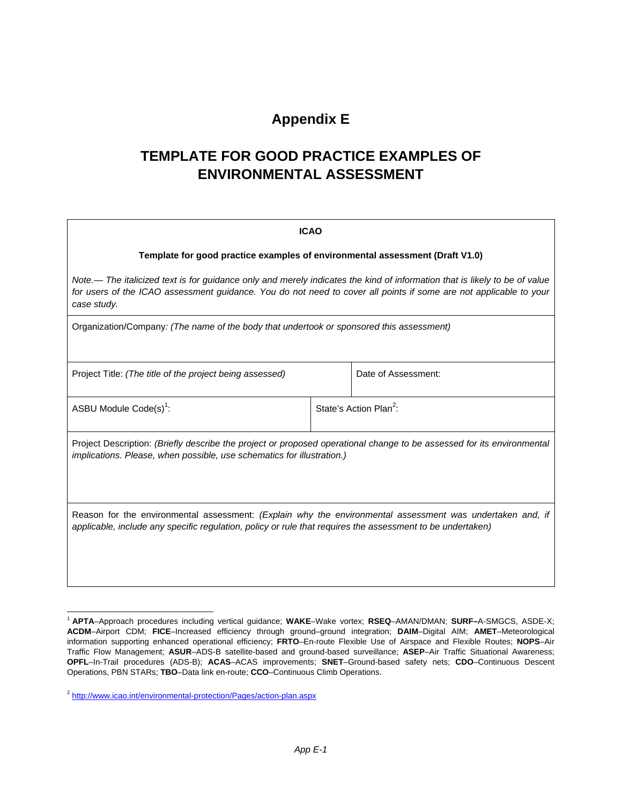### **Appendix E**

## **TEMPLATE FOR GOOD PRACTICE EXAMPLES OF ENVIRONMENTAL ASSESSMENT**

| <b>ICAO</b>                                                                                                                                                                                                                                                    |                                                                              |                                    |  |  |
|----------------------------------------------------------------------------------------------------------------------------------------------------------------------------------------------------------------------------------------------------------------|------------------------------------------------------------------------------|------------------------------------|--|--|
|                                                                                                                                                                                                                                                                | Template for good practice examples of environmental assessment (Draft V1.0) |                                    |  |  |
| Note.— The italicized text is for guidance only and merely indicates the kind of information that is likely to be of value<br>for users of the ICAO assessment guidance. You do not need to cover all points if some are not applicable to your<br>case study. |                                                                              |                                    |  |  |
| Organization/Company: (The name of the body that undertook or sponsored this assessment)                                                                                                                                                                       |                                                                              |                                    |  |  |
| Project Title: (The title of the project being assessed)                                                                                                                                                                                                       |                                                                              | Date of Assessment:                |  |  |
| ASBU Module Code(s) <sup>1</sup> :                                                                                                                                                                                                                             |                                                                              | State's Action Plan <sup>2</sup> : |  |  |
| Project Description: (Briefly describe the project or proposed operational change to be assessed for its environmental<br><i>implications. Please, when possible, use schematics for illustration.)</i>                                                        |                                                                              |                                    |  |  |
| Reason for the environmental assessment: (Explain why the environmental assessment was undertaken and, if<br>applicable, include any specific regulation, policy or rule that requires the assessment to be undertaken)                                        |                                                                              |                                    |  |  |

l

<sup>1</sup> **APTA**–Approach procedures including vertical guidance; **WAKE**–Wake vortex; **RSEQ**–AMAN/DMAN; **SURF–**A-SMGCS, ASDE-X; **ACDM**–Airport CDM; **FICE**–Increased efficiency through ground–ground integration; **DAIM**–Digital AIM; **AMET**–Meteorological information supporting enhanced operational efficiency; **FRTO**–En-route Flexible Use of Airspace and Flexible Routes; **NOPS**–Air Traffic Flow Management; **ASUR**–ADS-B satellite-based and ground-based surveillance; **ASEP**–Air Traffic Situational Awareness; **OPFL**–In-Trail procedures (ADS-B); **ACAS**–ACAS improvements; **SNET**–Ground-based safety nets; **CDO**–Continuous Descent Operations, PBN STARs; **TBO**–Data link en-route; **CCO**–Continuous Climb Operations.

<sup>2</sup> http://www.icao.int/environmental-protection/Pages/action-plan.aspx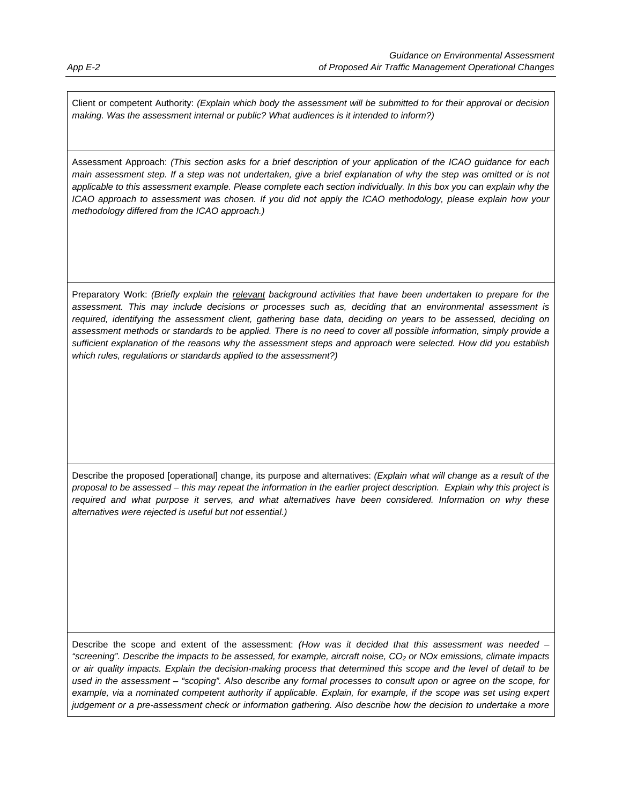Client or competent Authority: *(Explain which body the assessment will be submitted to for their approval or decision making. Was the assessment internal or public? What audiences is it intended to inform?)* 

Assessment Approach: *(This section asks for a brief description of your application of the ICAO guidance for each main assessment step. If a step was not undertaken, give a brief explanation of why the step was omitted or is not applicable to this assessment example. Please complete each section individually. In this box you can explain why the ICAO approach to assessment was chosen. If you did not apply the ICAO methodology, please explain how your methodology differed from the ICAO approach.)* 

Preparatory Work: *(Briefly explain the relevant background activities that have been undertaken to prepare for the assessment. This may include decisions or processes such as, deciding that an environmental assessment is*  required, identifying the assessment client, gathering base data, deciding on years to be assessed, deciding on *assessment methods or standards to be applied. There is no need to cover all possible information, simply provide a sufficient explanation of the reasons why the assessment steps and approach were selected. How did you establish which rules, regulations or standards applied to the assessment?)* 

Describe the proposed [operational] change, its purpose and alternatives: *(Explain what will change as a result of the proposal to be assessed – this may repeat the information in the earlier project description. Explain why this project is required and what purpose it serves, and what alternatives have been considered. Information on why these alternatives were rejected is useful but not essential.)* 

Describe the scope and extent of the assessment: *(How was it decided that this assessment was needed –*  "screening". Describe the impacts to be assessed, for example, aircraft noise, CO<sub>2</sub> or NOx emissions, climate impacts *or air quality impacts. Explain the decision-making process that determined this scope and the level of detail to be used in the assessment – "scoping". Also describe any formal processes to consult upon or agree on the scope, for*  example, via a nominated competent authority if applicable. Explain, for example, if the scope was set using expert *judgement or a pre-assessment check or information gathering. Also describe how the decision to undertake a more*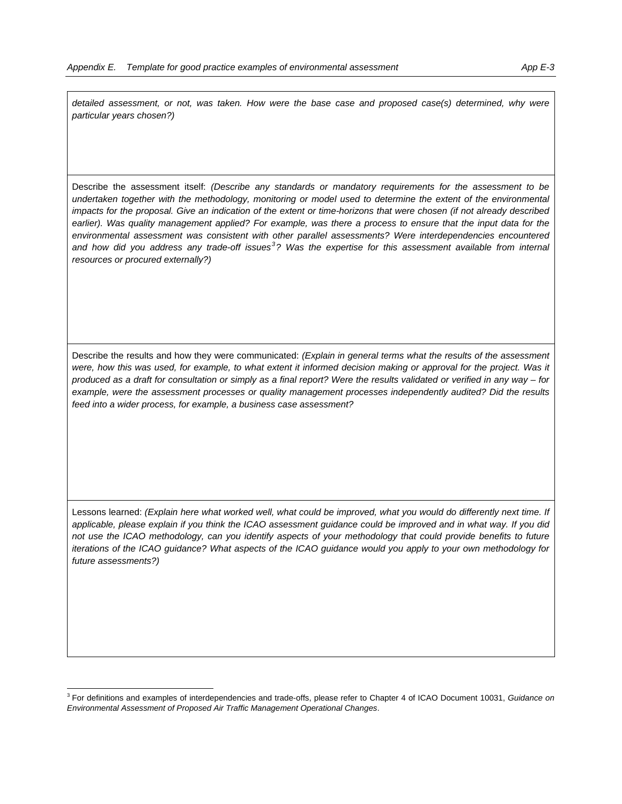detailed assessment, or not, was taken. How were the base case and proposed case(s) determined, why were *particular years chosen?)* 

Describe the assessment itself: *(Describe any standards or mandatory requirements for the assessment to be*  undertaken together with the methodology, monitoring or model used to determine the extent of the environmental *impacts for the proposal. Give an indication of the extent or time-horizons that were chosen (if not already described*  earlier). Was quality management applied? For example, was there a process to ensure that the input data for the *environmental assessment was consistent with other parallel assessments? Were interdependencies encountered and how did you address any trade-off issues<sup>3</sup> ? Was the expertise for this assessment available from internal resources or procured externally?)*

Describe the results and how they were communicated: *(Explain in general terms what the results of the assessment*  were, how this was used, for example, to what extent it informed decision making or approval for the project. Was it *produced as a draft for consultation or simply as a final report? Were the results validated or verified in any way – for example, were the assessment processes or quality management processes independently audited? Did the results feed into a wider process, for example, a business case assessment?* 

Lessons learned: *(Explain here what worked well, what could be improved, what you would do differently next time. If applicable, please explain if you think the ICAO assessment guidance could be improved and in what way. If you did*  not use the ICAO methodology, can you identify aspects of your methodology that could provide benefits to future *iterations of the ICAO guidance? What aspects of the ICAO guidance would you apply to your own methodology for future assessments?)* 

 $\overline{a}$ 

<sup>3</sup> For definitions and examples of interdependencies and trade-offs, please refer to Chapter 4 of ICAO Document 10031, *Guidance on Environmental Assessment of Proposed Air Traffic Management Operational Changes*.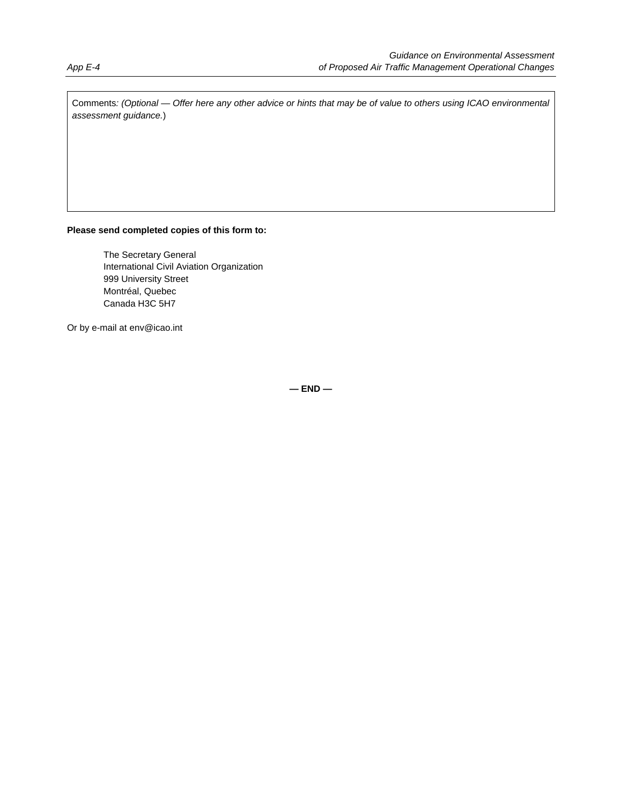Comments*: (Optional — Offer here any other advice or hints that may be of value to others using ICAO environmental assessment guidance.*)

## **Please send completed copies of this form to:**

 The Secretary General International Civil Aviation Organization 999 University Street Montréal, Quebec Canada H3C 5H7

Or by e-mail at env@icao.int

**— END —**